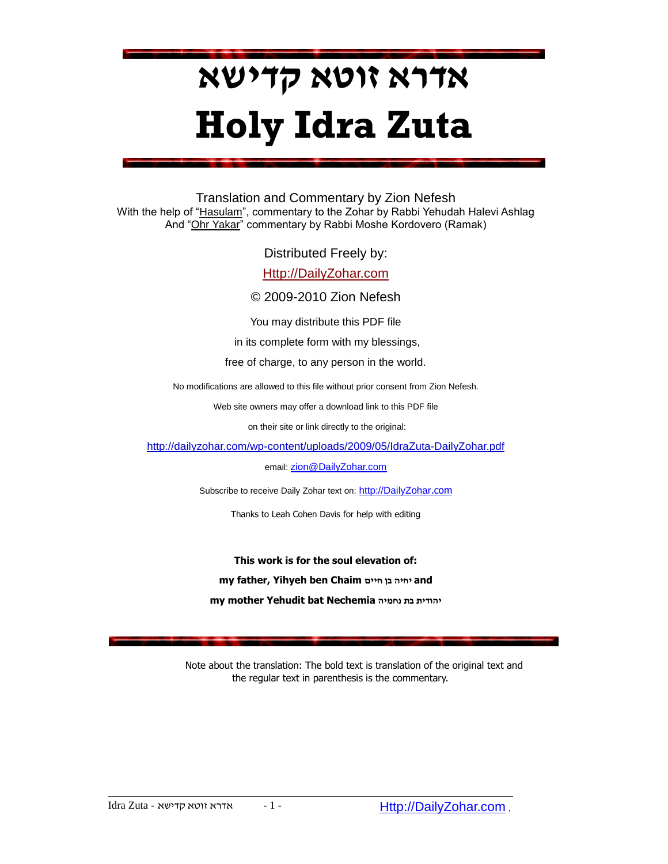# **אדרא זוטא קדישא Holy Idra Zuta**

Translation and Commentary by Zion Nefesh With the help of "Hasulam", commentary to the Zohar by Rabbi Yehudah Halevi Ashlag And "Ohr Yakar" commentary by Rabbi Moshe Kordovero (Ramak)

Distributed Freely by:

[Http://DailyZohar.com](http://dailyzohar.com/)

© 2009-2010 Zion Nefesh

You may distribute this PDF file

in its complete form with my blessings,

free of charge, to any person in the world.

No modifications are allowed to this file without prior consent from Zion Nefesh.

Web site owners may offer a download link to this PDF file

on their site or link directly to the original:

<http://dailyzohar.com/wp-content/uploads/2009/05/IdraZuta-DailyZohar.pdf>

email: [zion@DailyZohar.com](mailto:zion@DailyZohar.com)

Subscribe to receive Daily Zohar text on: [http://DailyZohar](http://dailyzohar.com/).com

Thanks to Leah Cohen Davis for help with editing

**This work is for the soul elevation of: my father, Yihyeh ben Chaim חיים בן יחיה and my mother Yehudit bat Nechemia נחמיה בת יהודית**

 Note about the translation: The bold text is translation of the original text and the regular text in parenthesis is the commentary.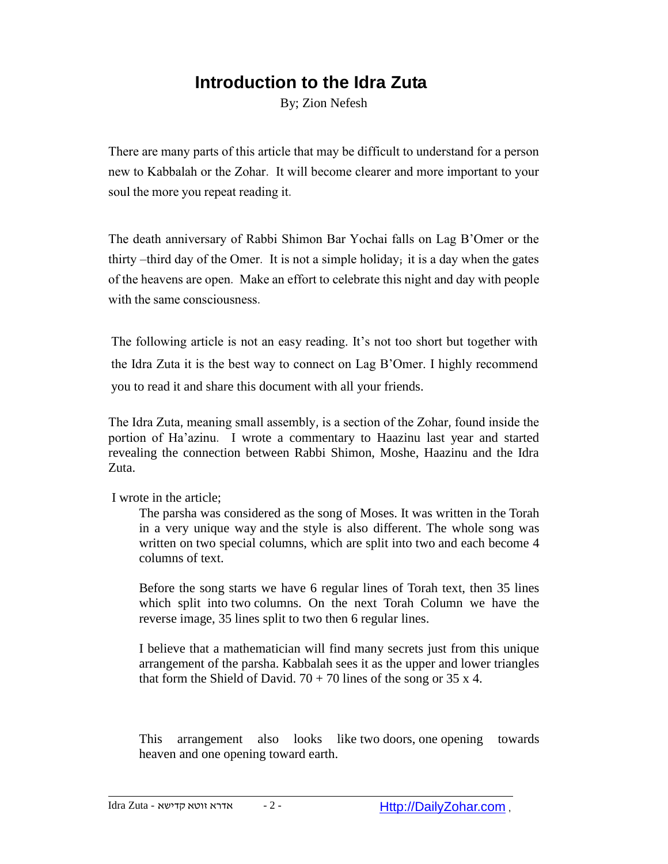# **Introduction to the Idra Zuta**

By; Zion Nefesh

There are many parts of this article that may be difficult to understand for a person new to Kabbalah or the Zohar. It will become clearer and more important to your soul the more you repeat reading it.

The death anniversary of Rabbi Shimon Bar Yochai falls on Lag B'Omer or the thirty –third day of the Omer. It is not a simple holiday; it is a day when the gates of the heavens are open. Make an effort to celebrate this night and day with people with the same consciousness.

The following article is not an easy reading. It's not too short but together with the Idra Zuta it is the best way to connect on Lag B"Omer. I highly recommend you to read it and share this document with all your friends.

The Idra Zuta, meaning small assembly, is a section of the Zohar, found inside the portion of Ha'azinu. I wrote a commentary to Haazinu last year and started revealing the connection between Rabbi Shimon, Moshe, Haazinu and the Idra Zuta.

I wrote in the article;

The parsha was considered as the song of Moses. It was written in the Torah in a very unique way and the style is also different. The whole song was written on two special columns, which are split into two and each become 4 columns of text.

Before the song starts we have 6 regular lines of Torah text, then 35 lines which split into two columns. On the next Torah Column we have the reverse image, 35 lines split to two then 6 regular lines.

I believe that a mathematician will find many secrets just from this unique arrangement of the parsha. Kabbalah sees it as the upper and lower triangles that form the Shield of David.  $70 + 70$  lines of the song or 35 x 4.

This arrangement also looks like two doors, one opening towards heaven and one opening toward earth.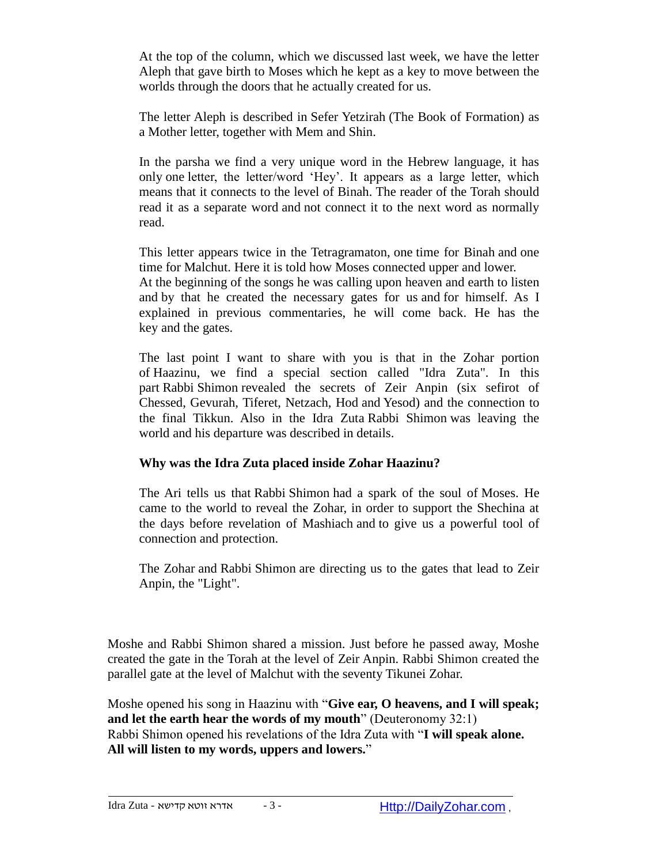At the top of the column, which we discussed last week, we have the letter Aleph that gave birth to Moses which he kept as a key to move between the worlds through the doors that he actually created for us.

The letter Aleph is described in Sefer Yetzirah (The Book of Formation) as a Mother letter, together with Mem and Shin.

In the parsha we find a very unique word in the Hebrew language, it has only one letter, the letter/word "Hey". It appears as a large letter, which means that it connects to the level of Binah. The reader of the Torah should read it as a separate word and not connect it to the next word as normally read.

This letter appears twice in the Tetragramaton, one time for Binah and one time for Malchut. Here it is told how Moses connected upper and lower. At the beginning of the songs he was calling upon heaven and earth to listen and by that he created the necessary gates for us and for himself. As I explained in previous commentaries, he will come back. He has the key and the gates.

The last point I want to share with you is that in the Zohar portion of Haazinu, we find a special section called "Idra Zuta". In this part Rabbi Shimon revealed the secrets of Zeir Anpin (six sefirot of Chessed, Gevurah, Tiferet, Netzach, Hod and Yesod) and the connection to the final Tikkun. Also in the Idra Zuta Rabbi Shimon was leaving the world and his departure was described in details.

### **Why was the Idra Zuta placed inside Zohar Haazinu?**

The Ari tells us that Rabbi Shimon had a spark of the soul of Moses. He came to the world to reveal the Zohar, in order to support the Shechina at the days before revelation of Mashiach and to give us a powerful tool of connection and protection.

The Zohar and Rabbi Shimon are directing us to the gates that lead to Zeir Anpin, the "Light".

Moshe and Rabbi Shimon shared a mission. Just before he passed away, Moshe created the gate in the Torah at the level of Zeir Anpin. Rabbi Shimon created the parallel gate at the level of Malchut with the seventy Tikunei Zohar.

Moshe opened his song in Haazinu with "**Give ear, O heavens, and I will speak; and let the earth hear the words of my mouth**" (Deuteronomy 32:1) Rabbi Shimon opened his revelations of the Idra Zuta with "**I will speak alone. All will listen to my words, uppers and lowers.**"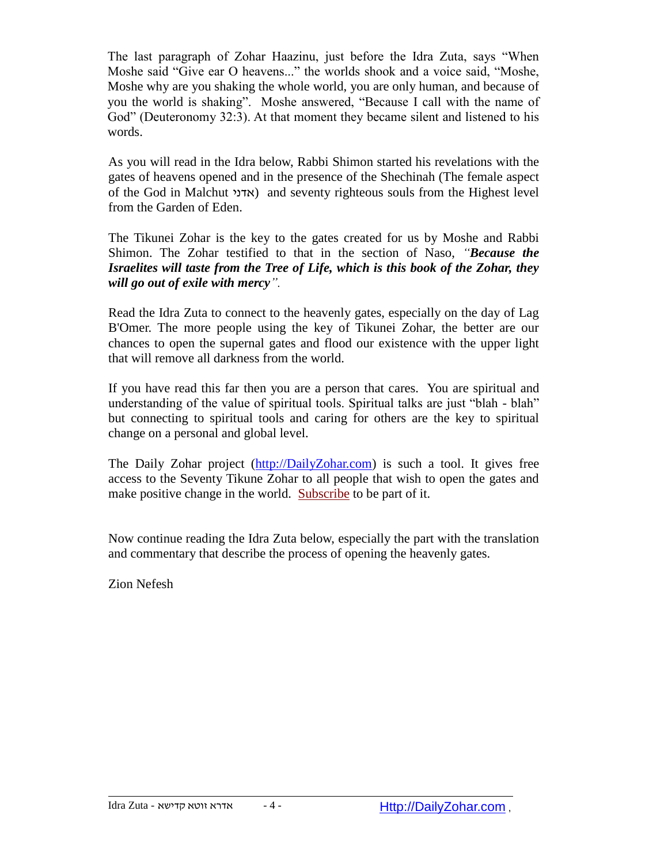The last paragraph of Zohar Haazinu, just before the Idra Zuta, says "When Moshe said "Give ear O heavens..." the worlds shook and a voice said, "Moshe, Moshe why are you shaking the whole world, you are only human, and because of you the world is shaking". Moshe answered, "Because I call with the name of God" (Deuteronomy 32:3). At that moment they became silent and listened to his words.

As you will read in the Idra below, Rabbi Shimon started his revelations with the gates of heavens opened and in the presence of the Shechinah (The female aspect of the God in Malchut אדני (and seventy righteous souls from the Highest level from the Garden of Eden.

The Tikunei Zohar is the key to the gates created for us by Moshe and Rabbi Shimon. The Zohar testified to that in the section of Naso, *"Because the Israelites will taste from the Tree of Life, which is this book of the Zohar, they will go out of exile with mercy".* 

Read the Idra Zuta to connect to the heavenly gates, especially on the day of Lag B'Omer. The more people using the key of Tikunei Zohar, the better are our chances to open the supernal gates and flood our existence with the upper light that will remove all darkness from the world.

If you have read this far then you are a person that cares. You are spiritual and understanding of the value of spiritual tools. Spiritual talks are just "blah - blah" but connecting to spiritual tools and caring for others are the key to spiritual change on a personal and global level.

The Daily Zohar project [\(http://DailyZohar.com\)](http://dailyzohar.com/) is such a tool. It gives free access to the Seventy Tikune Zohar to all people that wish to open the gates and make positive change in the world. [Subscribe](http://dailyzohar.com/) to be part of it.

Now continue reading the Idra Zuta below, especially the part with the translation and commentary that describe the process of opening the heavenly gates.

Zion Nefesh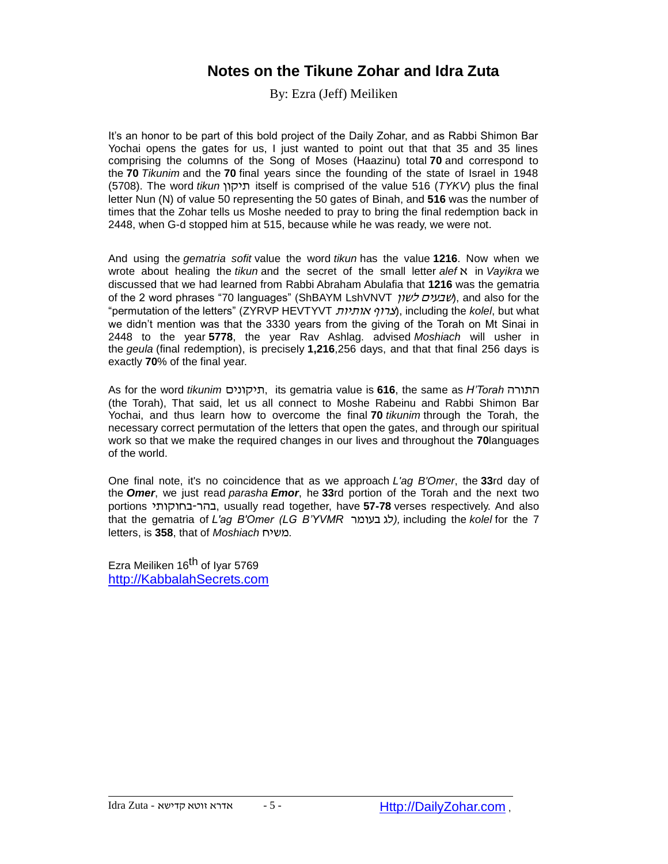## **Notes on the Tikune Zohar and Idra Zuta**

By: Ezra (Jeff) Meiliken

It's an honor to be part of this bold project of the Daily Zohar, and as Rabbi Shimon Bar Yochai opens the gates for us, I just wanted to point out that that 35 and 35 lines comprising the columns of the Song of Moses (Haazinu) total **70** and correspond to the **70** *Tikunim* and the **70** final years since the founding of the state of Israel in 1948 (5708). The word *tikun* תיקון itself is comprised of the value 516 (*TYKV*) plus the final letter Nun (N) of value 50 representing the 50 gates of Binah, and **516** was the number of times that the Zohar tells us Moshe needed to pray to bring the final redemption back in 2448, when G-d stopped him at 515, because while he was ready, we were not.

And using the *gematria sofit* value the word *tikun* has the value **1216**. Now when we wrote about healing the *tikun* and the secret of the small letter *alef* א in *Vayikra* we discussed that we had learned from Rabbi Abraham Abulafia that **1216** was the gematria of the 2 word phrases "70 languages" (ShBAYM LshVNVT לשון שבעים(, and also for the "permutation of the letters" (ZYRVP HEVTYVT ו/צרוף אותיות), including the *kolel*, but what we didn't mention was that the 3330 years from the giving of the Torah on Mt Sinai in 2448 to the year **5778**, the year Rav Ashlag. advised *Moshiach* will usher in the *geula* (final redemption), is precisely **1,216**,256 days, and that that final 256 days is exactly **70**% of the final year.

As for the word *tikunim* תיקונים, its gematria value is **616**, the same as *H'Torah* התורה (the Torah), That said, let us all connect to Moshe Rabeinu and Rabbi Shimon Bar Yochai, and thus learn how to overcome the final **70** *tikunim* through the Torah, the necessary correct permutation of the letters that open the gates, and through our spiritual work so that we make the required changes in our lives and throughout the **70**languages of the world.

One final note, it's no coincidence that as we approach *L'ag B'Omer*, the **33**rd day of the *Omer*, we just read *parasha Emor*, he **33**rd portion of the Torah and the next two portions בחוקותי-בהר, usually read together, have **57-78** verses respectively. And also that the gematria of *L'ag B'Omer (LG B'YVMR* בעומר לג*(,* including the *kolel* for the 7 letters, is **358**, that of *Moshiach* משיח*.*

Ezra Meiliken 16<sup>th</sup> of Ivar 5769 [http://KabbalahSecrets.com](http://kabbalahsecrets.com/)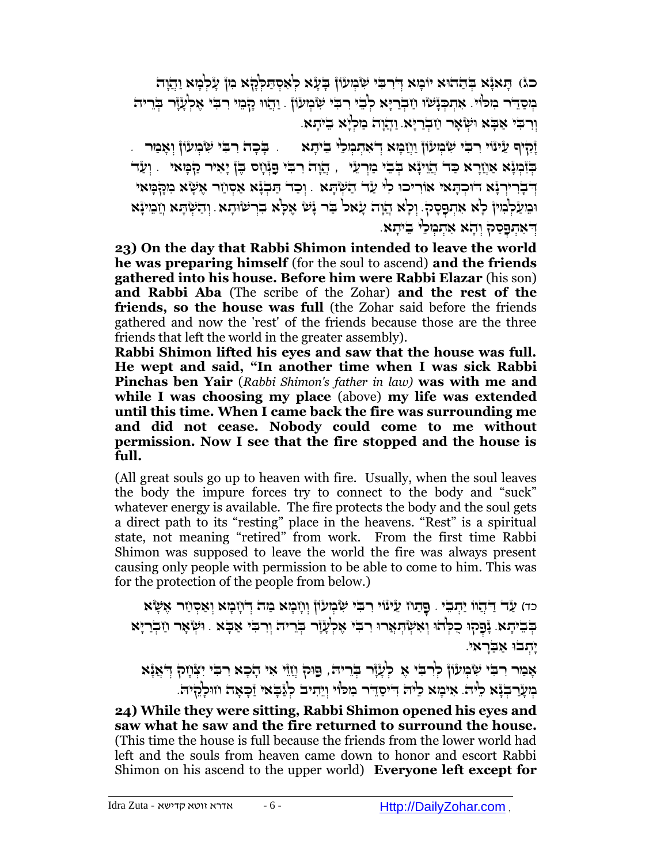כג) הָאגָא בְּהַהוּא יוֹמָא דִּרְבִּי שְּׂמְעֹוֹן בָעָא לְאִסְתַּלְּהָא ִמְן עַלְמַא וְהַוְה ַמְסַדֶּר מִכּוֹי. אֶתְכְּנַשׁוּ וַזְבְרַיָּא לְבֵי רִבִּי שָׂמְעֹוֹן ָ וְהָווּ קָבְוִי רִבְּי אֶלְעָזָר בְּרֵיה וְּ ִר ִֻבי ַא ָֻבא ֻו ְּש ָאר ַח ְּבַרָֻיא. וַהֲ וָה מַ לְּ יָא בֵ יתָ א.

ַזְהָיִף עֵינֿוי רִבִּי שְּׂבְזִעוֹן וַוְזָמָא דְאִתְמְכֵ<sup>וֹ</sup>י בֵיתָא . ַ בְּכָה רִבִּי שְׂבְזִעוֹן וְאָמַר . ָבְּוֹבְּיָּנָא אַוְזַרָא כַּד' הֲוִינָּא בְּבִי כַּוְרְעֵי |, הֲנָה רִבִּי פָנְּוָס בֶּן יָאִיר קַבְּוָאי | וְעַד ִ יְּרְבְרִירְנָּא דוּכְהָאִי אוֹרִיכוּ כִ<sup>ן,</sup> עַד הַשְׁהָא ָוְכָד הַבְנָא אַסְוַר אֶשָׂא ִבְזֶקְמָאי וּבִּועַלְבְּוּיןْ לָא אִתְפָסְק. וְלָא הֲוָה עָׂאל בִּר יָּשׁ אֶלָּא בִרְשׂוּתָא ִוְהַשְׁתָּא וְוַבִּוּיִּיָּא ָדְאִתְפָּסַק וְהָא אִתְּמְלֵי בִיתָא.

**23) On the day that Rabbi Shimon intended to leave the world he was preparing himself** (for the soul to ascend) **and the friends gathered into his house. Before him were Rabbi Elazar** (his son) **and Rabbi Aba** (The scribe of the Zohar) **and the rest of the friends, so the house was full** (the Zohar said before the friends gathered and now the 'rest' of the friends because those are the three friends that left the world in the greater assembly).

**Rabbi Shimon lifted his eyes and saw that the house was full. He wept and said, "In another time when I was sick Rabbi Pinchas ben Yair** (*Rabbi Shimon's father in law)* **was with me and while I was choosing my place** (above) **my life was extended until this time. When I came back the fire was surrounding me and did not cease. Nobody could come to me without permission. Now I see that the fire stopped and the house is full.** 

(All great souls go up to heaven with fire. Usually, when the soul leaves the body the impure forces try to connect to the body and "suck" whatever energy is available. The fire protects the body and the soul gets a direct path to its "resting" place in the heavens. "Rest" is a spiritual state, not meaning "retired" from work. From the first time Rabbi Shimon was supposed to leave the world the fire was always present causing only people with permission to be able to come to him. This was for the protection of the people from below.)

כד) עַר דַיְהוֹו יַתְבִי . פַתְח עֵינוֹי רִבִי שְׂבְועֹוֹן וְוזִבְזא בְּזה דְּוזְבַזא וְאִסְוֹר אֲשָׂא בְּבֵיתָא. יָּפָקוּ כֻקְהוּ וְאִשְׂהָאֲרוּ רִבְּי אֵלְעָוָר בְּרֵיה וְרִבִּי אַבָּא . וּשְׂאָר וַזְבְרַיָּא יתבו אַבראי.

ָאָמַר רִבִּי שְּׂמְעֹוֹן ְּלִרְבִי אֶ לְעָזֶר בְּרִיהּ, פַוּק וְזֵוֶי אִי הָכָא רִבִּי יִצְוָזִק ְדִּאֲנָא ָמערבנא כיה. אימא כיה דיסדר מכוו ויתיב כגבאי זכאה וזוכלליה.

**24) While they were sitting, Rabbi Shimon opened his eyes and saw what he saw and the fire returned to surround the house.**  (This time the house is full because the friends from the lower world had left and the souls from heaven came down to honor and escort Rabbi Shimon on his ascend to the upper world) **Everyone left except for**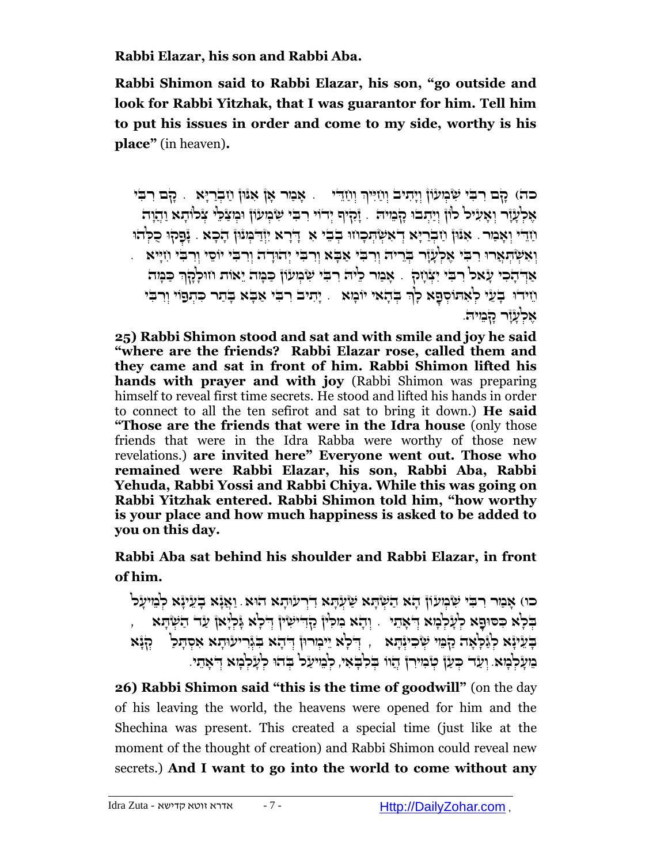**Rabbi Elazar, his son and Rabbi Aba.** 

**Rabbi Shimon said to Rabbi Elazar, his son, "go outside and look for Rabbi Yitzhak, that I was guarantor for him. Tell him to put his issues in order and come to my side, worthy is his place"** (in heaven)**.**

ְּכה) קָם רִבִּי שְּׂבְוּעוֹן וְיָהִיבֹ וְוַזִיִּיךְ וְוַזֵהִי . אָמַר אָן אִנּוּן וַזַבְרַיֶּא . קָם רִבִּי ָאָלְעָזֶר וְאָעִיל לוֹן וְיַתְבוּ הָבְוִיה . זֶקִיף יְדוֹי ִרְבִי שִׂבְוּעֹוֹן וִּמְצַכְּי צְכֹוֹתָא וַהֲזֶה ָּוֹיָּהִי וְאָמַר. אִנּוּן וַזְּבְרַיָּא דְּאִשְׂהָכְוזוּ בְבֵי ּאִ דְּרָא יְוָּדִמְנוּן הָכָא . נָפְקוּ כֻלְהוּ ְוְּאִשְׁתְּאָרוּ רִבְּי אֶלְעָזֶר בְּוֵריה וְרִבִּי אָבָא וְרִבִּי יְהוּדָה וְרִבְּי יוֹסֵי וְרִבִּי וְזְיֵיא ַאַרְּהָכִי עָׂאל רִבִּי יִצְוָזהָ . אָבַור כִיּה רִבִּי שִּׂבְועוֹן כַּבְּוּה יֵאוֹת וזוּלְהָךְ כַּבְּוּה וַזידוּ בְעֵי לְּאִתוֹסְפָא לְךְּ בְּדָאי יוֹנְזא ). יָתִיב רִבִּי אַבְּא בְּתַר כִּתְפֹוֹי וְרִבִּי ָאכלעור המיה.

**25) Rabbi Shimon stood and sat and with smile and joy he said "where are the friends? Rabbi Elazar rose, called them and they came and sat in front of him. Rabbi Shimon lifted his hands with prayer and with joy** (Rabbi Shimon was preparing himself to reveal first time secrets. He stood and lifted his hands in order to connect to all the ten sefirot and sat to bring it down.) **He said "Those are the friends that were in the Idra house** (only those friends that were in the Idra Rabba were worthy of those new revelations.) **are invited here" Everyone went out. Those who remained were Rabbi Elazar, his son, Rabbi Aba, Rabbi Yehuda, Rabbi Yossi and Rabbi Chiya. While this was going on Rabbi Yitzhak entered. Rabbi Shimon told him, "how worthy is your place and how much happiness is asked to be added to you on this day.** 

**Rabbi Aba sat behind his shoulder and Rabbi Elazar, in front of him.**

כו) אָמַר רִבִּי שְּׂמְעֹוֹן הָא הַשְּׂתָא שַׂעְתָּא דְּרעוּתָא הוּא. וַאֲנָא בְעֵינָא לְמֵיעַל , בְּלְא כִּסּוּפָא לְעָלְּבְוּא דְאָתוּ . וְהָא נִזִלִין קַדְּיִיּשִׂיןְ דְיִלְא גְּלְיָאן עַד הַשְׂהָא ָבְּעֵיוָּא לְגַּכְ<sup>וָ</sup>אָה קִבְּוּ שִׂכִיוָּהָא , דִּכְא יֵיכִורוּן דְּהָא בְּוָריעוּתָא אִסְתָּכַ<sup>ן</sup> , הְגָּא ְמִעָּלְמַאָ. וְעָד כִּעַן ְּטֹמִירן הוֹו בֹּלְבֹּאִי, לְמִיעַל ְבֹּהוּ לְעַלְמָא דִּאֶתי.

**26) Rabbi Shimon said "this is the time of goodwill"** (on the day of his leaving the world, the heavens were opened for him and the Shechina was present. This created a special time (just like at the moment of the thought of creation) and Rabbi Shimon could reveal new secrets.) **And I want to go into the world to come without any**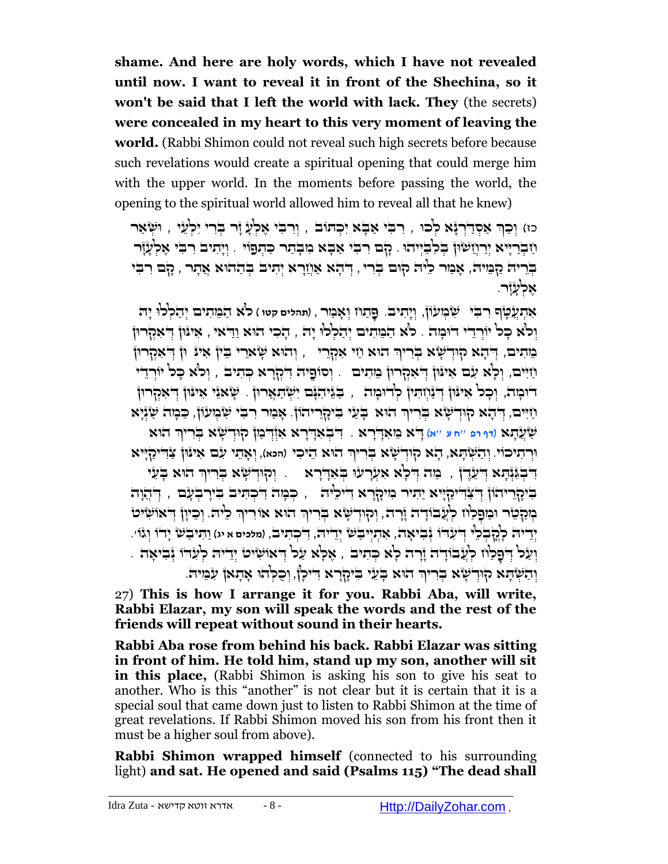**shame. And here are holy words, which I have not revealed until now. I want to reveal it in front of the Shechina, so it won't be said that I left the world with lack. They** (the secrets) **were concealed in my heart to this very moment of leaving the world.** (Rabbi Shimon could not reveal such high secrets before because such revelations would create a spiritual opening that could merge him with the upper world. In the moments before passing the world, the opening to the spiritual world allowed him to reveal all that he knew)

ְכוּ אָסְדַׂרְנָֿא לְכוּ , רִבְּי אָבָא יִכְתּוֹבֹ , וְרִבְּי אֶלְעָ זָר בְּרִי יִלְעָי , וּשָׂאָר ְ ְּיָתְיִבְרְיֵּיא יִרְוְזָשׂוּן בְּכְבְּיְהוּ . כָם רִבְּי אָבָא מִבְתָר כַּתְפֹוֹי . וְיָתִיב רִבְי אֶלְעָוֹר ַבְּרִיה קַמֶּוּה, אָמַר כִ<sup>וָ</sup>ה קוּם בְּרִי , דְּהָא אַוְזַרָא יְתִיב בְּתַהוּא אֲתָר , קָם רִבִּי אָלעֿוָר.

אִתְעֲטָ<sup>ּוּ</sup>ף רִבִּי שִּׂבְוּעוֹן, וְיָתִיבֹ. פַּתַח וִאָבַור , (תהלים קטו ) כ<sup>וֹ</sup>א הַבֵּוּתִים יִהַלְלוּ יַה וֹלֹא כּל יוֹרדי דוּמה . לֹא המתים יהללו יה , הכי הוּא ודֹאי , אינון דֹאקרון ָבְּוְתִים, דְּהָא קוּדְשָׂא בְּרִיךְ הוּא וַזִּי אִקְרֵי ְ, וְהוּא שָׂארֵי בֵּין אִינּ וּן דְּאִקְרוּ וֹזִיִּים, וְּלָא עִׂם אִינִּוּٳ דְּאִקְרוּٳ בִּוּתִים . וְסוֹםֵיה דִיקְרָא כְּתיב , וְלֹא כָּל יוֹרְדֵי דוּכְוּה, וְכָכ<sup>ן</sup> אִינּוּן דְּיָנְוְזִהְיּן כְּדוּכְוּה , ַבְּגֵּיהִנָּם יִשְׂתַאֲרוּן . שַׂאנֵי אִינּוּן דְּ'אִקרוּן ַחַיִּים, הְּדָא קוּדְשָׂא בְּרִיךְ הוּא בְּעֵי בִיקָרֵיהוֹן. אָבַור רִבִּי שִׂנְיְעוֹן, כַּבְוּה שַׂוְּיָא הֻו ַשֲע ָתא )**דף רפ** ''**ח ע** ''**א**( ָ ֻדא ֵמ ִאָ ֻדָרא . א ֻד ִ ְּב ִאָ ֻדָרא ִאְּז ֻד ְּ ַמן <sup>ק</sup> ֻוְּד ָשא ְֻּבִריךְּ וּוְרִתִּיכוֹי. וְהַשְׁתָּא, הָא קוּדְשָׂא בְּרִיךְ הוּא הֵיכִי (המא), וְאָתִי עִם אִינּוּן צַדְדִיקַיְיא דִּבְגְּוָּהָא דְּעֵדֶ , ۚ כַּוֹה דְלְא אִעְרָעוּ בְּאִדְרָא ְ ָוְהִדְשָׂא בְרִיךָ הוּא בְעֵי ָבִּיְכָהְיהוֹן הָצָהִיֹּכָלְיֵיא יַתִּיר ִמִיכָרָא הִיכְלִּיהֹ , כִּמִה הִכְתִּיב בִּירַבְעַם , הַחֲוָה בְּוּכַלְּטֶר וּבֵוּםֲכַלְּוּז כְלְּעֲבֹוֹדָ־הֹ וֶרְהֹ, וְקִוּדְשָׂיא בְּרִיךְ הוּא אוֹרִיךְ כִלּיהֹ. וְכֵיוָן דְיאוּשִׂיט ַיְרֵיה כְּהֲבִלֵי דִיעָדו גָּבִיאָה, אָתְיִיבַשׁ יְרֵיה, דִיכְתִּיבׂ, ומכים א יג) וַתִּיבַשׁ יָדוֹ וְגּוֹי. ָוְעַל דְּפָלַוז לְעָבוֹדָה וָדָרה לָא כְּתִיב , אָלָא עַל דְאוּשִׂיט' יְדִיה לְעִדוּ וְּבִיאָה . ְוְהַשְׁתָּא קִוּדְשָׂא בְּרִיךְ הוּא בְּעֵי בִיקָרָא דִיכְןٌ, וְכַלְהוּ אָתָאןْ עִבְּוּיה.

27) **This is how I arrange it for you. Rabbi Aba, will write, Rabbi Elazar, my son will speak the words and the rest of the friends will repeat without sound in their hearts.**

**Rabbi Aba rose from behind his back. Rabbi Elazar was sitting in front of him. He told him, stand up my son, another will sit in this place,** (Rabbi Shimon is asking his son to give his seat to another. Who is this "another" is not clear but it is certain that it is a special soul that came down just to listen to Rabbi Shimon at the time of great revelations. If Rabbi Shimon moved his son from his front then it must be a higher soul from above).

**Rabbi Shimon wrapped himself** (connected to his surrounding light) **and sat. He opened and said (Psalms 115) "The dead shall**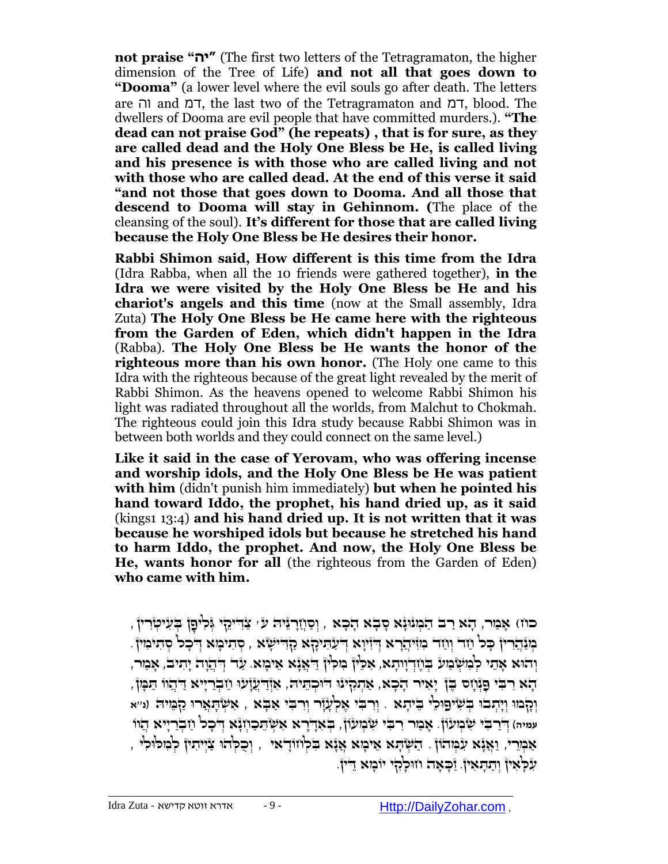**not praise "יה**) **"**The first two letters of the Tetragramaton, the higher dimension of the Tree of Life) **and not all that goes down to "Dooma"** (a lower level where the evil souls go after death. The letters are וה and דמ, the last two of the Tetragramaton and דמ, blood. The dwellers of Dooma are evil people that have committed murders.). **"The dead can not praise God" (he repeats) , that is for sure, as they are called dead and the Holy One Bless be He, is called living and his presence is with those who are called living and not with those who are called dead. At the end of this verse it said "and not those that goes down to Dooma. And all those that descend to Dooma will stay in Gehinnom. (**The place of the cleansing of the soul). **It's different for those that are called living because the Holy One Bless be He desires their honor.**

**Rabbi Shimon said, How different is this time from the Idra** (Idra Rabba, when all the 10 friends were gathered together), **in the Idra we were visited by the Holy One Bless be He and his chariot's angels and this time** (now at the Small assembly, Idra Zuta) **The Holy One Bless be He came here with the righteous from the Garden of Eden, which didn't happen in the Idra**  (Rabba). **The Holy One Bless be He wants the honor of the righteous more than his own honor.** (The Holy one came to this Idra with the righteous because of the great light revealed by the merit of Rabbi Shimon. As the heavens opened to welcome Rabbi Shimon his light was radiated throughout all the worlds, from Malchut to Chokmah. The righteous could join this Idra study because Rabbi Shimon was in between both worlds and they could connect on the same level.)

**Like it said in the case of Yerovam, who was offering incense and worship idols, and the Holy One Bless be He was patient with him** (didn't punish him immediately) **but when he pointed his hand toward Iddo, the prophet, his hand dried up, as it said**  (kings1 13:4) **and his hand dried up. It is not written that it was because he worshiped idols but because he stretched his hand to harm Iddo, the prophet. And now, the Holy One Bless be He, wants honor for all** (the righteous from the Garden of Eden) **who came with him.**

ָרוּוּ אָבִוּר, הָא רַב הַמְוּוָּגָא סָבְא הָכְא , וְסַוְזַרְוּיה עֹּי צַדִּימֵן וְּלִיםֶן בְּעִיטְרִין , ָמְנָהֵרִין כָּל וַזָּר וְוַזֵר ִמְוִיהֲרָא דְּיָעֲתִּיהָא הָדְיִשָׂא , סְתִיכָּוּא דְּכָל סְתִימִין ָ ָדהַ אָמי הַמַּשׁׁמַע בַּוזְדוותָא, אָכִיון ְמִכְּיוֹ דִּאְנֹא ְאִימַאָ. עָד דְּהוּה יִתיב, אָמַר ָהָא ִרִבְּי פָּנְּוָס בֶּן יָאִיר הָכָא, אַתְּקִינִּו דֹּוּכְתֵּיה, אִוְּדַעֲלָו וַזִּבְרַיִּיא דַּהֲוֹו תַּמְן ִ ִא ְּש ָֻתֲאר ֻו )**נ**''**א** ְּוָקמֻו . וְּ רִ בִֻ י אֶ לְּ עָ זָר וְּ רִ בִֻ י אַ בָֻ א , ַק ֵֻמי ֻה ְּוָי ְּתבֻו ְֻּב ִשי ֻפ ֻו ֵלי ֵֻבי ָתא ,<br>עמיה) דְּרַבִּי שְׂבְוּעֹוֹן. אָבַור רִבִּי שְׂבִעוֹן, בִאֶדְרָא אִשְׂהֵכָוְזָּא דְפָל וַזַּבְרַיִּיא הַוֹו , אַמְרֵיי, וַאֲנָא עִמְהוֹן . הַשְּׁתָּא אֵימָא אֲנָא בְּלְחֹוֹדָאי , וְכְכְּהֹוּ צַיִּיתִין לְמְכֹוּלִי ַ זְלָכְ<sup>וֹ</sup>אִין וְתַתָּאִין. וַכְּאָה וווּכְ<sup>וֹ</sup>ְלִי יוֹבְזָא דֵין.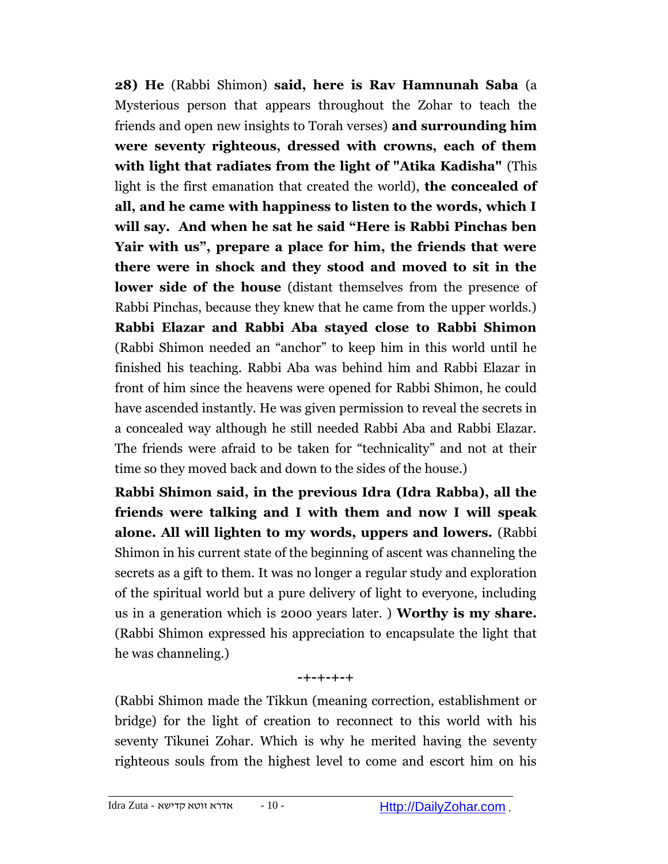**28) He** (Rabbi Shimon) **said, here is Rav Hamnunah Saba** (a Mysterious person that appears throughout the Zohar to teach the friends and open new insights to Torah verses) **and surrounding him were seventy righteous, dressed with crowns, each of them with light that radiates from the light of "Atika Kadisha"** (This light is the first emanation that created the world), **the concealed of all, and he came with happiness to listen to the words, which I will say. And when he sat he said "Here is Rabbi Pinchas ben Yair with us", prepare a place for him, the friends that were there were in shock and they stood and moved to sit in the lower side of the house** (distant themselves from the presence of Rabbi Pinchas, because they knew that he came from the upper worlds.) **Rabbi Elazar and Rabbi Aba stayed close to Rabbi Shimon**  (Rabbi Shimon needed an "anchor" to keep him in this world until he finished his teaching. Rabbi Aba was behind him and Rabbi Elazar in front of him since the heavens were opened for Rabbi Shimon, he could have ascended instantly. He was given permission to reveal the secrets in a concealed way although he still needed Rabbi Aba and Rabbi Elazar. The friends were afraid to be taken for "technicality" and not at their time so they moved back and down to the sides of the house.)

**Rabbi Shimon said, in the previous Idra (Idra Rabba), all the friends were talking and I with them and now I will speak alone. All will lighten to my words, uppers and lowers.** (Rabbi Shimon in his current state of the beginning of ascent was channeling the secrets as a gift to them. It was no longer a regular study and exploration of the spiritual world but a pure delivery of light to everyone, including us in a generation which is 2000 years later. ) **Worthy is my share.**  (Rabbi Shimon expressed his appreciation to encapsulate the light that he was channeling.)

#### **-+-+-+-+**

(Rabbi Shimon made the Tikkun (meaning correction, establishment or bridge) for the light of creation to reconnect to this world with his seventy Tikunei Zohar. Which is why he merited having the seventy righteous souls from the highest level to come and escort him on his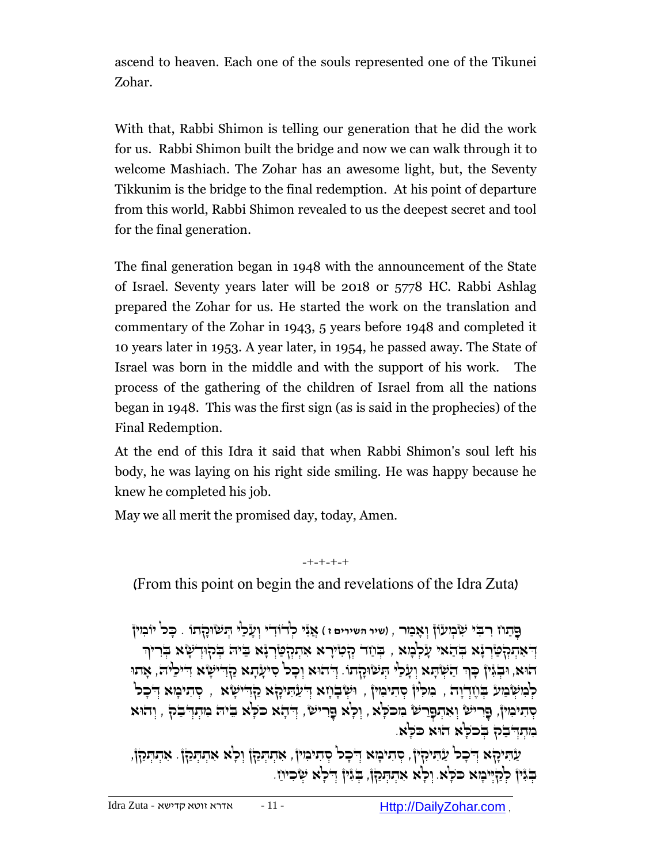ascend to heaven. Each one of the souls represented one of the Tikunei Zohar.

With that, Rabbi Shimon is telling our generation that he did the work for us. Rabbi Shimon built the bridge and now we can walk through it to welcome Mashiach. The Zohar has an awesome light, but, the Seventy Tikkunim is the bridge to the final redemption. At his point of departure from this world, Rabbi Shimon revealed to us the deepest secret and tool for the final generation.

The final generation began in 1948 with the announcement of the State of Israel. Seventy years later will be 2018 or 5778 HC. Rabbi Ashlag prepared the Zohar for us. He started the work on the translation and commentary of the Zohar in 1943, 5 years before 1948 and completed it 10 years later in 1953. A year later, in 1954, he passed away. The State of Israel was born in the middle and with the support of his work. The process of the gathering of the children of Israel from all the nations began in 1948. This was the first sign (as is said in the prophecies) of the Final Redemption.

At the end of this Idra it said that when Rabbi Shimon's soul left his body, he was laying on his right side smiling. He was happy because he knew he completed his job.

May we all merit the promised day, today, Amen.

-+-+-+-+ (From this point on begin the and revelations of the Idra Zuta)

ָפְּתָּוֹז ְרִבְּי שָּׂבְוְעָוֹן וְאָבְוֶר , (שיר השירים ז) אֶגָּי כְרְדֹוְדִי וְעַלַי הָעֹוּכָדֶתוֹ , כָכ<sup>ּן</sup> יוֹבְוִין ָדְּאִתְּהְטַּׂךְ יָּא בְּדַאי עָלְמְא , בְּוַזד הְסִירָא אִתְהְטַּיְדְּא בִּיה בְּהוּדְשָׂא בְּריוּך הוּא, וּבְגִּיןْ כְּךְ הַשְּׁתָּא וְעָׂכַ<sup>ן,</sup> הְשׂוּהָתוֹ. דְּהוּא וְכָכ<sup>ן</sup> סִיעָּתָא הַדְּדִישָׂא דִיכִיה, אָתוּ ַלְּמְשְּׂבְוּע בְּוֶזְדְוָה , בְּוּכְוֹן סְתִיבְוּין , וּשְׂבְוָזָא דְּעֲתִּיהָא הָדָישָׂא , סְתִיבַּזָא דְּכָכ סְּתִיּבִוּן, פָרִישׂ וְאִתְפָרשׂ בִוכֹּלְא , וְכְא פַרִישׂ , יְדֹתָא כֹּכְא בִיה בִותְדְבַק , וְהוּא מִתְּדִּבְהָ בִּכֹלָא הוּא כֹּלָּא.

ַעֲהִיּכָּךָא דִּכְכ<sup>וֹ</sup> עַהִּיכִּרְיֹן, סִתִיכְוּא דִּכְכ<sup>וֹ</sup> סִתִיכְוּיןֿ, אִתְהַכַּךְן וְכְ<sup>וָ</sup>א אִתְהַכַּךְן. אִתהַכַּןֹן, הַגְּין לְהָיִּיכִוּא כּכְא. וְכָא אָתָהְקַן, בְּגִּין דִלְא שִׂכִיוַי.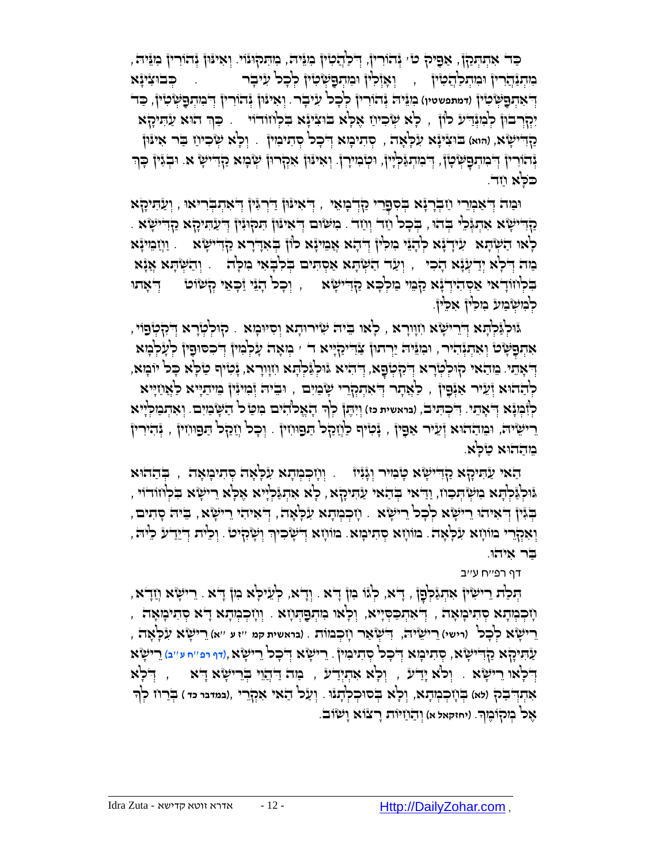ַּכְּד אִתְּתְּכַן, אַפִּיק ט' יְּהוֹרִין, דְּלַהֲטִין ִמִגֵּיה, מִתִּקוּנוֹי. וְאִינּוּן יְּהוֹרִין ִמְגֵּיה, בְּוּדְּנָּהֲבֹרוּן וּבְוּתְכַ<sup>וְ</sup>ְדָמִיּן , יִאְזְּלִין וּבְוּתְפָשְׂטִין לְכָל עִיּבְר , בְּבוּצִינָּא ְּו ִאי ֻנ , ַֻכד ֻון ְּנהֹוִרין ֻד ְּ ִמ ְּת ַֻפ ִמֵֻני ֻה ְּנהֹוִרין ְּל ָכל ִע . ֻ ְּש ִטין ֻד )**דמתפשטין**( י ָבר ְּ ִא ְּת ַֻפ ֻ ְּש ִטין יִּכְלְּרבוּן לְמִגְּדִיע לוֹן , לְא שְׂכִיוַז אֶלְא בוּצִינָּא בִלְוּזוּדוֹי ַקְדִישָׂא, (הוא) בוּצִינָֿא עִלְאָה , סְתִיכְוּא דְ**יכָ**כ<sup>ן</sup> סְתִיכִוּין . וְכְ<sup>וָ</sup>א שְׂכִיוַז בַּר אִינּון וְּהֹוֹרִין ְדְּבִוּהְפָשְׂטָן, דְּבִוּהְגַּכְיָוּ, וִמְבִוּיָךְ, וְאִינּוּן אִקְרוּן שְׂבְוּא קַדְדִישָׂ א. וּבְגִּין כְּךְ ָכֹּכְא וַזד.

יִכְּוֹד הָּאָתְּבְרִיאוּ , וְעַתִּיכְלְּא וְּבְרָנָא וְּבְרָנָת הַחֲדָּר ְיִאֲתְבְרִיאוּ , וְעַתִּיכְלְּא ַקְדִּישָׂא אִהַגְּכֵן בְדוּ , בְּכָל וַזָד וְוַזד . מִשְׂוּם דְּאִינּוּן הִקוּגִּין דְיעַהִיקָא קַדִישְׂא . ָלְאו הַשְׂהָא עִידְנָא לְהָנֵי ִבְּוּלְיןْ דְּהָא אֲמִינָּא לוֹן בְּאִדְרָא מַדְּישָׂא . וַוְזַמִּינָּא ַמַּה יְדִעְּנָא הָכִי , וְעַד הַשְׂהָא אַסְהִים בְּלִבְאִי נִזְלְּה . וְהַשְׂהָא אֲנָא ָדָּלְוּזוֹדָ אי אַסְהִידְ יָּא ַקְבִּוּי בַוִּלְבָּא קַדְּיִישָׂא ซ , וְכָל הָנֵי יַבְאֵי קְשׂוט ְ ּלְּמִשְּׁבִּוּע בְּוּלְין אָכְיןֹ.

ָלאו ֵֻבי ֻה ִשיר ֻו ָתא ְּו ִס ֻי . ק ֻו ְּל ְּטָרא ְּ ֻדִק ְּטפֹוי , ֻו ֻג , ָמא ֻו ְּלַֻג ְּל ָֻתא ֻד ְּ ֵרי ָשא ִחָֻווָרא ּאִתְּפָּשָּׂם וְאִתְגְּהִיׁר, וּמִגֵּיה יַרְתוּ| צַׂדִיקַיְיִא דֹ ׳ מְאָה עָקְבִוּן דְּכִסוּפָין קְעָקְבְוּא הְאָהֵי. בִּוּהַאי קוּכְקִיָּרא וְיֹמְטָׁפָא, דְיהִיא גּוּכְגַּלְתָּא וִזְוּוָרא, יָּטִיף טַלְּא כָּכ<sup>ן</sup> יוֹבְוּא ַלְהַהוּא וְּעֵיר אַוְּֿפָיןْ , כַּ'אֲתָר דְיאִתְקְרֵי שָׂבִיִים , וּבִיה וְּכִוּיוָןْ בִוּיתַיְיא כַאֲוַזְיִּא לְוָּבְעָׂא דְאָתִי. דִיכְתִּיב, (בראשית כז) וְיִתֶן לְךָ הָאֱלֹהִים בִוְטַ*ּ* ל הַשְּׁבְּיַם. וְאִתְבַוּלְיִיא ָ ָרִישִׂיה, וּמֵהַחוּא וְעֵיר אַפָּין , נְּטִיף כִוְזַקָל הַפּוּוֹזִין ְ. וְכָל וְזַקָל הַפּוּוֹזִין , יְהִירִין ֵמ ַההֻוא ַט ָֻלא.

ַהַאי עַהִיקָא קַדִישְׂא טְנִיר וְגָּנִיזּ . וְוְזָכְמְּתָא עִכְּאָה סְתִיכְּזִאָה , בְּהַהוּא , וַדָּאי בְּדָאי הַעֲהָא, הַדָּאי הַעֲתוֹבְא וּ הַלְּא יִתְּגַּלְיָיא אֶכְא ָרִישָׂא בִלְוזוּדוֹי , ָבְּגִּין הָאִיהוּ רִישָׂא לְכָל רִישָׂא . וְזִכְמְתָא עִלְאָה, הְאִיהִי רִישָׂא, בֵּיה סְתִים, וְאִקְרֵי בּוֹוְזָא עִלְאָה. בּוֹוְזָא סְהִיבְוּא. בּוֹווָזָא דְיֹשָׂיִכִיךְ וְשָׂיִּקִיטֹ*ּ* וְכֵ<sup>וּ</sup>יה דְיִיֵדְעֹ כֵ<sup>וּ</sup>יה, ַֻבר ִאיהֻו.

דף רפ''ח ע''ב

הְּלַת רִישָׂא וְזָדָא, יְלֹגּו ִמְןْ דָא. וְדָא, לְעֵילָא מִן דִא . רִישָׂא וְזַדָא וָ הְמְיָת הָתִיכְּאָה , יְדֹאִתְכַּסְיָיא, וְלָאו ִמִתְפַּתְּוֹא . וְוָזִכְמְתָא דָּא סְתִיכְוּאָה , ָרִישָׂ'א לְכָל (רישי) רִישֵׂיה, דִישְׂאַר וָזִכְמוֹת . (בראשית קמ ''ז ע ''א) רֵישָׂ'א עִלְאָה , ַע ִֻתיָקא ַק ֻד , ְּס ִתי ָמא ְּ ֻד ָכל ְּס ִתי ִמין . ֵרי ָשא ְּ ֻד ָכל ֵרי ָשא,)**דף רפ**''**ח ע**''**ב**( ֵרי ָשא ִ י ָשא ַדְּלְאוּ רִישְׂא . וְכ<sup>וֹ</sup>א יָדָע , וְכְאָ אִתְיְדַע , כַּוּה דַּדְחֲוִי בְּרִישְׂא דָא יִ הְלִא אִתְהְבֹה (מֹא) בְּוָיִבְבְּוּתָא, וְכָ<sup>וֹ</sup>א בְּסוּכְלְתָגוּ . וְעַל הַאי אִקְרֵי ,(נמדנר כד) בְּרוּז לְךָ ָ ֶאל ְּמקֹו ֶמך. )**יחזקאל א**( ְּו ַה ַח ֻיֹות ָרצֹוא ָו שֹוב.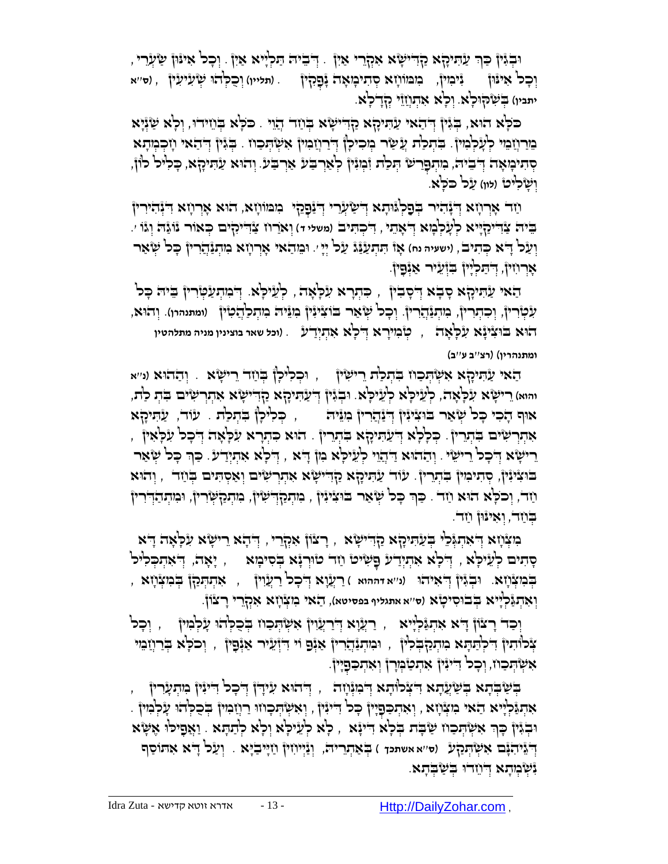ּוּבְׂיֶּין ּכַּךְ עַהִיכָא הַדְיִישָׂא אִקְרֵי אַיְן . דְּבִיה הַלְיָּיא אַיִן . וְכָל אִינּוּן שַׂעֲרִי , וְּפָל אִינּֿון גִיכִוין, מִמּוֹוָא סְתִיבְוּאָה נָּפָקִין . (תּלייו) וְפִלְהוּ שְׂעִיעִין , (ס׳׳א יתביו) <del>בְ</del>שָׁקוּכְ<sup>וֹ</sup>א. וְכְ<sup>וֹ</sup>א אִתְוְזֵוֹ קְדָבְלָא.

ָכֹּכְא הוּא, בְּגִּין דְּהַאי עַתִּיהָא קַדִּישָׂא בְּוַזר הָוֵי . כֹּכְא בְּוֵזידוּ, וְכְא שַׂגְיָא מֵ רַ חֲ מֵ י לְּ עָ לְּ מִ ין. בִֻ תְּ לַת עֲ ַ שר ְּמ ִכי ָלן ְּ ֻדַרֲח ִמין ִא ְּש ְֻּת ַכח . ְֻּבִגין ְּ ֻד ַהאי ָח ְּכ ְּמָתא ְּקָוּי הְיָבְיָת הְיִתְּפָרִשׂ הְּכִת וְּכְוֹן לְאַרְבַּע אַרְבַע. וְהוּא עַתִּיכָֽא, כְּלִיל לוֹן, וִשָּׂלִ<sup>וּ</sup>ט (לוו) עַל כֹּכְא.

ַחַד אָרְוָזא דְּנְהִירין בְּפַקְוּוּתָא דְישַׂעְרֵי דְיַנַּפְקִי בִּוּמוֹוְזָא, הוּא אָרְוָזא דִינְהִירין בִּיה צַׂדִיקַיְיָא לְעָלְבְוּא דְ<sup>יָ</sup>אָהֵי , דִיכְהִיב (משלי ד) וְא*ַר*וז צַׂדִיקִים בְּאוֹר נَוֹגַּה וְגֹו ׳. **ְיַעֲל דָיֹא כְּתִיְב, (ישעיה נח) אָו** תִּתְעַנֵּג עַל יְיָ ּ. וּבֵוהַאי אָרְרָזָא בִוּתְגַּהֲרִין כָּל שְׂאַר ּ אִוְּרוֹזִין, דְּהַכְיָין בִּזְעֵיר אַנְפָין.

ַהַאי עַהִיקָא סָבְא דְּסָבִין , כִּתְרָא עִלְאָה , לְעֵיּכְא. דְּבוּתְעַטְּדִין בִיה כָּל עִטְּדִין, וְכִהְרִין, מִהְנַ<u>ּהְ</u>רִין. וְכָל שְׂאַר בֹוֹצִיּנִין ִמְגֵּיה מִהְכַ<sup>וְ</sup>הָטִין (ומתנהרו). וְהוּא, הִוּא בֹּוּצִיּנָּא עִלְאֶה , כְּוֹבִייָרָא דְלְאָ אִהְיְיָד<sup>ַי</sup>ע . (וכל שאר בוצינין מניה מתלהטין **ומתנהרין**( )**רצ**''**ב ע**''**ב**(

ַהאי ַע ִֻתיָקא ִא ְּש ְֻּת ַכח ִֻב ְּת ַלת ֵרי ִשין , ֻו ְּכ ִלי ָלן ְֻּב ַחד ֵרי ָשא . ְּו ַההֻוא )**נ**''**א והוא**( ֵרי ָשא ִע ָֻל ָאה, לְּ עֵ ילָֻא לְּ עֵ ילָֻא. ֻו ְּבִגין ְּ ֻד ַע ִֻתיָקא ַקִ ֻדי ָשא ִא ְּתְּר ִשים ִֻב ְּת לַת, אוּף הָכִי כָּכ<sup>ן</sup> שְׂאַר בּוּצִיּוָּין דְּיַנְהֲרִין בִוּגִּיה  $\zeta$  , כְּכִיכְן בִּתְכַת . עוֹד, עַתִּיכָא ָ ָּאִתְרְשִׂיּם בִּתְרֵיןْ . כְּלְלָא דְּעַתִּיכָןא בִתְרֵיןْ . הוּא כִתְרָא עִלְּאָה דְּכָל עִלְאִיןْ ָרִישָׂא דְּבָל רִישִׂי . וְהַהוּא דַּהְוֵי לְעֵילָא בְּוֹ דָּא , דְּלְא אִתְיְדַע. כַּךְּ כָּל שְׂאַר בּוּצִיּנִּיןْ, סְתִיכִוּיןْ בִּתְְרֵיןْ. עַוֹד עַתִּיכָלָא כַלְדִישָׂא אִתְרְשִׂים וְאַסְתִּים בְּוַזֵר , וְהוּא ְַּחֹד, וְכֹכָא הִוּא וַזָּד . כַּךְ כָּל שְׂאַר בֹּוּצִיּנִין , ִמְתְּקַדְשִׁין, מִתְקַשְּׁרִין, וּמִתְהַדְּרִי בְּוַד, וְאִינּוּן וַזִד.

הּעְּיָת דְּאה יְאת יִעְלָּאה הָדוּישָׂא , רָצוֹן אִקְרֵי , דְּהָא רֵישָׂא עִלְּאָה דָּא סְתִים לְעֵילָא , יְדֹלְא אִתְיְדַע בָּשִׂיט וַזה טוֹרְנָא בְסיכְוּא , יָאָה, יְדֹאתְכְלִיל בְֻּ מִ צְּ חָ א. ֻו ְּבִגין ְּ ֻד ִאיהֻו )**נ**''**א דההוא** ( ַרֲעָוא ְּ ֻד ָכל ַרֲעִוין , ִא ְּת ְֻּתַקן ְֻּב ִמ ְּצ ָחא , יְאִהְגַּלְיָיא בְּבוּסִיטָא (ס׳׳א אתגליף בפסיטא), הַאי כִּזְצְ**וָזא אִקְרֵי רָצוֹן**.

וְּכַד רָצۡוֹן דָא אִתְגַּלְיִיא , רַעֲׂוָא דְּרַעֲוִין אִשְׂתְּכַוּו בְּכִלְהוּ עָלְּמִין , וְכָל אָכותין דִלְתַּתָּא מִתְכַלְבְלִין , וּמִתְנַ<u>ּהֲ</u>רִין אַיְּפַ וִי דִיְזֶעֵיר אַיְּפָין , וְכֹלָא בְּרַוְזַבִּוּי אִשְׂהְכַוז, וְכָל דִייִּנִּין אִתְטַבְּוָרן וְאִתְכַּפָיִין.

בְּשַׁבְּתָא בְּשַׁעֲתָא דִּצְלוּתָא דְּבוּנְוָה , דְּהוּא עִידְן דְּכָל דִיּוּין בִּתְעָרִין ּאִתְּנַּלְיָּיא הַאִי מִצְוָזא , וְאִתְכַּפְיָין כְּל דִיּנִין , וְאִשְׂהְכְוזוּ רַוְזַמִין בְּכֻלְהוּ עָלְמִין וּבְגִּיןْ כָךְ אִשְׂהְכַוז שַׂבְת בְּלָא דִינָּא , לָא לְעֵילָא וְלָא לְתַתָּא . וַאֲםָילוּ אֶשָּׂא ְּו ַעל ֻד ְֻּב ַא ְּת , ְּוַנְּיי ִחין ַחָֻיי ַבָֻיא . ָ א ִא ֻתֹו ַסף ֻד )**ס**''**א אשתכך** ( ֵרי ֻה ְּ ֵגי ִהָֻנם ִא ְּש ְֻּתַקע וִּשְׁבְּתָא דְּוָזְדוּ בְּשַׁבְּתָא.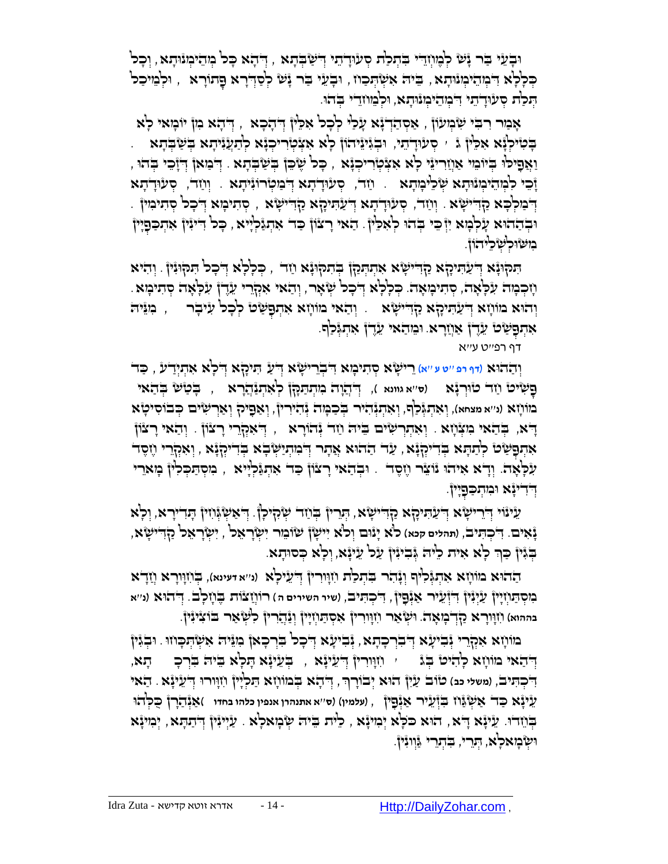וּבְֿעֵּי בִּר יָּשָׁ לְּמֶוֹזֵהִי בִּתְלַת סְעִוּדָתי הִשְׁבָּתָא , דְּהָא כָּל מְהִימְוּתָא , וְכָל ָבְּלְלָא דִּמְהֵיֹמְוּתָא , בֵּיה אִשְׂהְכָוז , וּבְעֵי בַר יָּשׁ לְסַדְרָא פָתוֹרָא , וּלְמֵיכַל הִכְּת סִעַּוּדְתֵי דִּבְוְהֵיכִונּתָא, וּכִבְּווֹדֵי בִדוּ.

אָבּור רִבִּי *יִּמְ*בְּוּעֹוֹן , אַסְהַדְ יָּא עָלַי לְכָל אָכֵ<sup>נ</sup>וֹ ְדְהָכָא , יְדֹהָא ִמְןْ יוֹבְּואי לְא בְּטִיּכְוָّא אִכֵּין ג ' סְעוּדָתִי, וּבְגִינִיהוֹן כְא אִצְטְרִיכְנָא לְתַעֲנִיתָא בְשַׁבְּתָא וַאֲפָיכ<sup>ן,</sup> בְּיוֹבֵוּ אַוְזַרִיגֵּוּ כְ<sup>וָ</sup>א אִצְקִירִיכְגָּא , כָּכ<sup>ן</sup> שֶׂכֵּן בְּשַׁבְּתָא . דְּבִוּאן דְיָיָבֵי בְּהוּ , ָז ֵכי ִל ְּמ ֵהי ְּמנֻו ָתא ְּש ֵלי ָמָתא . חַ ד, ְּסע ֻוָדָתא ְּ ֻד ַמ ְּטרֹוִני ָתא . וְּ חַ ד, ְּסע ֻוָדָתא ָדְּבִּוּלְּכָא קַדִּישָׂא . וְוַזֵּד, סְעוּדְתָא דְעָתִּיכָןּא כְּחַדָּי וְיֹוּשָׂא , סְתִיכָוּא דְבָכל סְתִיכִוּין וּבְהַהוּא עָׂלְבְּוּא יִוְּבֵי בְּהוּ לְאִלֵּיןْ. הַאי רָצוֹן כַּד אִתְגַּלְיָיא , כָּל דִייִין אִתְכַּפָיִין בִזשֿוּכִשָּׂכֵיהוֹן.

הַקוּנָּא דְּעֲתִיקָא קַדִּישָׂא אִתְתְּכַן בְתוּכוֹ זָיך , כְּכְלְא דְבָל הַקוּנִין ְ וְהִיא ּ מְכְּבְּוּה עִלְּאָה, סְּתִיכְוּאָה. כְּלָלְא דְיכָל שְׂאָר, וְהַאי אִקְרֵי עֵדֶ ן עִלְּאָה סְתִיכְּוּא וְהוּא מוֹוְזָא דְיַעַהִיקָא קַדְּישָׂא .. וְהַאי מוֹוְזָא אִתְפָשִׂט לְכָל עִיבְר  $\rule{1.5ex}{0.75cm}$  , כִּוּיֶה ּאִתְפָּשָׂט' עֵרֶךְ אַוְזַרָא. וּמֵהַאי עֵרֶךְ אִתְגְּלַף.

דף רפ''ט ע''א

ֵרי ָשא ְּס ִתי ָמא ֻד ִֻתיָקא ְּ ֻד ָלא ִא ְּתְּיַדע , ַֻכד ִ ְּבֵרי ָשא ֻד ְּו ַההֻוא )**דף רפ** ''**ט ע** ''**א**( ְּ ַע ָ**בְּשִׂיט וַזָד טוּרְגָֿא (ס**ייא גוונא ), דְּיְהֲוָה מִוְתַתַּקָן לְאִתְנַּהֲרָא , בְּטַשׁ בְּהַאי בּוֹוֹיָזָא (ני׳א מצחא), וְאִתְגְּכַ<sup>וֹ</sup>ף, וְאִתְגְּתֹוּר בְּכַבְּוּה גְּהִירִיןٌ, וְאַפְיֹק וְאַרְשִׂים כְּבוֹסִיטָ*ּא* ָרָא, בְּהַאי מִצְּׁוָזא . וְאִתְרְשִׂים בֵּיה וַחָר יְּחֹוֹרָא , יְדֹאִקְרֵי רָצוֹן . וְהַאי רָצוֹן ָאִתְפָּשָׂט לְהַתָּא בְּדִיּקְנָּא, עַד הַחֹוּא אֲתִר דְּבִּוְתַיַּשְׂבָא בְדִיקְנָּא , וְאִקְרֵי וָזֶסֶד עִלְאָה. וְדָא אִיהוּ נֹוֹצֵר וֶזֶסֶד . וּבְהַאי רָצוֹן כַּד אִתְגַּלְיִיא , ִמִסְתַכְּלִיןْ בְּזִאֵרִי יְדִדִינְא וּבִזהְכַ**ּ**פְיֶין.

ָעַינֿוי דְרֵרישָׂא דְיַעַהִיקָא קַדִּישָׂא , הְרֵין בְוַזד שְׂקִיכְן ָ דִאשְׂגְּוִזין הַדִייָרא, וְכְא נָאִים. דִּכְתִּיבׂ, (תהלים קנא) כ<sup>וָ</sup>א יָנֿוּם וְכ<sup>ֹ</sup>א יִישְׂן שׂוֹבֵור יִשְׂרָאֵל , יִשְׂרָאֵל קַדְדִישָׂא, הַגִּין כַּךְ כְא אִית כִ<sup>וּ</sup>ה גְּבִינִּין עַל עֵינָא, וְלְא כְּסוּתָא.

ַההֻוא מֹו ָחא ִא ְּתְֻּג ִליף ְּוָנ ִהר ִֻב ְּת ַלת ִחָֻווִרין ֻד )**נ**''**א דעינא**(, ְֻּב ִחָֻווָרא ֲחָדא ְּ ֵעי ָלא בִּוּסְתַּוְזְיָיןْ עַיְּגָיןْ דִיְ*יָ*עֵלֶר אַגְּֿפָיןْ, דִיכְהִיב, (שיר השירים ה) רוֹוְזַצْוֹת בֶּוֹזְכָב. דְיהוּא (נ״א בההוא) (זְוָוָרָ א קַדְּבְוָאָה. וִשְׂאַר וִזְוָוִרִין ְּאִסְתַוְזְיָין וְנַּהֲרִין ְלִשְׂאַר בֹוֹצִינִּין.

מּוֹיָזא אִמְרֵרי יְּבִיעָא דְּבִרְכָהָא, יְבִיעָא דְבִיעָא דְּבִיעָא וְאוֹבְה ְאִשְׂהְכָוזוּ. וּבְגִּין יְדִּחֲא כְהִיט בְּג , יִוְוָוִרִין דְיַעֵּינָּא , בְּעֵינָא הָכְא בִּיה בִּרְכָ , הָא, דִיכְתִּיב, (משלי כב) טוב עַיִן הוּא יְבוֹרָך, דְּהָא בְּמוֹוָזא תַּכְיָין וִזְוּורוּ דְעֵינָא . הַאי ְּ ֵעיָנא ַֻכד ַא ְּשַֻגח ִֻבְּז ֵעיר ַאְּנ , )**עלמין**( )**ס**''**א אתנהרן אנפין כלהו בחדו** ( ַאְּנ ַהָרן ֺֻכ ְֻּלהֻו ֻפִ ין ָבְּוֹדִוּ. עֵיְיָּנִין ְדְּיַתָא , יְּמִינָּא , כִּית בֵיה שְׂבְואלָא . עַיְיִנִּין ְדְּיַתָּא , יְמִינָּא וּשְּׂבְוּאלְא, הְּרֵי, בִּתְרֵי ﴿וְוִנִּיןْ.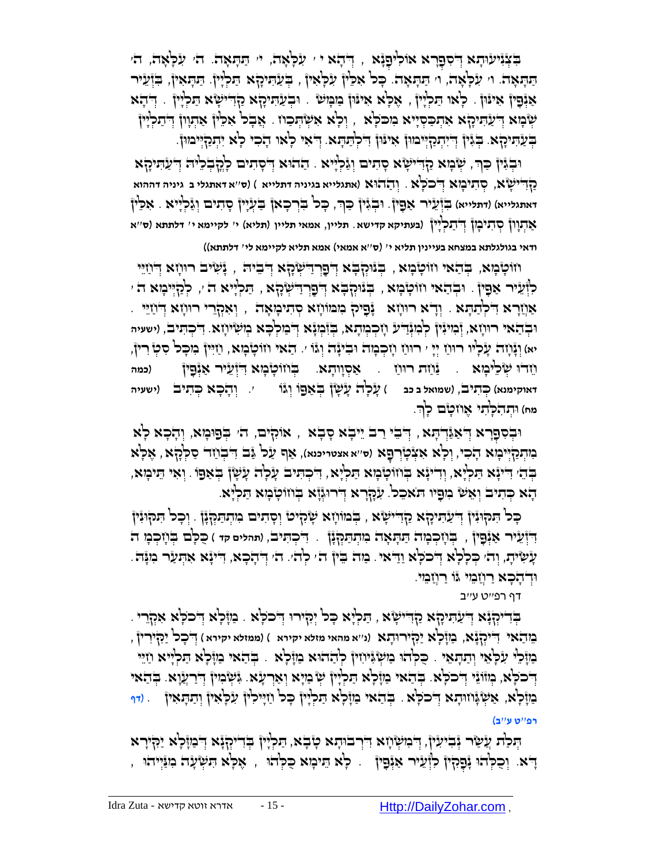ַבְּצְּוָיעוּתָא דְּסְפָרָא אוֹכִיפָנָּא , דְּהָא י ִ עִלְּאָה, יִּ תַּתְּאָה. הֹ עִלְאָה, הֹ ַתַּתְּאָה. וּ עִלְּאָה, וּ תַּתְּאָה. כָּל אִמֵ<sup>וֹ</sup>ן עִלְּאִיןْ , בְּעַתִּיכָןא תַּלְיָין. תַּתְאִין, בִּזְּעֵיר אַנְּפָין אִינֿון . כְאו הַכְלְין , אֶכְא אִינֿון בַוּבְוּשׂ . וּבְעַהִיכָןא ַקַדִּישָׂא הַכְלְין . דְּהָא שְׁבָּוּא דְּעַהִיקָא אִהְבַּסְיָיא ִמִכּלְּא , וְכְא אִשְׂהְבַוז . אֲבָל אִכֵּין אַתְוְוןْ דְּתַלְיִיןْ ין ֻד . ְּ ֻד ִאי ָלאו ָה ִכי ָלא ִי ְּתַקְּ ֻיימֻון. ְּ ִי ְּתַקְּ ֻיימֻון ִאי ֻנֻון ֻד ְֻּב ַע ִֻתיָקא. בְֻּ גִ ִ ְּל ַֻת ָֻתא

וּבְֹּיֶןْ כַּךְ, שְּׂבָוּא קַדִּישָׂא סָתִים וְגַּלְיִיא <sub>ּ</sub> הַחֹוּא דְסָתִים כְהֲבְלֵיה דְּעַתִּיקָא ַקַ דִּיִּשְׂא, סְּתִיכְוּא דְּכֹכְ<sup>וֹ</sup>א. וְהַהוֹא (אתגלייא בגיניה דתלייא ) (ס׳'א דאתגלי ב' גיניה דההוא **ישאת י** ָֻכל ִֻבְּר ָכאן ַֻב ְּעָיין ָס ִתים ְּוַג ְּל . אִ לֵֻין ֻו , ָייא ְּבִגין ַֻכךְּ **דאתגלייא**( )**דתלייא**( ִֻבְּז ֵעיר ַא ִֻפין. ַא ְּתָוון ְּס ִתי ָמן ֻד )**בעתיקא קדישא**. **תליין**, **אמאי תליין** )**תליא**( **י**' **לקיימא י**' **דלתתא** )**ס**''**א** ְּ ַת ְּלָיין **ודאי בגולגלתא במצחא בעיינין תליא י**' )**ס**''**א אמאי**( **אמא תליא לקיימא לי**' **דלתתא**((

חוֹטְבְּא, בְּהַאי חוֹטְבָא , בְּנוּקְבָּא דְּפַרְדַיִּשְׂהָא דְּבִיה , נָּשִׂיב רוּוְזָא דְּחַיֵּי ַלְוְּעֵיר אַפָּין . וּבְהַאי וזוֹטָבְוּא , בְּנוּקְבָּא דְפָרְדִישְׂקָא , תַּלְיָיא ה ׳, לְקָיִיכְוּא ה ׳ ּאֲוָזָרָא דִּלְתַתָּא . וְדָא רוּוְזָא ۚ נָּפִיק ִמִמּוֹוָא סְתִיכְּזָאָה , וְאִקְרֵי רוּוְזָא דְוֹזֵיִי . וּבְהַאי רוּוְזָא, זְּכִוּגִּין לְבִוּנְה (זִכְבְּוִתָא, בְּזִ֫כְוֹ דִּבְוּלְכָּא בְוִשְׂיוְזָא. דִ**בְהִיב, ווש**עיה יא) וְגָּ֫וָזהֹ עָׂלְיו רוּוַז יְיִ י רוּוַז וְזְכְהָה וּבִינָּה וְגֿו ׳. הַאי וזוֹטָבְּא, וַזִיִּיןْ בִזכְּל סִטְ רִיןْ, **וֹזדוּ שְׂלֵיבְזא . יַּזْוַת רוּוֹז . אַ**סְוָותָא. בְּוֹזוֹטְבְּזָא דִיְ*ּיָעִיר א*ַנְּפָין (כמה דאוקימנא) כְּתִיב, (שמואל ב כב ) שָׂכְ<sup>וָ</sup>ה עָשְׂן בְּאַפוֹ וְג<sup>ּוֹ</sup>ו | יִ וְתָבָא כְּתִיב | (ישעיה מח) וּתְהִלְתִי אֶוֹזטָם לְךָ

וּבְסִפְרָא דְּאַגַּֿדְהָא , דְּבֵי רַב יֵיבָא סָבָא , אוֹקִים, הֹ׳ בְּפוּמָא, וְהָכָא לָא ַבְּוּדְּנַקְיִּיּבְוּא דָבִל, וְכְא אִצְטְֿרְפָּא (ס׳׳א אצטריכנא), אַף עַל גַּב דִּבְוַזד סַלְּקָא , אֶלְא ַּבְּהֵי הִינְּא הַלְיָּא, וְדִינְּא בְּווֹטְבְוּא הַלְיָא, הִבְהִיב עָלְה עָשָׂן בְּאַפָו . וְאִי הֵיכְוּא, ָּהָא כְּתִיב וְאֵשׁ ִכְּוּפָיוּ הִאְכָל. עִׂמְרָא דְּירוּגְוָ֫א בְּוזוֹטְ֫בָזא הַלְיָּא.

ָכָּל הַמִּן וָיָעֲתִיכָן א קַדִּישָׂא , בְּבוּו ְוָא שְׂהִיט וְסָתִים ִמְתְתַּקְיָן . וְכָל הִמִן וְּיֹן  $\frac{1}{2}$ וֹּדְוֹלֵיר אַיְּפָיןْ , בְּתִוּכְמָה תַּתְּאָה מִתְתַּמְּלְןْ . דִיכְתִּיב (תהלים קד ) כֻּכְּב בְּתִוּכְמָ ה ָעָעִיּת, וְהֹי כְּכְלָא דְּכֹלְא וַדִּאי. מַה בֵּין ה' לְהֹי. ה' דְּהָכָא, דִיעָּא אִתְעַר ִמְנָּה. וּדְיהָכָא רַוְיָבִוּי גוֹ רַוְיָבִוּי.

דף רפ''ט ע''ב

ַדְּדִיקְּיָּא דְּעַהִּיקָא קַדְּיִשְׂא , הַכְלְּא כָּכן יְהָירוּ דְּבכְלָּא . בַּזוֶלְא דְּבכְלָּא אִקְרֵי מֵ הַ אי ִ ֻדיְּקָנא, ַמָֻז ָלא ַיִ ֻקיר ֻו ָתא )**נ**''**א מהאי מזלא יקירא** ( )**ממזלא יקירא** ( ְּ ֻד ָכל ַיִ ֻקיִרין , ַכְּוָּלֵּי עִלְּאֵי וְתַהָאֵי . כֻּכְהוּ בַוּשְׂגִּיוִזִין ְּלְהַהוּא בַוְזָלָא . בְּהַאִי בַוִּלְּא הַכְלְיוּא וַזֵיִי ָדְּכֹלְא, מְווֹגֵי דְּכֹלְא. בְּהָאי בַּוָּלְא הַלְיָּוֹ שְׁ בַּוְיָא וְאַרְעָׂא. גִּשְׂמִין דְּיַרְעֲוָא. בְהַאי ַמַזֶּלְא, אַשְׂגֶּוזוּהָא דְּ'כֹכְא . בְּהַאי ִמַּזְלְא הַלְיִין כְּל וַזְיִילִין עִלְּאִיןْ וְהַהָאִיןْ . (דף **רפ**''**ט ע**''**ב**(

הַּכְ<sup>ָ</sup>ת ְעָשַׂר יְּבִיעִין, דְּבִוּשְׂוָא דִּרְבוּתָא טְבָא, הַכְיָין בְדִייִקְיָּא דְּבַוזָּלְא יַקִּירָא ָ ֻדא. ין ְּפִקין ִלְּז ֵעיר ַאְּנ ֻפ ִ ָלא ֵֻתי ָמא ֺֻכ ְֻּלהֻו , ֶא ָֻלא ִֻת ְּש ָעה ִמַֻנְּייהֻו , ְּו ֺכ ְֻּלהֻו ָנ .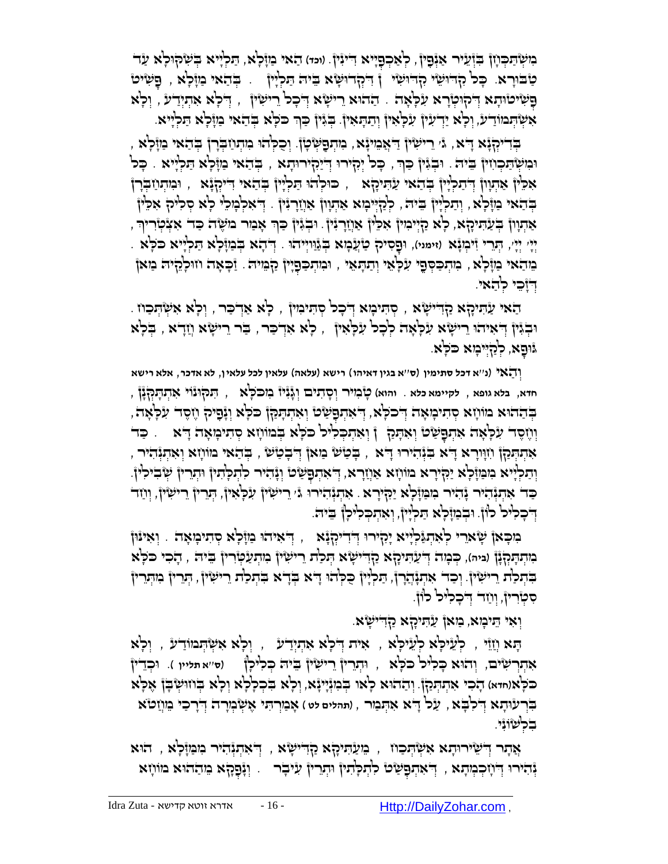ָּכְוְשְׂ<sup>ָ</sup>הַכְּוָן בְּזְעֵיר אַיְּבָין, לְאַכְבָּיִיא דִייִין. (וּמוּ) הַאי בַּזְלָא, הַלְיְיא בְשִׂקוּלָא עַד ָּטַבּוּרָא. כָּכ<sup>ן</sup> קָדוּשִׂי קָדוּשִׂי ן דִּקְדוּשָׂא בֵיה תַּכְיָין .. בְּהַאי ַמַזְּכְא , פָשִׂיט ָפְּשִׂיטוּהָא דְּקוּטְרָא עִלְאָה . הַהוּא רִישְׂא דְּכְל רִישִׂין , דְּלְא אִהְיָדַע , וְלָא ְּ ָאִשְׂהְּבוֹוַדִּע, וְכָא יַדְעִין עִכְאִין וְתַהְאִין. בְּגִין כַּךְ כֹּכְא בְּהַאי בַּוָּלְא הַכְלְיּא. ְּ

ָבְּדִיקְּנָּא דָּיא, ג' רִישִׂין דַּאֲכִוּנְּא, בִוּתְפַשְּׂטָן, וְכִקְתוּ בִוּתְוַבְּרָן בְּהַאי בַוזָּלְא , וּכִוּשְׂהַכְוִזוּן בֵּיה . וּבְגִּין כַּךְּ, כָּכו יְהָירוּ דְיִיַקִירוּתָא , בְּהַאוּ כִּוְּבְאָ הַכְיָיא . כָּכ ָאָכֵּין אַתְוון דְּתַלְיָן בְּהַאי עַתִּיכָא , כוּלְהוּ תַּלְיָין בְּהַאי דִייְקְנָא , וּבִוּתְוַיבְרָן ַבְּהָאי כַוּזָׁלְא , וְתַלְיִין ְבִיה , לְּלָיְיִבְוּא אַתְוון אַוְזַרְגִּין . דְיאלְבְולִי לָא סְלִיק אִכֵּין ָאַתְוְן בְּעַתִּיכָא, כְאַ הַיְּיִּכִוּן אִכְיוֹ אַוְזַרְגִּין . וּבְגִּין כַרְּ אָבִור בוּשֶׂה כַּד אִצְכְוִריךְ יִיְי יְיָי, הְּנֵרִי זִיּכְוָּ אֵ (זימני), וּפָסִיק טַיְֿעֲכְוּא בְּגַוְיְיוֹדוּ . דְּדְדָא בְּכַוְּכְא הַכְלְיא כ ַזְהָאי כְּוָיָּלָא , בִּוּתְכַּסְםֵי עִלְּאֵי וְתַהָּאֵי , וּבִותְכַםְיָין קַבְּוּיה . זַּכְאָה וווּלְהֶיה בִואן דוָכִי לִדָּאי.

ַהָאי עַהִיקָא קַדִּישָׂא , סְהִיכְוּא דְּכָל קְהִיכִוּן , לְּא אַדְכַר , וְלָא אִשְׂהְכַוז . וּבְגִּיןْ דְאִיהוּ רֵישָׂא עִלְאָה לְכָל עִלְאִיןֹ , לְא אִדְכַר , בַּר רֵישָׂא וְזַדָא , בְּלְא ָפא ֻג , ְּלַקְּ ֻיי ָמא ֻכֹ ָֻלא. ֻו

וְּ הַ אי )**נ**''**א דכל סתימין** )**ס**''**א בגין דאיהו**( **רישא** )**עלאה**( **עלאין לכל עלאין**, **לא אדכר**, **אלא רישא חדא**, **בלא גופא** , **לקיימא כלא** . **והוא**( ָט ִמיר ְּו ָס ִתים ְּוָגִניז ִמ ֻכֹ ָֻלא , ִֻת ֻק ֻונֹוי ִא ְּת ָֻתְּ ֻקָנן , ַבְּהַהִּא מֹוֹוָא סְהִיכְּאָה דְּכֹלָא, דְּאִהְפָּשָׂם וְאִתְהָקַן כֹּלְא וְגָנָיק וֶזֶסֶד עִלְאָה, וְוֹזֶסֶד עִׂכְּאָה אִתְפָּשַׂטֿ וְאִתָּק ְ וְּאִתְכְלִיל כֹּכְא בְּמוֹוָזא סְתִיכְוּאָה דָּא ִ . כַד ָאִתְתְּכַן וִזְוָרָא דָא בְּנְּהִירוּ דָא , בְּטַשׁ מַאן דְּבְטַשׁ , בְּהַאי מוֹוָזָא וְאִתְנְּהִיר , ְיָתַלְיָיא ִמִכְּוָּלְא יַקִיְרָא מוֹוְזָא אַוְזַרָא, דְאִתְפָשָׂט וְּנָהִיר לִתְּלָתִין וּתְרֵין שְׂבִילִין. כַּד אִתְגְּהוֹר גָּוֹמִל (אוֹן יִחֲד הַיִּשִׂין, וְוָד ָהַרִין ְיִחַד ְּחַ דִּישִׂין, וְוָז ַד יִשְׂין, וְוָז דְּבְלִיל לוֹן וּבְמַזָּלְא הַלְיָין, וְאִתְכְלִילָן בֵיה.

ַנִּדְאִיהָוּ כַּוָּבְלָא מְהִיכְּוּאָה ָיִאִינוּ ְיִי $\mu$ ְּנָא ְ $\mu$  וְאִינּוּן ְ ָּכְוְּדְתָּקְנָן (ביה), כְּבְוּה דְּיעַתִּיכָן א קַדִּישָׂא הְכַ<sup>נ</sup>ת רֵישִׂין בְוִתְעַטְרִין בֵיה , הָבִי כֹּכְא ַבְּתְכַׂת רִישִׂין, וְכַד אִתְגָּתֲרוֹ, תַּלְיָן כִלְּהוּ דָא בְּדָא בִתְכַׂת רִישִׂין, הְרֵין ִבְוִתְרִין סִטְרִין, וְוֹזֵה דְּבְכְיִּכְ כְוֹן.

וְאִי הֵיכְוּא, בַּוּאןْ עַהִיקָא כַּזְדִישָׂא.

ָֻתא ֲחֵזי , לְּ עֵ ילָֻא לְּ עֵ ילָֻא , ִאית ְּ ֻד ָלא ִא ְּתְּיַדע , ְּו ָלא ִא ְּש ְֻּתמֹוַדע , וְּ לָא ֻו ְּכ ֻו )**ס**''**א תליין** (. ֵדין ְּוהֻו , ְּתֵרין ֵרי ִשין ֵֻבי ֻה ְֻּכ ִלי ָלן ִא ְּתְּר ִשים, א ָֻכ ִליל ֻכֹ ָֻלא בּכְאוֹחדּא) הָכִי אִתְתְּכַן). וְהַהוּא כָאו בְּכִוּנְיִיָּנא, וְכָא בִּכְלָלָא וְלָא בְּוזוּשְׂבָן אֶלְא ָבִּרְע*ֶּ*וּהָא דְּלִבָּא , עַל דָא אִתְּמַר , (תהלים לט ) אָמַרְתִּי אֶשְׂמְרָה דְּרָכִי מֵוְזַטֹּא בִלְּעוֹנִי.

ָאֲתָר דְיֹשֵׂירוּתָא אִשְׂהְכָוז , בֵועַהִיקָא קַדִּישָׂא , דְיֹאִתְנְהִיר ִמִנְזָּלָא , הוּא יָּהִירוּ דְיֹוָכְבְּתָא , דְּאִתְפָּשַׂט לִתְלָּתוֹן וּתְרֵין עִיבְר . וְיָּפָקָא בֵּוהַהוּא מוֹוְזִא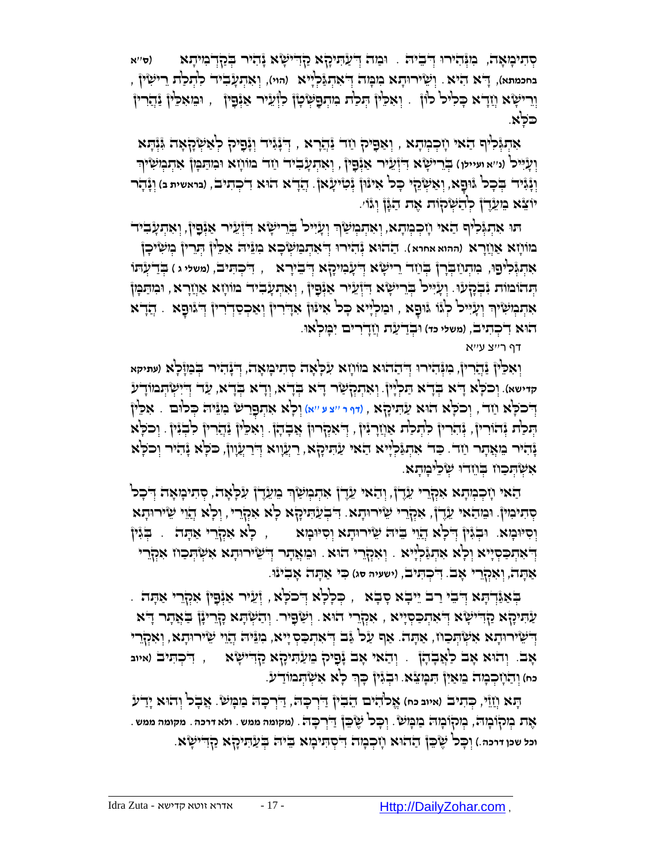סְּתִיכְּוָאָהֹ, כִּוְּיָּהִירוּ דְּ<del>יֹבִיה</del>ֹ . וּבַּוֹה דְּיַעַהִּיכָהָא קַדִּישְׂא יָּהִיר בְּכַדְּבְוִיהָא ) (ס׳'א בחכמתא), יָדֹא הִיֹא . וְשִׂיּרוּהָא בִזכְּוּה דְיֹאִהְגַּלְיָּיא (הוי), וְאִהְעָבִיד כִ<sup>ו</sup>הְכַ<sup>דָ</sup>ת רֵישְׂיןْ , וְרִישָׂא וְוֹדָא כְּלִיל לוֹן . וְאִלֵין הְּלַת ִמְתְּפָשְׂטָן לִזְעֵיר אַיְּפָין , וּמֵאִלֵין נַֿדְרִין ַכֹּלָא.

אַנֹוֹּלְיִף הַאי וְזִכְּוְתָא , וְאַפִּיק ְוַז יַּנְדָרא , דְּיָנְיִד וְיָּפִיק לְאַשְׂקָאָה יְּוְיָתא וְעָ*ּיִּיל (ני'א ועיילו*) בְּרֵישָׂ'א דִיְ֫עֵיר אַנְּפָיןْ , וְאִתְעָ*ּבִי*ד וַזד בּוּוֹוָזָא וּבִּוּתַבְּוֹן אִתְבְוֹשִׂיךְ **ְיִנְּגִיד בְּכָל גּוּפָא, וְאַשְׂהֵי כְּל אִינּוֹן יְּטִיעָׂאן**. הֲדָא הוּא דִכְתִיב, (נואשית נ) וְנָהָר יֹוֹצֵא בִ*וּעֵ*דֶ† כְ<sup>ּו</sup>ְהַשְׂקוֹת אֶת הַגָּן וְגֿוֹ׳.

תו אִתְּגְּלִיף הַאי וְזִכְנְתָא, וְאִתְנְשַׂךְ וְעָיִיל בְּרֵישָׂא דִוְעֵיר אַיְּפָין, וְאִתְעָבִיד ְּ מוֹרָא אַוְ<mark>וָר</mark>א (ההוא אחרא). דַההוא גְּהִירוּ דְיֹאִהְבִוּשְׂכָא בִוְגֵּיה אִכֵּין הְנִרִין בְוִשִּיכָן אִתְגְּבְ<sup>עְ</sup>פוּ, בִּוּתְוַזְבְרָן בְּוַח ְרִישְׂא דְעָבְוִיכָא דְּבִירָא , דִּכְתִּיב, (משלי ג ) בְּדַעְתוּ ּוְתְּעֲרֹא אַוְיָרָא , וּכִוְתַּמְן הְיִתֵּמִל בְּוֹרִע אַיְּפָין , וְאִתְעָבִיר מוֹוְזָא אַוְיָרָא , וּמִתַּמִן ָאִתְּבְוֹּשִׂיךְ וְעָיִּיל לְגֹּו גּוּםָא , וּבַוּלְיִיא כָּל אִינּוֹן אִדְרִין וְאַכְסַדְרִין דְּגוּםָא . הֲדָא הֻוא ִד ְּכ ִתיב, )**משלי כד**( ֻו ְּבַד ַעת ֲחָדִרים ִי ָֻמ ְּלאֻו.

דף ר''צ ע''א

וְ**ֹאִכְ<sup>וֹ</sup>ן נַּהֲרִיןْ, מִגְּהִיׁרוּ דְּ** הַהֹוֹן א עִלְאָה סְתִימְאָה, דְּבָּהָי בְּבַזְּלָא (עתיקא **קדישא**(. ְּוכֹ ָֻלא ָ ֻדא ְֻּבָדא ַֻת ְּלָיין. ְּו ִא ְּתְּק ַשר ָ ֻדא ְֻּבָדא, וְּ דָ א בְֻּ דָ א, ַעד ְּ ֻדִי ְּש ְֻּתמֹוָדע ָדְּבֹלָא וַזָּדֹ, וְכֹלְא הֹוּא עַׂהִיקָא , ו*וּוּ י* 'צע ''א) וְלָא אִתְּפָרַשׁ ִמְגַּיה כְּלוּם . אִלֵּין بَنْ فِي الْجَانِسِ لِلْبَاسِرِ وَالْمَرْبِينَ مُسْتَلَمَيْنَ الْجَمْنُونَ لِهِ تَبْلُ مِنْ الْمَرْدِينَ لِهِ وَجَر נָהִיר מֵאֲתָר וַזה. כַּה אִתְגַּלְיִיא הַאי עַתִּיכְא, רַעֲווא דְרַעֲוון, כֹּלְא נָהִיר וְכֹלְא ָאִשְׂהָכַוז בְּוֵזדוּ שָׂכֵיּכְוּתָא

הָאי וְזִכְּמְתָא אִקְרֵי עֵדֶן, וְהַאי עֵדֶן אִתְמְשַׂךְ בֵוְעֵדֶן עִכְּאָה, סְתִיכְוּאָה דְּכָל סְּ תִ ימִ ין. ֻו ֵמ ַהאי ֵעֶדן, ִאְּקֵרי ֵשיר ֻו ָתא. ִ ֻד ְּב ַע ִֻתיָקא ָלא ִאְּקֵרי, ְּו ָלא ֲהֵוי ֵשיר ֻו ָתא וְסִיּוּבְוּא. וּבְגִּיןْ דְּלְא הֲוֵי בִּיה שֵׂירוּהָא וְסִיּוּבְוּא , לְא אִקְרֵי אַהָה . בְּגִיןْ ָדְ<sup>ָ</sup>אִתְכַּסְיָיֹא וְכָ<sup>וֹ</sup>א אִתְגַּלְיָיא . וְאִקְרֵי הוּא . וּבִּוּאֲתָר דְיֹשֵׂירוּתָא אִשְׂהְכַוּז אִקְרֵי ַא ָֻתה, וְּ אִ קְּ רֵ י אָ ב. ִ ֻד ְּכ ִֻתיב, )**ישעיה סג**( ִֻכי ַא ָֻתה ָא ִבינֻו.

. דְּאַיֲּדְתָּא דְּבֵי רַב יֵיבְא סָבְא , כְּלִלְא דְלכֹלְא , וְּעֵיר אַיְּפָין אִקְרֵי אַתָּה ַעְּהִיכָּא קַדִּישָׂא דְאִהְבַסְיָיא , אִקְרֵי הוּא. וְשַׂפָּיר. וְהַשְׂהָא קָרֵייָן בַּאֲתָר דָּא ַדְיֹשֵׂירוּהָא אִשְׂהְכַוז, אַהָה. אַף עַל גַּב דְיֹאִהְבַסְ יָיא, ִכְוּגֵּיה הֲיֵוִי שֵׂירוּהָא, וְּאִקְרֵי אָ ב. ְּוהֻוא ָאב ַל ֲא ָב ָהן . ְּו ַהאי ָאב ָנ ִפיק ֵמ ַע ִֻתיָקא ַקִ ֻדי ָשא , ִ ֻד ְּכ ִֻתיב )**איוב**  כּח) וְדַ**ׂוְזִכְבְּוּה בֵּוּאֵיְן** הִעְּעֲאָ. וּבְגִּין כְּךָ כְ<sup>וָ</sup>א אִשְׂהְמוֹדַעֹ.

ָֻתא ֲחֵזי, ְֻּכ ִתיב )**איוב כח**( ֱאאלֹ ִהים ֵה ִבין ַ ֻדְּר ָֻכ ֻה, ַ ֻדְּר ָֻכ ֻה ַמ ָֻמ ש. ֲא ָבל ְּוהֻוא ָיַדע ֶאת ְּמקֹו ָמ ֻה, ְּמקֹו ָמ ֻה ַמ ָֻמ ש. ְּו ָֻכל ֶש ֵֻכן ַ ֻדְּר ָֻכ ֻה. )**מקומה ממש**. **ולא דרכה**. **מקומה ממש**. **וכל שכן דרכה**.( ְּו ָֻכל ֶש ֵֻכן ַההֻוא ָח ְּכ ָמה ִ ֻד ְּס ִֻתי ָמא ֵֻבי ֻה ְֻּב ַע ִֻתיָקא ַקִ ֻדי ָשא.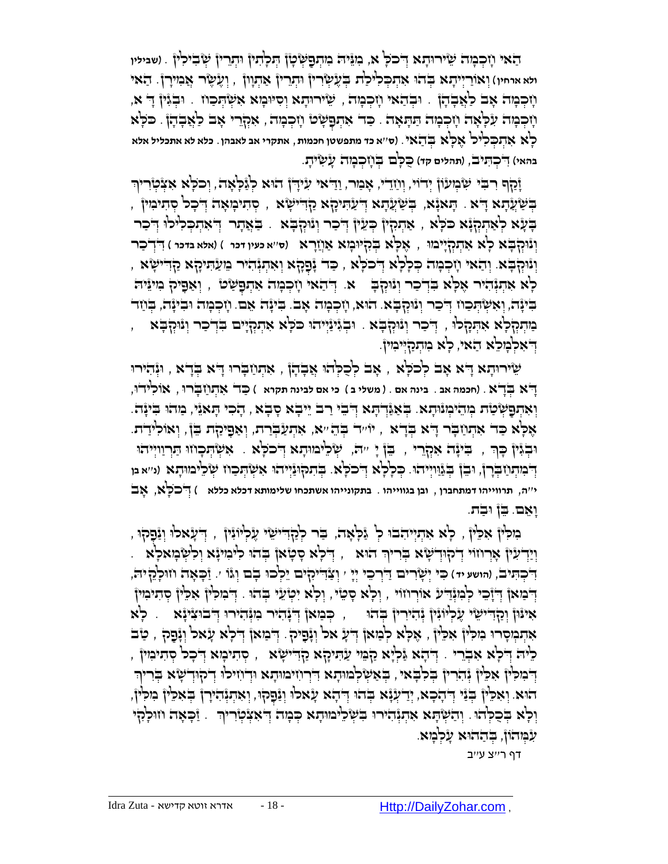ַֻפ ַהאי ָח ְּכ ָמה ֵשיר ֻו ָתא ֻד א, ֻ ְּש ָטן ְֻּת ָל ִתין ֻו ְּתֵרין ְּש ִבי ִלין ְּ כֹ ָֻל ִמֵֻני ֻה ִמ ְּת . )**שבילין**  ולא ארחיו) וְאוֹרַיְיֹתָא בְּהוּ אִתְכְּלִיכַ<sup>וֹ</sup>ת בְּעֶשְׂרִיןְ וּתְרֵין אַתְוְון , וְעֶשֶׂר אֲנִזִירְןْ. הַאי ּ מְכְּבְּה אָב לַאֲבְהָן . וּבְהַאי וְזִכְמָה , שֵׂירוּהָא וְסִיּמְא אִשְׂהְכוּז . וּבְגִּין דָ א, ָּוֹיְבְיָה עִלְּאָה וְזִכְמָה תַּתְּאָה . כַּד אִתְפָשְׂט וְזִכְמָה , אִקְרֵי אָב לַאֲבָהָן . כֹּלְא ָלא ִא ְּת ְֻּכ ִליל ֶא ָֻלא ְֻּב ַהאי. )**ס**''**א כד מתפשטן חכמות**, **אתקרי אב לאבהן**. **כלא לא אתכליל אלא**  בהאי) דְּכִהְי<sub>ָ</sub>ב, (תהלים קד) כֻכְּם בִּוְזָכְבָּזָה עָ*יִ*שְיּתָ.

וָּכַןְּר רִבִּי שִׂבְוּעוֹן יְדֹוֹי, וְוַזַדִי, אָבַור, וַדִּאי עִידְן הוּא לְגַּכְוֹאָה, וְכֹכְא אִצְ֫טְוִרין , יְּחָיִיבְּוֹאָה הָעֲעָרָא הַשְׁעֲתָא יְדֹעַתִּיכָה בְּחִישָׂא , סְתִיכְוֹאָה דְּבְב הְתִיכִוּין , ַ בָּעָא לְאַתְקִוּ בַּלָּא , אַתְמְיֹן כְּעֵין וְיֹכַר וְוּוּקְבָּא . בַּאֲתָר וְיֹאתְכְלִילוּ וְיֹכַר ֶא ָֻלא ְֻּבִק ֻי )**ס**''**א כעין דכר** ( )**אלא בדכר** ( ִ ֻדְּד ַכר ֻו ְּונֻו , ָמא ַאֲחָרא ְּק ָֻבא ָלא ִא ְּתְּקָיימֻו וְּיֵהְבְּא ִיְהַאִי וְזִכְמְה כְּלִא דְּכֹלָא וְלִכְא , כַּד יָּפָקָא וְאִתְּיָּהוֹי בִּועַתִּיקָא קַדִישָׂא , ָלְא אִהְנְּהִיר אָכְא בִּדְכַר וְנוּקִבְּ - א. דְּהַאי וָזִכְמָה אִתְפָּשָׂם, , וְאַפָּיק מִינֵּיה בִּינָה, וְאִשְׂהְכַוז דְּכַר וְנוּקְבָא. הוּא, וְזִכְמָה אָב. בִינָה אֵם. וָזְכְמָה וּבִינָה, בְּוַזד ַמְּתְּקְלָּא אִתְּקָלוּ , דְּכַר וְנוּקְבָּא . וּבְגִּינַיְיהוּ כֹּלְא אִתְקְיָיִים בִּדְכַר וְנוּקְבָּא ְדִּאִלְבְוּכֵא הַאי, לְא בִוּתְקַיִּיבִוּיןֹ

ָשִׂירוּדָא דָּא אָב לְכֹלָא , אָב לְכָלְהוּ אֲבָדָן , אִתְוַבְרוּ דָּא בְּדָא , וּוְּהִירוּ ָ ֻדא ְֻּבָדא . )**חכמה אב** . **בינה אם** . ) **משלי ב** ( **כי אם לבינה תקרא** ( ַֻכד ִא ְּת ַח ָֻבר ֻו , אֹו ִליד ֻו, ְוָאִהְפָשְׂטַׂת בְּוֹהֵיכְוּוֹתָא. בְּאַגַּֿדְהָא דְּבִי רַב יֵיבָא סָבָא , הָכִי הָאַיֵּי, מַהוּ בִייָּה. אָלְּא כַד אִתְוַבְר דָ<sup>יָ</sup>א בְדָא , יוֹ יִד בְּהֵ *י*ֹא, אִתְעַבְרַת, וְאַפָּיקַת בֵּן, וְאוֹלִידַת. וּבְגִּין כְּךָ , בִּינָה אִקְרֵי , בֵן יָ יִה, שְׂכִינוּתָא דְּכֹכְא . אִשְׂהְכָוזוּ הַרְוַוְיִיהוּ דְּבְוּתְוַיִּבְרָןْ, וּבֵן בְּגַֿוַוְיְיהוּ. כְּלְלָא דְּכֹלְא. בְּתִקוּגַּיְיהוּ אִשְׂהְכַוּז שְׂלֵימוּתָא (נ״אמ **י**''**ה**, **תרווייהו דמתחברן** , **ובן בגווייהו** . **בתקונייהו אשתכחו שלימותא דכלא כללא** ( ְּ ֻדכֹ ָֻלא, אָ ב וָאֵם. בֵן וּבָת.

, הִילִין אִכֵּין , כְא אִתְיִיהִבוּ כְ גַּכְאָה, בַר כְקַדִישֵׂי עֻלְיוּנִין , דְעָאלוּ וְנַפְקוּ , וְיַדְעִיןْ אָרְוזוֹי דְיֹקוּדְשָׂא בְּריוִר הוּא , דְּכְא סְסָאן בְּהוּ לִינִזינָא וְלִשְּׁבְזאכְא . ַז ָֻכ ָאה ח ֻו י ֻה, ְּו ַצ ֻד '. ָלֵק ִ יִקים ֵי ְּלכ ֻו ִֻכי ְּי ָשִרים ַ ֻדְּר ֵכי ְּי ' ָבם ְּוגֹו ֻד , )**הושע יד** ( ָי ִ ְּכ ִֻתיב דְּבִּוּאןْ דְיָיָבִי לְמִגְּדִיע אוֹרְוזוֹי , וְלָא סָטֵי , וְלָא יִטְעֵי בְּהֹוּ . דְּבִוּלִיןْ אִכֵּיןْ סְתִיבִוּיןْ אִינּוּןْ וְכַדְּדִיּשֵׂי עֶלְיוּנִיןْ נְּהִירִיןْ בְּהוּ , , כְּבוּאןْ וְדִינְהוּ הִוּנְּהוֹירוּ וְדִבוּצִינָּא ּאִתְּבְּוּסְרוּ בִּוּכְיןْ אִכִּיןْ , אֶכְא לְבַזאןْ דְּעָ אל וְּנָֿפָיק . דְּבִזאןْ דְלִא עָׂאל וְנָּפָק , טַב ָלִיה דְּיֹכְא אִבְרֵי . דְּהָא גַּלְיָא קַבִּוּ עַתוּקָא קַדִּישָׂא , סְתִיבְוּא דְיכָכ סְתוּינִוּן , דְּבוֹכְ<sup>וֹ</sup>ן אִכֵּין ְּנְהִרִין ִבְּלְבָאי, בְּאַשְׂלְמוּתָא דִּרְוֹזיִמוּתָא וּדְוֹזיכוּ דְיקוּדְשָׂא בְּריוּ הוּא. וְאִכְּיוֹ בְּנֵי דְּהָבָא, יְדַעְנָּא בְהוּ דְּהָא עָאלוּ וְנַכְּקוּ, וְאִתְנְּהִירָן בְּאִכִּיוֹ מִכְיוֹ, ַוְּכְא בְּכֻקְהֹוּ. וְהַשְּׂהָא אִהְגְֿהִירוּ בִשְׁכִיּמוּתָא כְּמָה דְּאִצְקִירִיךְ . זַבְאָה וזוּכְהָי ּעִ֫בְּוּהֹוֹן, בְּהַהוּא עָלְבָּוּא.

דף ר''צ ע''ב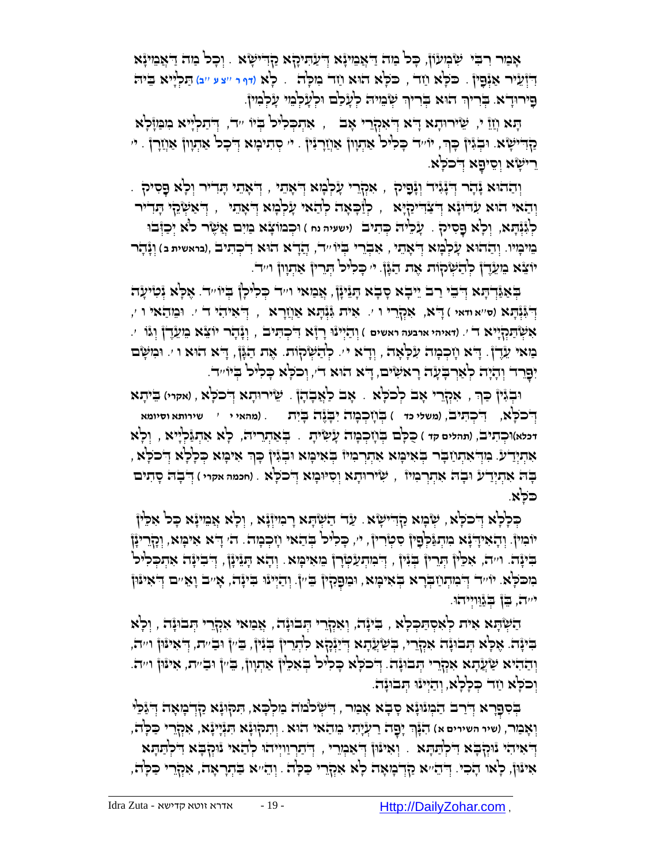אָמַר רִבִּי שִּׂבְוּעוֹן, כָּכ' מַה דַאֲמִינָּא דְיעַהִיכָןא קַדִישְׂא . וְכָכ' מַה דַאֲמִינָּא יִדְיְּעֵיר אַנְּפָיןْ . כ*ּכְלָא וַזד , כּכְא הוא וַזד בִוּכְה .* כְא ו*ודר ייצע ייב) הַ*כְיָיא בֵיה ְפִירוּדָא. בְּרִיךְ הוּא בְּרִיךְ שְּׂבִוּיה לְעָלַם וּלְעָלְבֵוּ עָלְמִיןْ. ְּ

ָּהָא וְזָוֹ י, שִׂירוּהָא דְּא דְּאִקְרֵי אָב , אִהְכְלִיל בְּיוֹ יד, דְּתַלְיִיא ִכִוּבַּוְזָּלָא ַקְדִישָׂא. וּבְגִּיןْ כָּךָ, יוֹ יִדִּ כְּלִיּכוֹ אֲתְוָוןْ אֲחֲדָוּ אֲחֲדָוּ הָי ָרִישָׂא וְסֵיפָא דְּכֹּכְא.

ֻד . ְּ ָאֵתי ָֻתִדיר ְּו ָלא ָֻפ י ָע ְּל ָמא ֻד , ִסיק ְּו ַההֻוא ָנ ָהר ֻד , אִ קְּ רֵ ְּ ָאֵתי ְּ ָנִגיד ְּוָנ ִפיק ַוְהַאי הוּא עִדִּוּנָא דְּשֵׂיְיִרְיָךָ , ְיִדְיִיּכְלְיָא לְהַאי עָלְבְּוּא דְּ'אָתִי , דְ'אַשְׂהָי הָדִייר ֻו ְּכמֹו ָצא ַמִים ֲא ֶשר לֹא ְּי ַכ ֻזְּבֻו ְּו ָלא ָֻפ . ָע ֵלי ֻה ְֻּכ ִתיב )**ישעיה נח** ( ְּל ִגְּנ ָֻתא, ִסיק מֵ ימָ יו. ְּו ַההֻוא ָע ְּל ָמא ְּ ֻד ָאֵתי , אִ בְּ רֵ י בְֻּ יוֹ ''ד, ֲהָדא הֻוא ִד ְּכ ִתיב ,)**בראשית ב** ( וְּ נָהָ ר יֹוֹצֵא בִּוּעֵדֶ ןְ לְהַשְׂקוֹת אֶת הַגָּן. י' כְּלִיל הְרֵין אַתְוְון ו''ד.

ַּבְאַגְּדְהָא דְּבִי רַב יֵיבְא סְבָא הָגִיּנָן, אֲמַאי וייד כְּלִיכְן בְיוֹייד. אֶלְא נְּטִיעָה ֻד '. ֻו ֵמ ַהאי ו ', ִאית ִֻגְּנ , ְּ ִאי ִהי ד ֻד , אִ קְּ רֵ י ו '. ָֻתא ַאֲחָרא ְּנ )**ס**''**א ודאי** ( ָ א ֻד ָֻתא ְּ ִֻג ְּו ַהְּיינֻו ָרָזא ֻד , וְּ נָהָ ר יוֹ צֵ א מֵ עֵ דֶ ן וְּ גוֹ '. ִא ְּש ַֻתְּקָייא ד '. )**דאיהי ארבעה ראשים** ( ִ ְּכ ִֻתיב ַמַאי עֵדֶן. דָא וָזְכְמָה עִלְאָה , וְדָא יִ. לְהַשְׂקוֹת. אֶת הַגְּן, דָא הוּא ו ׳. וּמִשָּׂם יִפָּרֵד וְהָיָה לְאַרְבְעָה רָאשִׂים, דָּא הוּא דֹי, וְכֹכְא כָלִיל בְּיוֹ״ד.

וּבְגִּיןْ כַרְ , אִקְרֵי אָב לְכֹלָא . אָב לַאֲבָהָןْ . שֵׂירוּתָא דְּכֹלָּא , ואקוּי) בֵיתָא ֻד , )**משלי כד** ( בְֻּ חָ כְּ מָ ה יִבָֻ נֶה בָֻ יִת . )**מהאי י** ' **שירותא וסיומא** ִ ְּכ ִֻת ֻד , יב ְּ כֹ ָֻלא דכלא)וּכְהִיב, (תהלים קדּ ) כֻּכְּבוּ בְּוָזְכְמָה עָ*יֹטִיּתָ* . ַ בְּאַתְרִיה, כְ<sup>וָ</sup>א אִהְגַּ֫לְיִיא , וְלְא , אִתְיְיָדֹע. מִדְּאתְוַבְר בְּאִימָּא אִתְרְמִיוֹ בְּאִימָּא וּבְגִּין ְכְךָ אִימָּא כְּלְלָא דְּכֹלְּא ָבָה אִתְיָדע וּבָה אִתְרְבוּיוֹ , שִׂירוּתָא וְסִיּוּבְוּא דְ**'כֹכְ**'א . (חכמה אקרי ) דְּ'בְה סָתִים ֻכֹ ָֻלא.

הַלְלָּא דְּכֹלְא , שְׂבְוּא קָדִישְׂא . עַד הַשְׂהָא רָבוּיוְ֫נָא , וְלָא אֲבוּינָ֫א כָּל אִלֵּין יוֹבְוּיןْ. וְהָאִידָ יָּא בִוּהְגַּקְפָיןْ סִמְוָרוּןْ, י׳, כָּכִיּכ' בְּהַאי וְזִכְבְוּה. ה' דָא אִימָּא, וְכָזֶרינָןْ ַּבִּינָה. וְיִה, אִכֵּין הְרֵין בְּנִין , דְבִינְעַלְּבָך בֵּוּאִיבְּוּא . וְהָא הָנֵינָן , דְבִינָה אִתְבְּכִיל בוכלָא. יוֹ יִד דְּבוּתְוַיבְרָא בְּאִימָּא, וּכִוּפָקִין בִּין, וְהַיְיוֹוּ בִינָה, אָ יִב וָאֵ יִם דְּאִינּון י'יה, ַבֵּן בְ<sub>ּבַ</sub>וּוְיִיהוּ.

ָהַשְּׂהָא אִית לְאִסְתַּכְלָא , בִיּנָה, וְאִקְרֵי הְּבוּנָה , אֲמַאי אִקְרֵי הְבוּנָה , וְלָא ַּבְּיַנָּה. אֶכְּא הַבוּנָה אִקְרִי, בְּשַׂעֲהָא דְיֹיַנְּקָא לִתְרִין בְּנִין, בֵּין וּבַיית, דְּאִינּוּן וייה וְהַהִיא שַׁעֲהָא אִקְרֵי הְבוּנָה. דְּכֹכְא כָּלִיל בְּאִלֵיןْ אַתְּוָוןْ, בֵּיִיןْ וּבַיִּית, אִיּנּוּןْ וּייה וְכֹכְא וַזֵּר כְּכְלָא, וְהַיְיּנוּ הְבוּנָה.

בְּסִפְרָא דְּיָרב הַמְוּוָּא סָבָא אָמַר , דִישְׂרֹמוֹה מַלְכָּא, תִּקוּוָּא קַדְבְוּאָה דְּיִנֵּכֵ<sup>ן,</sup> וְאָבַוּר, (שיר השירים א) הִגְּוָּךְ יָפָה רַעְ*יָ*תוּ בֵוהַאוּ הוּא. וְתִקְוּגָֿא הִגְּיָיָנָא, אִקְרֵי כַּכְ<sup>וְ</sup>הֹ ָדְּ'אִיהִי נִּוּקְבָּא דִלְתַּתָּא . וְאִינִּוֹ דְּ'אַכְוָרִי , דְּ'תַרְווְיִיהוּ לְהָאי נִוּקְבָּא דִלְתַתְּא אִינּוֹן, לְאו הָכִי. דְּהֵייא קַדְבְוּאָה לְא אִקְרִי כַּלְה . וְהֵייא בַּתְרָאָה, אִקְרֵי כַּלְה,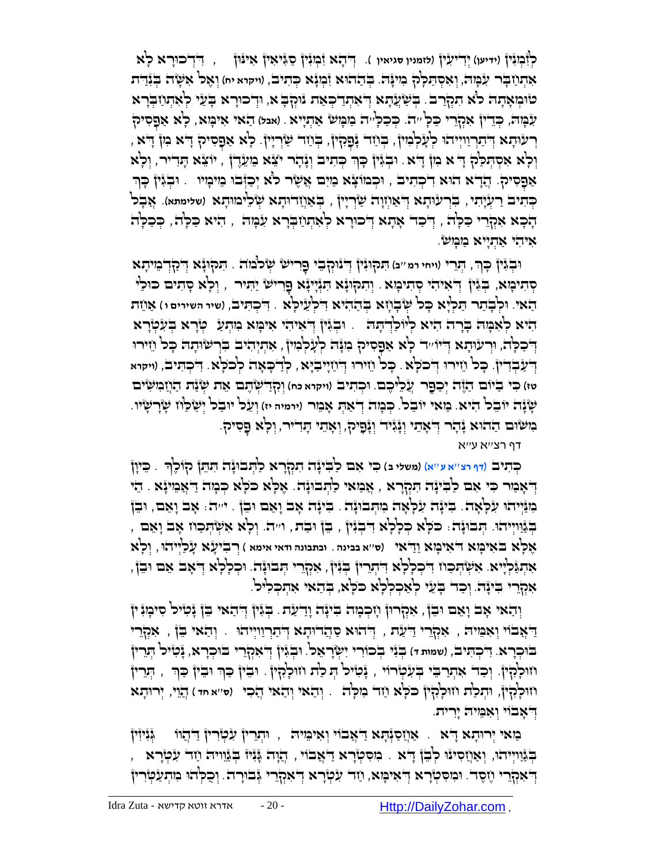לְּ זְּבְוּגָֿין ) - יִדְּדָא זִבְּוּגִין סַגְּיאִין אִינֿון c יִדְרכוּרָא לְא אִתְּוַי**ָּבְר עִבְּוּה, וְאִסְתַּכְ**לַק בִּוּעָּה. בְּתַחֹוּא זִּבְוָגָׁא כְּתִיב, (ויקרא יח) וְאֶל אִשָּׂה בְּנִתַּית טוּמְאָתָה כ<sup>ָ</sup>א תִקְרַב <sub>ּ</sub> בְּשַׂעֲתָא דְ<sub>ֹ</sub>אתְדֹ $\epsilon$ אֲת ווּקְבְּא, וּדְכוּרָא בְּעֵי לְאִתְחַבְּרָא ָלא ַא ְּפ ִע ָֻמ ֻה, ְֻּכֵדין ִאְּקֵרי ַֻכ ָֻל ''ה. ְֻּכ ַכ ָֻל''ה ַמ ָֻמ ש ַא ְּתָייא . )**אבל**( ַהאי ִאי ָֻמא, ִסיק ָרְעִיּהָא דְּיָרְוַיִיְיֹהוּ לְעָלְּמִין, בְּוֹוָד נְכָּקִין, בְּוֹוָד שַׂרְיָין. לְא אַפָסִיק דָּא מִן דָא , וְּכְ<sup>וָ</sup>א אִסְהְּכַ<sup>וֹ</sup>הְ א ִמְןְּ דָּא ִ וּבְגִּיןْ כְּךָ כְּתִיבֹ וְגָּהָר יֹצֹא ִמִעֲדֶן , יוֹצֹא הָדִייר, וְכְא אַפָּסִיק. הֲדָא הוּא דִיכְתִיב , וּכְמוֹצָא מַיִם אֲשֶׂר לֹא יְכַוְּבוּ מֵיכְוּי . וּבְגִּיןْ כְּךְ ַבְּתִיב רַעְיָתִי, בִּרְעַוּתָא דְּאַוְזֶוָה שַׂרְיָין , בְּאַוְזַדוּתָא שְׂכֵ<sup>ר</sup>מוּתָא (שלימתא). אֲבָל ָהָכָא אִקְרֵי כַּכְה , וְּיֹכַד אָתָא וְּ־כוּרָא לְאִתְוַדְּבְרא עִׂמְה , הִיֹּא כַּלְה , כְּכַלְה אִיהי אַהִיִיא מַמְשׂ.

וּבְׂגֶּין כְּךָּ, הְּנֵרִי (ויחי רמ ׳׳ב) הִנקְוּגָּין ְדְ<sup>יְ</sup>נוּקְבֵי פָרִישׁ שְׂכֹבוֹה ִ. הִנקוּגָּא דְבַרְדְבוּיהָא ּ פְּתִיכְוּא, בְּגִּיןْ דְּ'אִיהי סְתִיכְוּא . וְתִקוּנָּא תִּגְיְיָנָא פֻרישׂ יַתִּיר , וְכְא סָתִים כּוּכִי הַאי. וּלְבְתַר תַּלְיָא כָּל שְׂבָוָזָא בְּתַהִיא דִּלְעֵילְא . דִיכְתִּיב, (שיי השירים ו) אַוַזת הִיא לְאִמְה בְּרָה הִיא לְיוֹכַדְהָה . וּבְגִּין דְיאִיהִי אִימָּא מִתְעַ טְּרָא בְעִטְרָא דְּכַכְּה, וּרְעוּתָא דְיוּייִד כְא אַפְסִיק ִנִּנְה לְעָלְּנִוּן , אִתְיְהִיב בִּרְשִׂוּתָה כָּכ וַזִירוּ ֻד , )**ויקרא** ָֻכל ֵחיר ֻו ֻד , ְּלַד ָֻכ ָאה ְּלכֹ ָֻלא. ִ ְּכ ִֻתיב ָֻכל ֵחיר ֻו ֻד . ְּ ַחָיי ַבָֻיא ְּ כֹ ֻל ֻד . ָא ְּ ַע ְּבִדין טז) כִּי בִיּוֹם הַזֶּה יְכַפֶּר עֲלֵיכֶם. וּכְהִיב (ויקוא כּח) וְקָדַיִשְׂהֶם אֶת שְׂנַת הַוְזַמִשִּׂים ְּו ַעל י ֻו . ָשָנה יֹו ֵבל ִהיא. מַ אי יוֹ בֵ ל. ְֻּכ ָמה ְּד ַא ְֻּת ָא ֵמר )**ירמיה יז**( ַבל ְּי ַש ַֻלח ָשָר ָשיו ָנְשְׁוּם הַתִּוּא זָּהָר הַאֲתֹוּ וֹזְיָּיָר וְגָּפִיּל, וְאָתוּ הַוָּדִיר, וְכָא פַּסִילִ.

דף רצ''א ע''א

ְֻּכ ִתיב )**דף רצ**''**א ע**''**א**( )**משלי ב**( ִֻכי ִאם ַל ִֻביָנה ִתְּקָרא ַל ְֻּתבֻוָנה ִֻת ֵֻתן קֹו ֶלך . ֵֻכיָון ָ ָדְּאָמִר כִּי אִם כַבְּי্נָה הִקְרָא , אֲמַאי כַהְבוּנָה. אָכְא כִּכְא כְּמָה דַאְמִינָּא . הֵי הָנַּיְיֹהוּ עִלְאֶה. בִּינָה עִלְאָה מִתְּבוּנָה . בִינָה אָב וָאֵם וּבֵן . ייה . אָב וָאֵם, וּבֵן ַבְּוּוְיִיהוּ. הְּבוּנָה: כֹּכְא כְּכְלָא דִּבְנִּין , בֵּן וּבַת , וייה. וְכָא אִשְׂהְכַוז אָב וָאֵם , ֶא ָֻלא ֻב ִאי ָֻמא ֻד )**ס**''**א בבינה** . **ובתבונה ודאי אימא** ( ְּר ִבי ָעא ָע ַלְּייהֻו, וְּ לָא ִאי ָֻמא ַוַ ֻדאי ָאִתְגַּלְיָּא. אִשְׂהְכַוז דִיכְלָלְא דִיתְרֵין בְּגִין, אִמְרֵי הְבוּנָה. וּכְלְלָא דְאָב אֵם וּבֵן, אִקְרֵי בִינָה. וְכַד בָעֵי לְאַכְלְלָא כֹּלָא, בְּהַאי אִתְכְּלִיל.

וְהַאי אָב וָאֵם וּבֵן, אִקְרוּן וְזִכְמָה בִּינָה וָדַעַת. בְּגִין דְהָאי בֵן נָטִיל סִיכְוּיָ יִן ַ דַּאֲבֹוי יִאָמִיה , אִקְרֵי יַ עַת , יְדֹהוּא סַהֲדוּתָא דְּתַרְווִיְיהוּ . וְהַאי בֵּן , אִקְרֵי ָבוּכְרָא. דִּכְתִּיב, (שמות ד) בְּגִֿי בְכוֹרִי יִשְׂרָאֵל. וּבְגִּיןْ דְאִקְרֵי בוּכְרָא, גָּטִיל הְרֵיןْ וֹזוּלְהָיוֹ: וְכַד אִתְרַבֵּי בְּעִ֫טְרוֹי , נְּטִיל הְ לַת וזוּלְהָיוֹ . וּבִיןْ כַּךְּ וּבִיןْ כַּךְּ , הְרֵי ְּ ח ֻו ָלִקין, ֻו ְּת ַלת ח ֻו ָלִקין ֻכֹ ָֻלא ַחד ִמ ָֻלה . וְּ הַ אי וְּ הַ אי הֲכִ י )**ס**''**א חד** ( הֲ וֵי, ְּיר ֻו ָתא ְדִאָבוי וְאִמִיה יָרית.

ַמָּאי יְרוּהָא דָא .. אַוְזַסַּנְּהָא דַאֲבׂוֹי וְאִימִיה , וּהְרֵיןْ עִלְּוִרין דַלְהוֹו .. גְּנִיזִין ָבְּנֵּוְיְיִהוּ, וְאַוְזַסִינוּ לְבָן דָא . בִּוּסִטְרָא דַאֲבֹוֹי , הֲזָה גָּנִיוֹ בְּנֵוִייה וַזד עִלְּדָא , דְּאִקְרֵי וָזֶסֶד. וּמִסִטְרָא דְאִימָּא, וַזָּד עִטְרָא דְאִקְרֵי גְּבוּיָרה ִוְכַלְהוּ מִתְעַטְּוִרין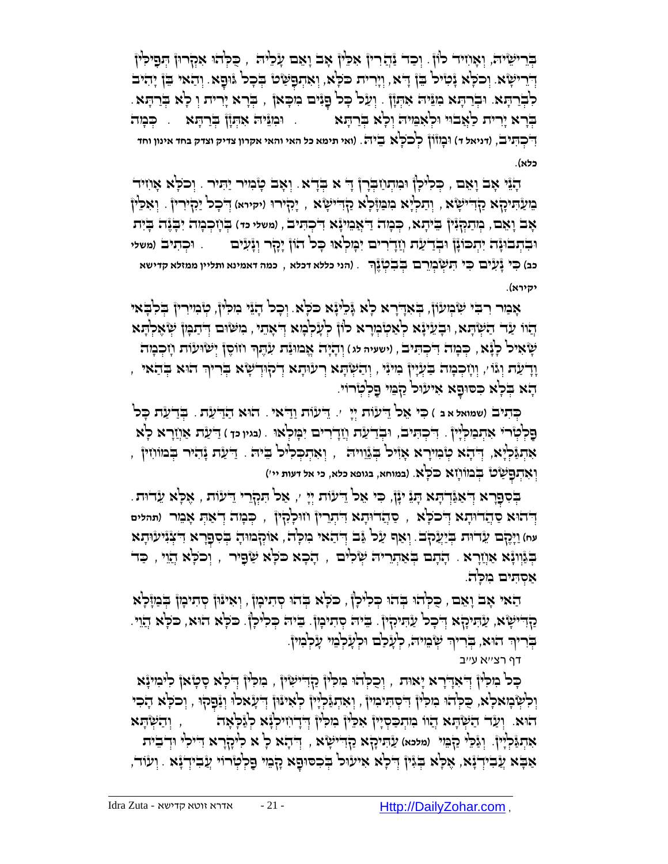בְּרֵישֵׂיה, וְאָוְזִיד כ<sup>ָן</sup>ןֿ. וְכַד נַּהֲרוּן אִכֵּין אָב וָאֵם עָלֵיה , כַּלְהוּ אִקְרוּן הְפַילִין יְדִרִישָׂא. וְכֹלְא יָּמִיל בֵּן דָא, וְיָרִית כֹּלְא, וְאִתְפָּשָׂט בְכָל וּוּפָא. וְהַאוּ בֵּן יָהִיב ָּלְּבְרָתָּא. וּבְרַתְּא מִגֵּ֫יהֹ אִתְּוָ֫ן . וְעַל כָּל פָּגִּים מִכְּאן۫ , בְּרָא יָרִית וְ לָא בְּרַתָּא. ַבְּרָא יָרִית כַ<sup>ו</sup>ְאֲבוּי וִּלְאִמִּיה וְלָא בְּרַתָּא ְ ֻו ָמזֹון ְּלכֹ ֻל . )**ואי תימא כל האי והאי אקרון צדיק וצדק בחד אינון וחד** ֻד , )**דניאל ד**( ָא ֵבי ֻה ִ ְּכ ִֻתיב **כלא**(.

הָנֵּי אָב וָאֵם , כְּכִיקן וּמִתְוַזִּבְרְן ְדָ א בְדָא. וְאָב טָוְיוּר יַתִּיר . וְכֹלְא אָוִזיר ָר הַעֲזִינִיקָא ַקְדִּישָׂא , וְתַכְיָא ִבְזוֹישָׂא , יָהָירוּ (יקירא) דְּבָכ<sup>ן</sup> יַהְיִרִין . וְאִכֵּין אָב וָאֵם, בְּותַקְּנִּין ְ בֵיתָא, כְּכְוּת דַאְמֵינָּא דִיכְתִּיב , (משלי כד) בְּוָיְכְכְּוּת יִבְגֶה בְיִת וּבִתְבוּנָה יִתְכוֹנָן וּבְדַעַ*ת וְזַדְרִים יִבְּוִלְאוּ כָּ*כ<sup>ן</sup> הוֹן יָכְר וְנָעִים וּכְתִיב (משלי ָכב) כִּל נָּעָ*יִּי*ם כִּי הִעְשְׂבְוֶרם בְּבְלוֶנֶךְ . (הני כללא דכלא , כמה דאמינא ותליין ממזלא קדישא **יקירא**(.

אָמַר רִבִּי שִׂמְעוֹן, בְאִדְרָא לְא גָּלִינָא כֹּכְא. וְכָל הָגֵוּ מִלְין, טְוָמִירִין בְלִבְאִי ָהוֹו עַד הַשְׂהָא, וּבְעֵייָא לְאַטְׂנְיִרא לוֹן לְעָלְנְּזא דְאָהֵי , ִמְשֹׁוּם דְּיִתַמְן שְׂאֶלְהָא **ֹשְׂאִיכ<sup>ן</sup> כְנְּ֫א , כְּבְוּה דִיכְהִיב , (ישעיה מג) וְהָיָה אֶבוּוּנַּה עִ**תֶּךְ וֹזוֹסֶן יְשֹׂוּעْוֹת וְזִכְמִה ָוְדָעַת וְגוֹ י, וְוָזִכְבְּזה בַּעְיָיןْ בִוּעָ, וְהַשְׁתָּא רְעוּתָא דְקוּדְשָׂא בְּריךְ הוּא בְּהַאי ָקָא בְּלָא כִסוּפָא אִיעוּל קַבְּוּי פַלְטְרוֹי

ֵֻדעֹות ַו ֻד . הֻוא ַהַ ֻד ַעת . ְֻּבַד ַעת ָֻכל ִֻכי ֵאל ֻד '. ַ אי ְֻּכ ִתיב )**שמואל א ב** ( ֵ עֹות ְּיָי ָפַלְטְרי אִתְבִילְיוֹ . דִּכְהִיב, וּבְדַעַ*ּת וְוַדְרִים יִבְּולְאוּ . ובגיו* כִּז ) דַעָּת אַוְזָרָא לְא ָּאִתְגַּ֫לְיָא, דְּיָהָא טְׂבְוּיָרָא אָזִּיל בְּגْוֵוּיה , וְאִתְכְלִיל בֵּיה . דַיַעַת גָּהִיר בְּבוּוֹזִין , ַשט ְֻּבמֹו ָחא ֻכֹ ָֻלא ְּו ִא ְּת . )**במוחא**, **בגופא כלא**, **כי אל דעות יי**'( ֻפ ְּ

ַבְּסְפָרָא דְּאַגְּֿדְהָא הָגָּ יִנְן, כִּי אָל דִּיעוֹת יְיָ ׳, אַל תִּקְרֵי דִיעוֹת , אֶלָא עִדוּת. ַס ֲהד ֻו ָתא ֻד , ְֻּכ ָמה ְּד ַא ְֻּת ָא ֵמר )**תהלים** ִ ְּתֵרין ח ֻו ָלִק ֻד , ין ְּ הֻוא ַס ֲהד ֻו ָתא ֻד ְּ כֹ ָֻלא עּח) וַיְּכֶלֶם עִדוּת בְּיַעֲקֹב. וְאַף עַל גַּב דְּ הָאי ִמִכְ<sup>ּנ</sup>ה, אוֹקְבוּוּהָ בְּסִפְרָא דִצְנִיעוּתָא בְּגַּוְוּ אָ אַוְיָרָ א . דָתָם בְּאַתְרִיה שְׂלִים , דָבָא כֹּלְא שַׂפָּיר , וְכֹלְא הֲוֵי , כַּד אסתים מלה.

הַאי אָב וָאֵם , כִּלְהוּ בְּהוּ כְּלִיכָן , כֹּלְּא בְהוּ סְתִינְון , וְאִינּון סְתִיכְון בְּנַזוָ֫לְא ַקְדִּישָׂא, עַתִּיקָא דְּבָר עַתִּיקִין. בֵיה סְתִיבְון. בֵיה כְּכִילְן. כֹּכְא הוא, כֹּכְא הֲוֵי. ַבְּרִיךְ הוּא, בְּרִיךְ שְֲׂבֵוּיה, לְעָלַם וּלְעָלְבֵוּי עָלְמִיןֹ. ְּ

דף רצ''א ע''ב

ָבָּל ִכְּוֹלְוֹ דְּיָאָדְיָרָא יָאוּת , וְכֻכְּיֹהוּ בִוּכִ<sup>נ</sup>וֹ קָדִייִשְׂוּ , בִוּכְ<sup>וֹ</sup>ןְ דְיֹכְאַ סָטָאן לִיבִוינָּא וְּלִשְׂבָוּאלְא, כֻּלְהוּ נִזלִּיןْ דִיסְהִינִוּיןْ , וְאִהְגַּ֫לְיָוןْ לְאִינּוּןْ דְיִעָּאלוּ וְנַּבְּלוּ, וְכֹכְא הָכִי הוּא. וְעַד הַשְׂתָּא הֲוֹו ִמְתְּכִסְיָין אִכֵּין ְּמִלְין דְּדָוִזיקְנָּא קְנֵכְאָה , , וְהַשְׂתָּא ַע ִֻתיָקא ַק ֻד , ְּ ֻד ָהא ָל א ִליָקָרא ִ ֻדי ִלי ֻוְּד ֵבית ִא ְּתַֻג ְּלָיין. ְּוַג ֵֻלי ַק ֵֻמי )**מלכא**( ִ י ָשא ָ אַבְּא עֲבִידְנָא, אֶכְא בְּגִין דְּכְא אִיעוּל בְּכִסוּפָא קָבִוּ פַּלְטְרוֹי עֲבִידְנָא . וְעוֹד,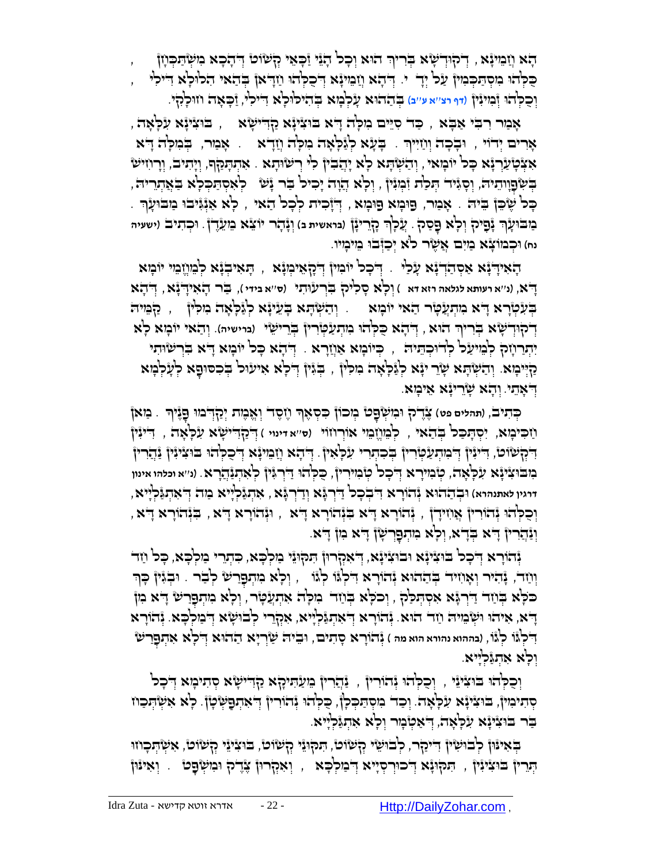הָא וְזַבֵּוּיָּא, דְיקוּדְשָׂא בְּרִיךְ הוּא וְכָל הָגֵּוּ זַכְּאֵוּ קְשֹׁוֹט דְּהָכָא ִמִשְּׁתַּכְוְזן ה וֹהוֹב הוֹתוֹכְא הִלוֹכְא הָלהָ הִדְּבָא הַבְּלְהִוּ *ו*ְזַדְּאן בְּהַאי הִכוִּכְא הִיכִן  $\sim$ ַז ָֻכ ָאה ח ֻו . ְֻּב ַההֻוא ָע ְּל ָמא ְֻּב ִהי ֻל , ָלִקי ֻו ָלא ֻד ְּו ֺכ ְֻּלהֻו )**דף רצ**''**א ע**''**ב**( ִ י ִלי ְּז ִמיִנין

אָמַר רִבִּי אַבְא , כַּד סִיֵּים נִזְלָה דָא בּוּצִינָֿא קַדְישְׂא , , בּוּצִינָׂא עִלְאָה , אָרים יְדוֹי , וּבְבָה וְוַזִיִּיךָ . בְּעָ*א לְ*גַּלְאָה מִלְה וְזַדָּא . אָבַּור, בְּמִלְה דָּא אַאָּטְעַרְגָּא כָּל יוֹבְואי, וְהַשְׂהָא לְא יְהֲבִין לִי רְשׂוּהָא . אִהְהָמַּךְ, וְיָהִיבׂ, וְרָוִזישׂ ָּבְּשְּׂפָוְוִתִיהֹּ, וְסָגִּיד הְּכִת זִּבְּוּנִין , וְכָא הֲוָה יָכִיל ּבֹּר נָּשׁ ּ לְאִסְתַּבְּלָא בַּאֲתְריה ָּ בְּל שֶׁבֵּן בֵיה . אָמַר, פַוּמְא פַוּמְא , דְיָרָית לְכָל הַאי , לָא אַוְּגִּיבוּ מַבוּעָן . ַכְּוּבֹּוּעָׂ<sub>וָ</sub>ٓ נְּכָתִיֽבֹ (יִשְׁעִיה , עֲכְןָ֣ר הָרֵרִינָ֣ן (בראשית ב) וְנָּהָד יוֹצֵא כֵוַעֵּדֶ֖֖֖). וּכְתִיב (ישעיה ְּ נח) וּכְבוֹוֹצָ**ঁא בַיִּיִם אֲשֶׂר ל<sup>ֹ</sup>א יְכַוְּבֹוּ בֵ***וּיבְוּי***ו.** 

ָהָאִידְיָנָא אַסְהַדְיָנָא עָלַי . יְדִכְל יוֹנִוּין דְיִקְאֵיבְוָנָא , הָאִיבְנָא לְבֵוְזֶבוּי יוֹבְזא ָ ֻדא, )**נ**''**א רעותא לגלאה רזא דא** ( ְּו ָלא ָס ִליק ִֻבְּרע ֻו ִתי )**ס**''**א בידי** (, ַֻבר ָה ִאיָ ֻדָנא, ְּ ֻד ָהא הָעִלְּאָה הִמְּלִּן , , הָשְׁתָּא בְּעֵינָ֫א לְּנֵלְאָה הִמִלְּן , הַמְּמִיה דְ**ֹכְוּדְשָׁא בְּרִיךְ הוּא , דְּהָא כִּכְ**יהוּ מִתְעַטְּדְין בְּרֵישֵׂי (נוישיה). וְהַאי יוֹבְזִא כְא יִתְרַעְתֹּ לְּבֵּוּעֲל לְדוּכְהֵיה <sub>, י</sub> כְּיוּבְוּא אַוְזָרָא . דְּתָא כָּל יוֹבְוּא דָּא בִּרְשִׂוּתִי ַקְיִּיבְוּא. וְהַשְׂהָא שָׂרֵ יִיָּא לְגַלְאָה מִלִין , בְּגִין דְלָא אִיעוּל בְכִסוּפָא לְעָלְבְוּא ִדְּאָתֵי. וְהָא שָׂרֵינְא אֵיבְוּא.

<mark>ָּרְתִיבֹ, (תהלים פט) צֶרֶיֹק וּכִוֹעְ</mark>ּׂפֶט' בְּוֹכוֹן בִּסְאֶךְ וָזֶסֶד וְאֶבֶזת יְקַדְבִוּ פָּגֶּיךָ . בַזאן ַח ִֻכי ָמא, ִי ְּס ָֻת ַֻכל ְֻּב ַהאי , לְּ מֵ חֱא מֵ י אוֹ רְּ חוֹ י )**ס**''**א דינוי** ( ְּ ֻדַקִ ֻדי ָשא ִע ָֻל ָאה , ִ ֻדיִנין דִּ יְּלְשׂוֹם, דִייִּין דְּבוִתְעַטְּרוּן בְּכִתְרי עִלְאִין. דְּהָא וְזַבֵוּיָא דְבִלְהוּ בוּצִייִּוּן זַּהֲרוּן בִּוּבֹּוּצִיּנָּא עִלְּאֶה, טְ*י*ִמוּרָא דְּכָל טְיָּמוּרִין ְהַכְּלְהוּ דַּיְרְגִּין לְאִהְנַ<u>ּהְרָ</u>א. (נ׳׳א וכלהו אינון **דרגין לאתנהרא**( ֻו ְּב ַההֻוא ְּנהֹוָרא ִ ֻד ְּב ָכל ַ ֻדְּרָֻגא ְּוַדְּרָֻגא , ִא ְּתַג ְּלָייא ַמה ְּ ֻד ִא ְּתַֻג ְּלָייא, , וּנְהֹוָרָא דָּא, בְּנְהֹוָרָא דָא, הְּנֹהוֹרָא יָלֹא, הַנְּלְהוֹרָא, הָלְּהֹוֹרָא יָלֹא, וֹּנַּהֲרִין ְדָ<sup>ּ</sup>א בְּדָא, וְלְא מִתְפָּרְשָׁן דָּא מִן דָּא.

יָּהוֹרָא דְּכָל בּוּצִינָּא וּבוּצִינָּא, דְּאִקְרוּן תִּקוּיֵי מַלְבָא, כִּתְרֵי מַלְבָא, כָּל וַזִד וְּוַזָּרֹ, נְּהִיִּיר וְאָוִזִיּרֹ בְּהַחֹוּא וְּחֹרָא דִּכְוְּוֹ כְ<sup>ו</sup>ְגֹּו , וְכְא מִתְפָרִשׂ כְ<sup>וָבַר</sup> . וּבְגִּיןْ כְּךְ ָכֹּלָא בְּוַזָה דַּרְגָּא אִסְתְּכַק, וְכֹלָא בְּוַזָה בִּוּכְה אִתְעֲטָר, וְלָא בִּוְתְּפַרִשׁ דָא בִון ָדָא, אִיהוּ וּשְּׂבֵוּיה וַיִּר הוּא. יְּהוֹרָא דְיאִהְגַּלְיִּא, אִקְרֵי לְבוּשָׂא דְבִוּלְכָא. יְּהוֹרָא דִּלְגּֿוֹ לְגْוֹ, (בההוא נהורא הוא מה ) נְּהוֹרָא סָתִים, וּבִיה שַׂרְיָא הַהוֹא דְ**ֹלְא אִתְפְרִשׁ** ְּו ָלא ִא ְּתַֻגלְּ יָיא.

וְכַקְהוּ בּוּצִיּגֵי , וְכַקְהוּ גָּהוֹרִין , גַּהֲרִין ְמֵעַּתִּיכָן א קַדִּישָׂא סְתִיכְוָא דְּכָל ּ מְּתִיּכִוּן, בּוּצִיּנָא עִלְּאָה. וְכַד ִמְסְתַכְּלְן, כֻּלְהוּ וְּהוֹרִין ְדְאִתְפָּשְׂטָן. לְּא אִשְׂתְּכוּו בּר בּוּצִינָֿא עִלְאָה, דְּאַטְנְוּר וְלָא אִתְגַּלְיִיא

ּבְּאִינֿון לְבוּשִׂיןْ דִיּיכַןר, לְבוּשֵׂי קְשׂוט, הִנקוּנֵי קְשֹוט, בוּצִינֵי קְשׂוט, אִשְׂהָכְוזוּ ْעְּרוּן אֶלֶדֶק וּנִזשְׂפָט . וְאִינּוּן , תִּקוּנָא וְיִבוּכְהָא , יְאִקְרוּן צֶדֶק וּנִזשְׂפָט . וְאִינּון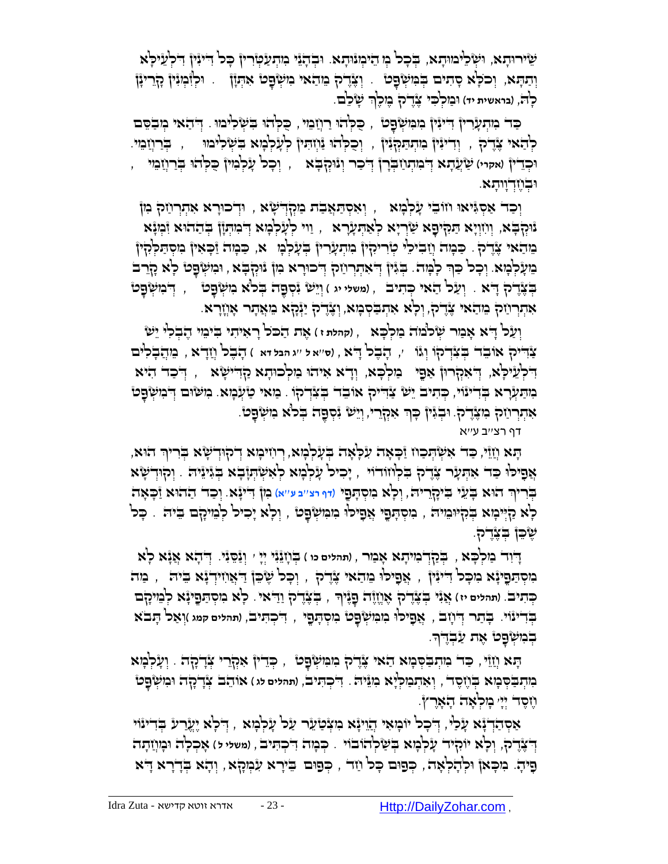ְשִׂירוּהָא, וּשְּׂכֵיּכוּהָא, בְּכָל מְּ הֵיֹכְוּהָא. וּבְהָגֵֿי מִהְעַטְּרִיןْ כָּל דִייִּיןْ דִלְעֵיכְא **וְתַהְּא, וְכ**ּכְ<sup>ּנ</sup>ְא סָתִים בְּמִשְׂפָט . וְצֶדֶל ְמִתֹאי ִמִשְּׁפָט אִתְּזָן .. וּלְיִּמְוֹ קָיָרִינָּן לְהֹּ, (בראשית יד) וּבַזִּלְבִּי צֶנֶדֶק בֶּזִּלֶךְ שָׂ*יֹ*כֵם. ְּ

ַכְּרֹ בִּיתְעָרִיןْ דִייִּיןْ בִזִּמִישְׁפָט' , כַּלְּהוּ רַוְיָבִוּי, כַלְּהוּ בִשְׁלִיּמוּ. דְּהַאי ִמְבַסֵם לְהָאי צֶדֶ ק , וְדִינִּיןْ בִּוְתְּתַקְּנִיןْ , וְכָכְלְהוּ נַּוְזָתִיןْ לְעָלְבְוּא ִבִּשְׂלִיבוּוּ , בְּרַוְזַבֵּוּי. ְּו ָכל ָע ְּל ִמין ֺֻכ ְֻּלהֻו , ַשֲע ָתא ֻד , ְֻּבַרֲח ֵמי ְּ ִמ ְּת ַח ְֻּבָרן ֻד ְּ ַכר ְּונֻוְּק ֻב ֻו )**אקרי**( ָ א ְּכֵדין ֻו דְּ וָותָ א. ְּבֶח

וְּכַד אַסְגִּיאוּ וזוֹבֵי עָלְבְּוּא , וְאִסְתַּאֲבַת ּמַוְּלְדְיֹשָׂא , וּדְכוּרָא אִתְרְיַזֹק בִּוֹן ָנּוּקְבָּא, וְוִזְוְיָא הַמִּיְיֹפָא שַׂרְיָא לְאַהְעָרָא , וַוי לְעָלְבְזא דְּבִוּתְןן בְּהַהוּא וִּבְוְּ $z$ א מִהַאי צֶדֶ ק . כַּבְוּה וְזַבִיכֵ<sup>נ</sup> טְרִיקִין ִמְתְעָרִין ּבְעָלְבְּו  $\star$ , כַּבְוּה זַּכְאִין ִמִסְתַּלְּקִין הוֹעֲלְּמָא נִכְל ְּפַך לְמָה בְּגִּין דְּאִתְרְוֹק דְּכוּרָא מִן נִוּקְבָּא , וּמִשְּׁפָט לְא מָרֵב ֻד ְּ ִמ ְּש ָֻפ ְּוֵי ש ִנ ְּס , ט ֶֻפה ְֻּבלֹא ִמ ְּש ָֻפ ְֻּבֶצֶדק ָ ֻדא . ְּו ַעל ַהאי ְֻּכ ִתיב , )**משלי יג** ( ט אִתְרְוַיֹּ מֵהַאי צֶדֶק, וְּלְא אִתְבַּסְכָּוּא, וְצֶדֶק יַנְּקָא מִאֲתָר אָוְזֶרָא.

וְעַל דָּא אָבִוּר שְׂלֹמֹה בִּוּלְבָּא , (קהלת ז) אֶת הַכֹּל רָאִיתִי בִיֹּמֵי הֶבְלִי יֵשׂ ַצ ֻד ', ָה ֶבל ָ ֻדא , )**ס**''**א ל** ''**ג הבל דא** ( הָ בֶ ל חֲ דָ א , מֵ הֲ בָ לִ ים ִ יק אֹו ֵבד ְֻּב ִצְּדקֹו ְּוגֹו ַדִּכְלְּעֵיּכְא, דְּאִקְרוּן אַפֶּי ְ כִּולְכָא, וְדָא אִיהוּ כִולְכוּתָא קַדְיִישָׂא , דְּכַד הִיּא ָמְהַעְּרָא בְּדִינֹוּי, כְּהִיבֹ יֵשׁ צַוְּדִיקָ אוּבֵד בְצִדְקוּ . מַאי טַעְּכְוּא. מִשׂוּם דְּבִוּשְׂפָט אַתְרְוַזה ְּכִוּצֶדֶ־הָ. וּבְגִּיןْ כָּךְ אִקְרֵי, וְיֵשׁ גִּקְפֶה בְּלֹא כִוּשְׂפָסׂ.

דף רצ''ב ע''א

ָתָּא וְיָוֹי, כַּד אִשְׂהְכַוז וַּכְאָה עִלְאָה בְּעָלְנָּא, רְוִזיכְוּא דְיֹהְוְדָשָׂא בְּרִיךְ הוּא, ָאֲפָילוּ כַּד אִתְּעָר צֶדֶל בִּלְוּזדוֹי , יָכִיל עָלְמָא לְאִשְׂתְוָבָא בְּגִינִיה . וְקוּדִשְׂא ּבְּרִיךְ הוּא בְּעֵי בִּיכְלְרִיה, וְכָא ִמִסְהָפָי (דוּ וּצִיִבעיש) מִן דִינְא. וְכַד הַהוּא וַבְּאָה ְּ ָלְּא קַיְּיִּכְוּא בְּקִיּוּמֵיה , בִוּסְהָפֶי אֲפִילוּ בִוּמִשְׂפָט , וְלָא יָכִיל לְמֵיקָם בִּיה . כָּל ֶש ֵֻכן ְֻּבֶצֶדק.

ָ ֻדִוד ַמ ְּל ָֻכא , בְֻּ קַ דְּ מִ יתָ א אָ מַ ר , )**תהלים כו** ( בְֻּ חָ נֵנִי יְּיָ ' וְּ נַסֵֻ נִי. ְּ ֻד ָהא ֲאָנא ָלא ָמִיְהַפְיַּנָא מִכְּל דִיּנִין , אֲפִילוּ מֵהַאי צָרֶל , וְכָל שֶׂכֵן דַאֲוִזִידְנָא בִיה , מַה כְּתִיבׂ. (תהלים יז) אֲנִּי בְּצֶרֶיק אֶוְזֶוֶה פָנֶּיךְ , בְּצֶרֶק וַדִּאי . כְ<sup>וָ</sup>א ִמִסְתַּפֶינָּא לְמִיקָם בְּדִינּוֹי. בְּתַר דְּיֹוָבׂ , אֲפָיכ<sup>ן,</sup> מִמִּשְׂפָט מִסְתָפֶי , דִּכְתִיב, (תהלים קמג )וְאַכ<sup>ן</sup> תָבֹא ּבְּנִשְּׂפָט אֶת עַבְרֶךָ.

ַֻכד ִמ ְּת ַֻב ְֻּס ָמא ַהאי ֶצֶדק ִמ ִֻמ ְּש , ְֻּכֵדין ִאְּקֵרי ְּצָדָקה . וְּ עָ לְּ מָ א ָֻפ ָֻתא ֲחֵזי , ט כִּוּתְבַּׂסְּבָ**וּא בְּוֹשֶׁד , וְאִתְבִוּלְיָא ִבְוּ**גֵּיה . דִיכְתִּיב, (תהלים לג ) אוֹהֵב צְּדָיקָה וּבִוּשְׂפָט חֶ סֶ ד יְּיָ ' מָ לְּ אָ ה הָ אָ רֶ ץ.

אַסְהַדְֽ נָלָ עָלְּמָא יִעֲרע יִינִי אִ יִאֲטַעֵּר עַל עָלְמְא , דְילָא יֶעֱרע בְדִינוֹי **ְדְ**ֹצֶדֶ־לֹּ, וְלָא יוֹקִיד עָלְמָא בְּשַׂלְהוּבוֹי . כְּמָה דִיכְתִּיב , (משלי ל) אָכְלָה וּמְוַזִתָה ָפִיהָ. מִכְּא) וּלְהָלְאָה, כְּפוּם כָּל וַזד , כְּפוּם בֵּירָא עִׂמְקָא, וְהָא בְּדָרָא דָא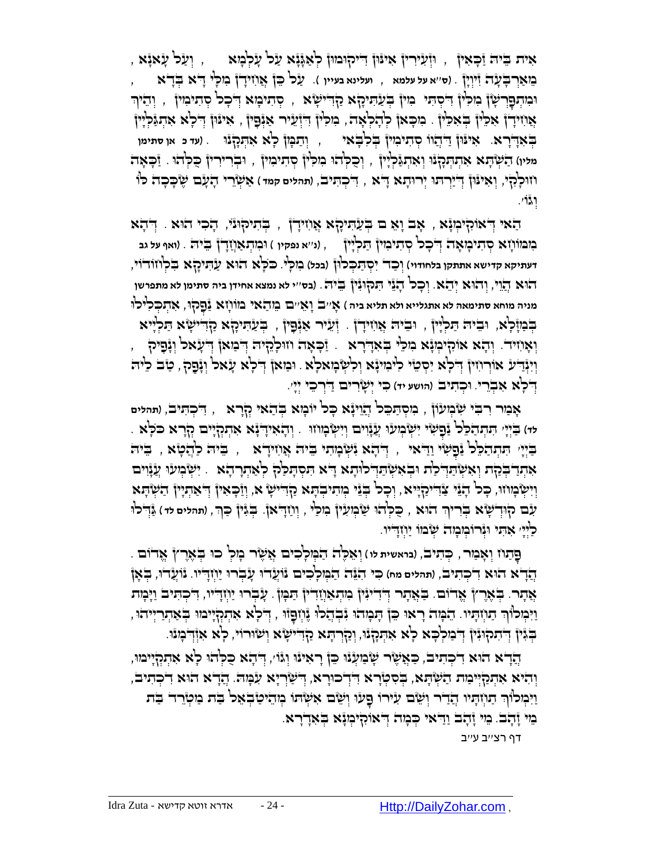, וְעַל עָאנָא , , יְעַל עָאנָא , , איי זי ייקוּבוּוּן לְאַגָּנָא עַל עָלְבְּוּא , וְעַל עָאנָא מֵ אַ רְּ בָֻ עָ ה זִיוְּ יָן . )**ס**''**א על עלמא** , **ועלינא בעיין** (. ַעל ֵֻכן ֲא ִחיָדן ִמ ָֻלי ָ ֻדא ְֻּבָדא , וּבְּוִתְּפָּרְשָׁןْ בִּוּכְ<sup>וֹ</sup>ןْ דִּיֹּסְהִי ۚ בִּוֹןْ בְּעַׂהִיכָן $\,$ א ַ זְהִיכְּוֹא יְדֹּכָל קְהִינִיוֹן  $\,$  ְוְהֵיךְ אֲוֹוידָן אִכֵּין בְּאִכֵּין . ִמִכְּאן לְהָלְאָה, ִמִלִּין דִּיְעֵיר אַנְּפִין , אִינּוּן דְּלָא אִתְנַּלְיִין **ַּוְּיַבְלְּוֹ . ) א**ִינּוּן דַּיְדֻוו סְתִימִין בְלִבְאִי , יְתַבְּון כְ<sup>וָ</sup>א אִתְּכְלְנוּ . (עד כ אן סתימן מליו) הַשְּׂתָּא אִתְהְכָנָו וְאִתְגַּלְיָין , וְכֻלְהוּ בִזלְין סְתִיבִזין , וּבְרִירִין כַלְהוּ . <u>ז</u>ֹכְאָה וֹזוּכְ<sup>וָ</sup>קִי, וְאִינּוֹן וְדִיַּרְהוּ יְרוּהָא דָא , דִיכְהִיב, (תהלים קמד) אַשְׂיָרֵי הָעָב שֶׂכְּכָה כ<sup>ן,</sup> וְּ גוֹ '.

הָאי הַאוֹנִלְיִבְוֹ $\zeta$  , אָב וָאֵ ם בְּעַתִּיכָן $\star$  אֲוֹזיִדְן , בְּתיקוּנִי, הָכִי הוּא . דְּהָא בִּוּבּוֹוְיָא סְדִיכְוּאָה דְּיֹכָל סְדִיבִוּן דַּנְלְיוּן , (ני׳א נפקיו ) וּבְוִתְאַוְיָדָ׀ בֵיה . (ואו ְעל גב **דעתיקא קדישא אתתקן בלחודוי**( ְּו ַכד ִי ְּס ַֻת ְֻּכל ֻון )**בכל**( מִ לָֻי. ֻכֹ ָֻלא הֻוא ַע ִֻתיָקא ִֻב ְּלחֹודֹוי, הֻוא הֲ וֵי, ְּוהֻוא ְּי ֵהא. ְּו ָכל ָהֵני ִֻת ֻק ֻוִנין ֵֻבי ֻה. )**בס**''**י לא נמצא אחידן ביה סתימן לא מתפרשן**  מניה מוחא סתימאה לא אתגלייא ולא תליא ביה ) אָייִבׂ וָאֵייִם בֵּודַאֵל בּוֹוֹוָא <u>נ</u>ַפְקוּ, אִדְנִכְּלִיֹּכוֹ ְּבְּנוֹּלְא, וּבִיה תַּלְיָיוֹ , וּבִיה אֲווידָן . וְעֵיר אַוְּפָין , בְעַתִיקָא קַדִישָׂא תַלְיִיא , וְאָוֹזִיד. וְהָא אוֹקִיכְוְּנָא ִמִכְּי בְּאִדְרָא . זַכְּאָה וווּכְקִיה דְבִוּא) דְעָאל וְנָפָיק ְוְיִּנְּדַע אוֹרְוִזִיןْ דְלְא יִסְטֵי לִינִוּיָּגָא וְלִשְּׂבְזאלְא . וּבזאןْ דְלְא עָׂאל וְגָֿפָק, טַב לִיה ִֻכי ְּי ָשִרים ַ ֻדְּר ֵכי ְּי '. ֻו )**הושע יד**( ָי ְּכ ִת ֻד . יב ְּ ָלא ִא ְּבֵרי

ָא ַמר ִר ִֻבי ִש ְּמעֹון , ִמ ְּס ַֻת ֵֻכל ֲהֵויָנא ָֻכל יֹו ָמא ְֻּב ַהאי ְּקָרא , ִ ֻד ְּכ ִֻתיב, )**תהלים**  י<del>ּוֹ הַיְּיָ הִתְהַ</del>כֵּל נַּפְשָׁי יִשְּׂבְועוּ עֲנָוִים וְיִשְּׂבְוזוּ . וְהָאִידְ יָּא אִתְקְיָים קְרָא כֹּלְא ַבְּיְיָ הִתְהַלֵּל נַׁפְשָׂי וַדִּאי , דְּהָא נִשְּׂבְוּתי בִיה אֲוזידָא , בִּיה כַהֲטָא , בִּיה אַתְדַ-בְּקת וְאִשְׂהַדְּכַת וּבְאִשְׂהַדְּכוֹתָא דָא הִסְתָכַה לְאַתְרָהָא ָ יִשְּׂבְוּעוּ עֲזָוִים וְיִשְּׂבְוּוּוּ, כָּל הָגֵּי צַׂדִיקַיְיָא , וְכָל בְּגֵי בְוִתִיבְתָא קַדִּישָׂ א, וְזִכְאִין הָשִׁתְיָין הַשְּׂתָא **ְיָנֶם קִוּדְשָׂא בְּרִיךְ הוּא , כֻּכְ**יהוּ שַׂבְוּעִין בִוכַי , וְוַזָדְאן. בְּגִּין כַּךְּ , (תהלים לד) גַּוְדִלוּ ְּ ַלַּיְיָ אִהִי וּגְרוֹבְוִבְוּדֹ שְׂבוֹו יַוְזְדִייו.

פָּתַוז וְאָבַור , כְּתִיב, (ביאשית לו ) וְאֵכֶ<sup>נ</sup>ה הַבְּוִכְלִכִים אֲשֶׂר בְּוִכְ<sup>י</sup> כוּ בְּאֶרֶץ אֱדֹוֹם . ֲהָדא הֻוא ִד ְּכ ִתיב, )**תהלים מח**( ִֻכי ִהֵֻנה ַה ְֻּמ ָל ִכים נֹוֲעד ֻו ָע ְּבר ֻו ַי ְּחָ ֻדיו. נֹוֲעד ֻו, בְֻּ אָ ן אֲתָר. בְּאֶרֶץ אֶדוֹם. בַּאֲתָר דְּדִינִּין ִמִתְאַוְזַדִין תַּמְן . עָבְרוּ יַוְזָדִיו, דִיכְתִּיב וַיָּכְות ַיִּכְא אִתְּקְיֶימוּ בִּוְזִתְּיו. הֵבְּוּה רָאוּ כֵּן תִּכְוֹתוּ יָבְלָת אִתְקְיֶימוּ בְּאַתְרַיְיהוּ , ְּ ַ הְּוֹיָשָׂא וְשׂוּרוֹי, כְא אִוְּרְבְּוּוֹ. יִבְּוּכְבָא יִחְיִבְלוּוּ, וְקַרְהָא קַדִּישָׂא וְשׂוּרוֹי, כְא אִוְ֫רְבִוּו

ְהָדָא הוּא דִיכְתִיב, כַּאֲשֶׂר שָׂנַזעְנוּ כֵּן רָאִינוּ וְגֹוֹ׳, דְּהָא כֻלְּהוּ לְא אִתְקְיָימוּ, ְוְהִיא אִתְקַיְּיֹּבַוּת הַשְּׁתָּא, בְּסִטְרָא דִּדְכוּרָא, דְּשַׂרְיָא עִבְּוּה. הֲדָא הֹא דִיכְתִיב, ַת ְּרַיִּהְיִתְּיוּ הֲדַר וְּשֵׂם עִירוֹ פָעוּ וְשֵׂם אִשְׂתוֹ מְהֵיטַבְאֵל בַּת ִמְיָרֵד בַּת בִוּ זָהָב. בִוּ זָהָב וַדִּאי כְּבְוָה דְּאוֹקִיכְוּגָא בְּאִדְרָא.

דף רצ''ב ע''ב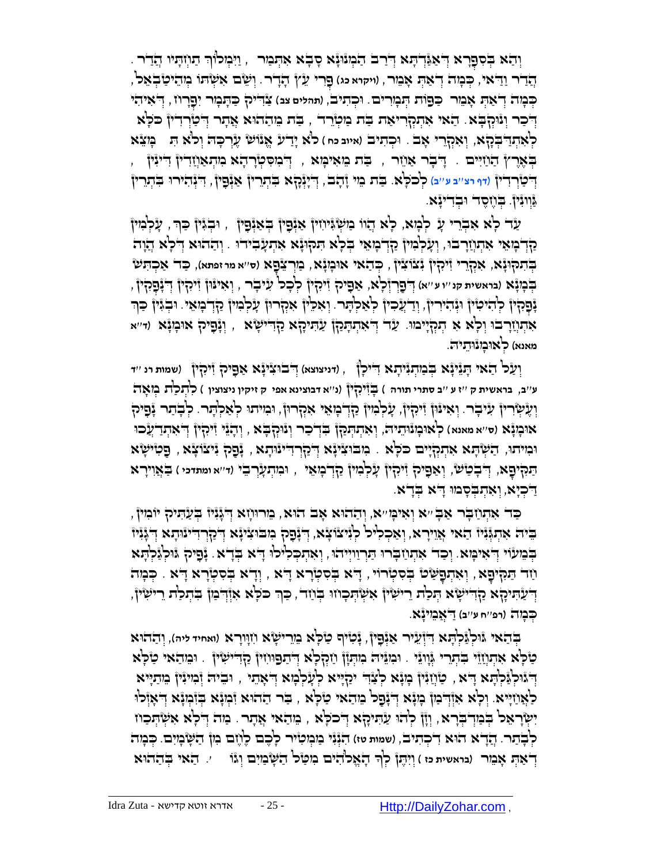וְהַא בְּסִפָּרָא דְּאַגַּדְהָג דְּרַב הַבְּוּנוָא סְבְא אִהְמַר , וַיִּכְוֹר תַוְזִהְיוּ הֲדַר . ְּ ֲהַדר ַוַ ֻדאי, ְֻּכ ָמה ְּד ַא ְֻּת ָא ֵמר, )**ויקרא כג**( ְֻּפִרי ֵעץ ָהָדר. ְּו ֵשם ִא ְּש ֻתֹו ְּמ ֵהי ַט ְּב ֵאל, ָּכְּמָה דְאַת אָמֵר כַּפ*ּוֹת הְּבְוִרים. וּכְתִיב, (תהלים צב) צָּדִיק כַּתְּמָר יִפָּרְוֹז, דְאִיהִי* ָדְּבָר וְּנִּהְבָּא ָ הַאִי אִתְקְרִיאַת בַּת מַטְּרֵד , בַּת מֵהַחֹוּא אֲתָר דְּטַׂרְדִין כֹּכְא לֹא ָיַדע ֱאאנֹו ש ֶעְּר ָֻכ ֻה ְּולֹא ִֻת ָֻמֵצא ֻו )**איוב כח** ( ְּל ִא ְּתַ ֻד ְֻּבָקא, וְּ אִ קְּ רֵ י אָ ב . ְּכ ִתיב הָאָר), הַחָיִים הַדָּבְר אַחֵר , בַּת מֵאִימָא , דְּבְוּסִטְרָהָא מִתְאַחֲדִין דִייִּין بْجَلْطَ بِهِ اللّٰهِ فَقَالَ اللّٰهُ مِنْ اللّٰهِ مِنْ اللّٰهِ مِنْ اللّٰهِ عَلَيْ مِنْ اللّٰهِ مِنْ اللّٰهِ ع<br>لَيَ اللّٰهُ اللّٰهُ اللّٰهَ فَقَالَ اللّٰهُ مِنْ اللّٰهِ مِنْ اللّٰهَ مِنْ اللّٰهَ مِنْ اللّٰهِ مِنْ اللّٰهِ ַֻגְּווִנין. ְֻּבֶחֶסד ֻו ְּבִדיָנא.

ַעָר לְא אִבְרֵי עָ לְמָא, לָא הֲווֹ נַוֹעְ*וֹּ*וֹוֹין אַיְּפָין בְּאַיְּפָין , וּבְגִין כַּךְּ, עָלְמִין ַקְּדְּבְוּאֵי אִתְוָזַרְבוּ, וְעָלְּמִיןْ קַדְבְוּאֵי בְּלָא תִקוּגָּא אִתְעָבִידוּ . וְהַהוּא דְלָא הֲוָה ַּבְּר ִתְּהְוּנָא, אִקְרֵרי וְיִקְין נִצוֹצִין , כְּהַאי אוּבְוָנָא , בַּוְרְצֵנָםָא (ס׳׳א מרזפתא), כַּד' אַכְהִש בְּבְוָּ ָّא (בראשית קנ''יע''א) דְּ'פַרְדְּלָא, אַפִּיק זִיקִין לְבָל עִיּבָר , וְאִינּוּן זִיקִין דְ<del>ּ</del>יָּפְקִין , **ְּנְפָהְין** כְּוֹדִיכִוּן וּגְּהִירוּן, וְדַעֲכִוּן כְ<sup>ו</sup>ָאַכְוְּתָר. וְאִכְיוֹן אִהְרוּן עָלְבִוּן כַּוְדִבְוּאֵי. וּבְגִּין כַּוְד אִתְוָׂוָרבוּ וְלָא אִ תְּקְיָיֹמוּ. עַר דְּאתְתְּתָּךָ} עַתִּיקָא קַדִּישָׂא , וְנָהָיק אוּכְוִנָּא (ד׳׳א מאנא) לְּ**אוּבְונוּתֵיה.** 

יְעַל הַאי הְגַיִּנָּא בְּבִוּהְגִיהָא דִיכְן , (דניצוצא) דְּבוּצִינָּא אַפָּיק זִיקִין (שמות רנ *''ד* **ע**''**ב**, **בראשית ק** ''**ז ע** ''**ב סתרי תורה** ( בָֻ זִיקִ ין )**נ**''**א דבוצינא אפי ק זיקין ניצוצין** ( לִ תְּ לַת מְּ אָ ה וְעֶשְׂרִין עִיּבְר. וְאִיּנּוּן זִיּהָין, עָלְּמִין קַדְבְוּאֵי אִהְרוּן, וּמִיתוּ לְאַלְתָר. לְבְתר נְּפִיק אוּבָוּנָֿא (ס׳׳א מאנא) לְאוּבְונֿוּתֵיה', וְאִתְתְּכַן בְּדִיכר וְנוּקְבָּא , וְדָגֵּי יִיקִין דְיאִתְדַעֲכוּ וּכִוּיֹתוּ, הַשְׁתָּא אִתְקְיָים כֹּכְא . מִבּוּצִינָּא דְּיַקְרְדִיינוּתָא , נָכָּק יִיצֹו ְצָא , כַּטִישָׂא ַתַּקִיפָא, דְּבְטַשׁ, וְאַפָּיק זִיּקִין עָלְבִוּין קַדְבְגָאֵי , וּבִוּתְעָרְבִי (ד׳׳א ומתדכי ) בַּאֲוִירָא ַ ֻד ְּכָיא, ְּו ִא ְּת ְֻּבָסמֻו ָ ֻדא ְֻּבָדא.

ָכָּד אִתְּוַבְר אַבְּיא וְאִימִּי, וְהַהוּא אָב הוּא, מֵרוּוְזָא דְּגְּוָיוֹ בְּעַתִּיק יוֹמִין, ַ יִּהְוָּ יִדְּיְנִיה הָאוֹ אֲוִירָא, וְאַכְלִיל לְגִיצוֹצָא, וְּ יָנָםָל מִבוּצִינָּא דְּכָןְרדִינוּתָא דְגְנִיז קְּבִעְוֶ, יְּאִימָּא ִוְכַד אִתְוַדְּבְרוּ תַּרְוַיְיִהוּ, וְאִתְכְּלִילוּ דָא בְּדָא ָ נָקִילְ גֶּוּלְגַּלְתָא ָוֹד הַמִּלְּפָא, וְאִהְפָּשָׂט בְּסִטְרוֹי, דָא בְּסִטְרָא דָא , וְדָא בְּסִטְרָא דָא . כְּמִה ָדְיַעָּהִיקָא קַדִּישְׂא הְכִת רִישְׁין אִשְׂהְכְוזוּ בְוַזֵר, כַּךְ כֹּלְא אִוְּרְבַון בִקְתַת רִישִׂין, ְּ ָּבְּנְזָה (רפּ׳יח ע׳יב) דַ<sup>י</sup>אֲבֵוִינָּא.

**ַּבְּהַא ְוּ**וֹלְגַּ֫לְהָא דִּיְ֫עֵיר אַגְּבָיןْ, גָּטִיׁף טַלְּא בֵוֵרישְׂא וִזְוְרָא (ואחיד ליה), וְהַהֹוּא ַטְּלָא אִתְוְזָוْי בִּתְרֵי גְּוָוְגֵי . וּכִוּנִיה ִכְוּתְוָן וַזִכְלְא דְּתֵפוּוְזִין כַדְדִישִׂין . וּכֵותֹאי טַלְא ַדְּיֶנִילְּנֵּלְהָא דָא , טַוְוַגִּין בְוּנָא לְצָדִ יקַיְיא לְעָלְבְזא דְאָתי , וּבִיה זְּכִוּיִּוֹן בִותאָיא ַכְאֲוַזְיִּיא. וְכְא אִוְ֫דְּבוּן בְוּנָא דְּבָנָא דְּאָזְלוּ (בִּחְדֹּא הַסְלָא , בַר הַהוּא וָבְוּנָא בְּוֹבְוּנָא דְּאָזְלוּ יִשְׂרָאֵל בְּוַדְבְרָא, וְיָן לְהוּ עַהִיקָא דְכֹכְא , מֵהַאי אֲתָר . כַּוֹה דְלָא אִשְׂהְכַוּז לְבְ**ֹתַר. הֲדָא הוּא דִ**ׂכְתִיב, (שמות טז) הִגְּנִּי מַמְמִיֹּר לְכֶם לֶעֶם מִן הַשְּׁמְיִם. כְּמִה **ְדְ**ֹאַתְּ אָמֵר (בואשית כז ) וְיָהֶןْ כְ<sup>וָ</sup>ד הָאֱלֹהִים ִמִטַּל הַשְּׁמַיִם וְגוֹ \_\_\_. הַאי בְּהַהוּא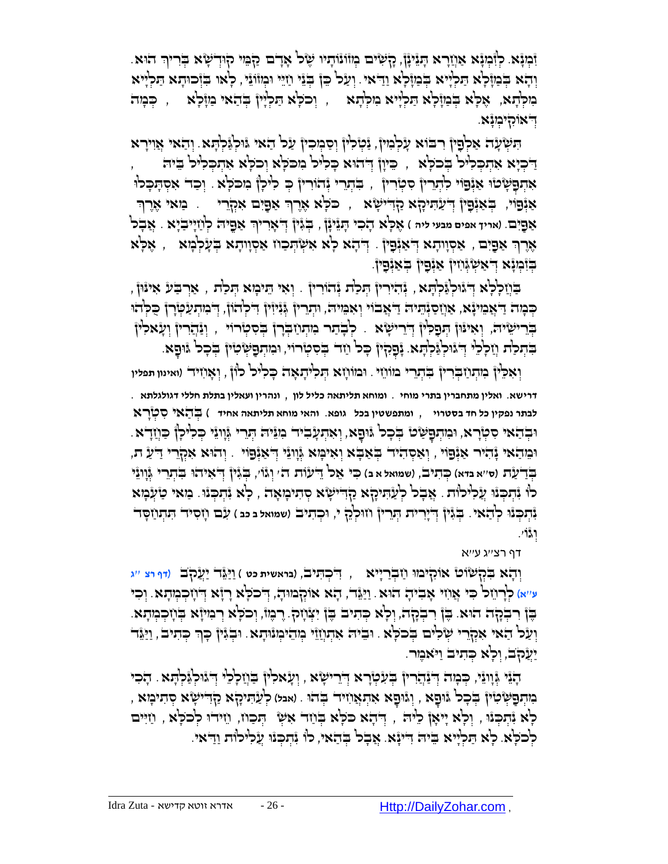וֹּבְוָּא. כְּוְּבְוָּא אַוְזַרָא הָגַיִּנָן, קָשְׁיִּם בְּווֹנוֹתָיו שֶׂל אָדָם קַבְּוִי קוּדְשָׂא בְּריןִר הוּא וְהָא בְּנַזְּלָא הַלְיָּיא בְּנִזְלָא וַדַּאִי. וְעַל כֵּן בְּזֵי וַיְיֵי וּמְזֹוֹזֵי , לְאו בִּזְכוּהָא הַלְיִּיא מִקְּתָא, אֶלְּא דְּבְוֶלְּא הַלְיָּיא ִמִלְּתָא , וְכֹכְא הַלְיִין בְּהַאי בַּוֶלְא , כְּבְוּה ֻד . ְּ אֹוִקי ְּמָנא

הִשְּׂעָה אַלְפָיןْ רִבּוֹא עָלְבִוּיןْ, יַּמְלִיןْ וְסַבְוִכְוּןْ עַל הַאי גּוּלְגַּלְתָּא. וְהַאי אֲוִירָא ַדִּבְא אִתְכְּלִיּל בְּכֹלָא , ֵ כֵּיְוְ וְּדהִא כָּלִיל וִמכֹלְא וְכֹלְא אִתְכְלִיל בֵיה ָאִתְפָּשָׂטֿוּ אַיְּפוֹי לִתְרֵיןْ סִטְרִין , בִּתְרִי יְּהוֹרִין בְּ לִיכְןْ מִכֹּלָא . וְכַד אִסְתְּכָלוּ אַיְּפוֹי, בְּאַיְּפָין דְיַעַהִיכָֽא קַדִּישְׂא , כֹּכְא אֶרֶךְ אַפָּיִם אִקְרֵי , בַּזאי אֶרֶךְ ְּ אַפֶּיִם. (אריך אפים מבעי ליה ) אֶכְ<sup>נָ</sup>א דָבִר הָגַיִּנְן, בְּגִּין דְּאָרִיךְ אַפֵּיה כְ<sup>ו</sup>ַוַזְיִבְיָא . אֲבָל ָאָרֶךְ אַפָּיִם , אַסְוִותָא דְּאַנְׁפָּין . דְּתָא לְא אִשְׂהְכַוז אַסְוִותָא בְּעָלְבְּוּא , אֶלְא ְּ ַבְּזִּבְא דְאַשְׂוְּוֹין אַיְפָין בְּאַיְפִין.

ָבַּוְיָכְלְּא דְּגוּכְ(ּנִלְּתָא, יְּהִירִין הְנִלַת יְּהוֹרִין ְ, וְאִי הֵיבְוּא הְכַדת , אַרְבַּע אִינּוּן ַּכְּמָה דַ אֲבִוּיָ ָא, אַוְזַסַוְּהֵיה דַ אֲבֹוֹי וְאִמִּיה, וּתְרֵין גְּוּיִוּין דִּכְלהוֹן, דְּבִוּתְעַפְוָרן כַּכְלהוּ בְּרִישֵׂיה, וְאִינּוֹן תִּפְלִין דְּיִרִישָׂוּא . לְבָתַר מִתְוַבְּרָן בְּסִטְּרוֹי , וְנַהֲרִין וְעָאלִין ִבְּתְּכַֹת וְזַכְלֵי דְּיְגוּלְגַּלְהָא ְּנָפְקִין ּבְל וַזָּד בְסִטְרוֹי, וּמִתְפַּשְׂטִין בְּכָל גָּוּפָא ִ

וְּאִכְ<sup>וֹ</sup>ן בְּוִתְוַ בְּרִין בְּתְרֵי מוֹוְזֵי . וִּמוֹוְזָא הָלִיתָאָה כָּלִיל לוֹן , וְאָוִזִיד (ואינון תפלין **דרישא**. **ואלין מתחברין בתרי מוחי** . **ומוחא תליתאה כליל לון** , **ונהרין ועאלין בתלת חללי דגולגלתא** . **לבתר נפקין כל חד בסטרוי** , **ומתפשטין בכל גופא**. **והאי מוחא תליתאה אחיד** ( בְֻּ הַ אי סִ טְּ רָ א ּוּבְהָאי סִטְּרָא, וּמִתְפָּשָׂט בְּכְל ווֹפָא, וְאִתְעָבִיה מִוּיה תְּרֵי וְּוָוֹנֵי כְּלִיכָן כַּוְזַדָּא. וְּמִדָּאי זָּהְיָרי אַיְּפְוֹי , וְאַסְהִיד בְּאַבְא וְאִימְא גְּוְוְיֵּי דְּאֲיָפָוֹי . וְהוּא אִקְרִי דַעַ ת בְּדַעָּׂת (סי׳א בדא) כִּתִיב, (שמואל א ב) כִּי אֵל דֵיעוֹת ה' יְג<sup>ָ</sup>וֹי, בִּגְיןْ דְיֹאִיהוּ בִתְרֵי גְּוְוְגֵי לֹו יָּתְּבְּוּ עֲלִילֹוּת . אֲבָל לְעַתִּיהָא קַדִישְׂא סְתִיכְוּאָה , לְא יִּתְבְּוּ . מַאי טַעִּמְא **ַּנְּתְכְּנוּ לְהָאי. בְּגִּיןْ דְיִיָרית הְרֵריןْ וְזוּלְלֵ י, וּכְתִיב (שמואל בכב ) עָב וְזִסִיד תִּתְוַזַסָד** וְּ גוֹ '.

דף רצ''ג ע''א

ַוְהָא בִקְשׂוֹט אוֹקִיֹּבוּ וַזַבְרַיִּיא , דִּכְהִיבׂ, (בואשית כט ) וַיַּגֶּד' יַעֲקֹב' (דף רצ ייג ע''א) כְּרְיֵזכ<sup>ן</sup> כִּי אֲוִזיּ אָבִיהָ הוּא. וַיַּגְּד, הָא אוֹהְבווּהָ, דְּכֹכְא רָזָא דְיוָזְכְבְוּתָא. וְכִי ֶבֶן רִבְהָה הוּא. בֶּן רִבְהָה, וְלָא כְּתִיב בֶּן יִצְּוָזִק. רֶבֶּוּ, וְכֹלָא רְמִיוָּא בְּוָזִכְמְתָא. וְעַל הַאי אִקְרֵי שְׂלִים בְּכלְא . וּבִיה אִתְוָזֵוּ מְהֵימְנוּתָא . וּבְגִּין כְּךָּ כְּתִיבׂ , וַיַּגֵּד יַעֲקֹב, וְכָא כְּתִיב וַיֹּאמֶר.

ָהָנֵּי גְּוָונֵי, כְּכְוּה וְדֹנַהְרוֹן בְּעִמְרָא וְדִרישָׂא , וְעָאלִין ּבִוְזַלְלֵי דְּ גוּלְגַּלְהָא . הָכִי ָּהָתְּפָּשְׂיָה בְּדִישָׂא קָתִיכָן , וְגוּפָא אִתְאֲווִיד בְּהוּ . (א*בל) כְּעַׂתִּיכָן א*ַקְדִישָׂא סְתִיכְוּא ָלְא וָּתְּכְוֹי , וְלָא יְיאָןْ לִיה , דְּהָא כֹּלָא בְּוַזד אִשְׂ ۚ חְָכוז, וֵזידוּ לְכֹלָא , וַזִיּים לְכֹלָּא. כָא הַלְיִיא בֵיה דִייָּא. אֲבָל בְּהָאי, לו יָּתְכְּוּ עֲלִילוּת וַדִּאי.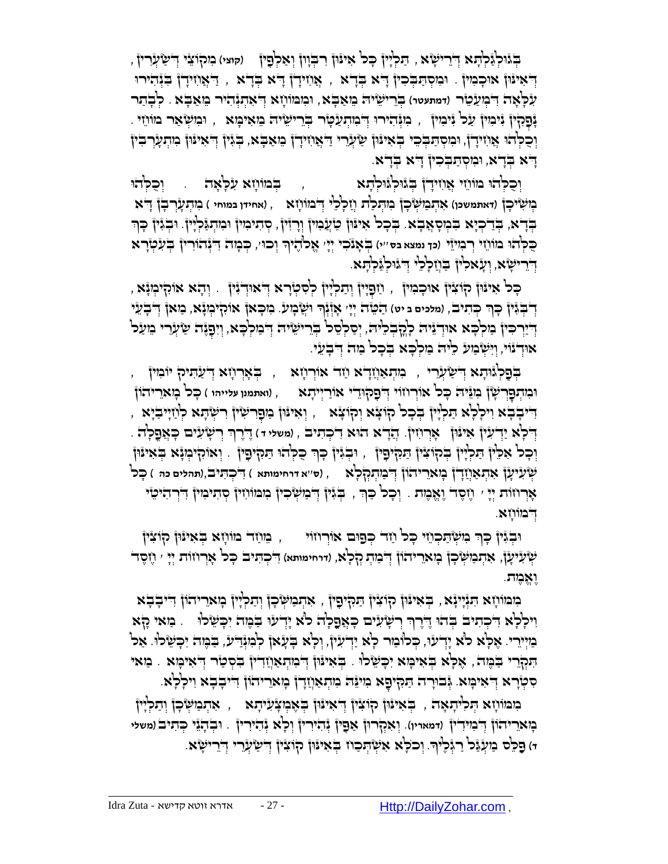ַֻת ְּלָיין ָֻכל ִאי ֻנ )**קוצי**( ִמקֹו ֵצי ְּ ֻד ַ ש ְּעִרין , ֻון ִר ְֻּבָוון ְּו ַא ְּל ִפ ְֻּבג ֻו , ין ְּלַג ְּל ָֻתא ֻד ְּ ֵרי ָשא ַ דְּאִינֿוּן אוּכָמִין ָ וּמִסְתַּבְּכִין ְדִ<sup>וּ</sup>א בְּדָא , אֲוֹזִידָן דָ<sup>ּ</sup>א בְּדָא , דַּאְוֹזִידָן בִּנְהִירוּ ֻו . לְּ בָ תַ ר ִמ ֻמֹו ָחא ֻד ִע ָֻל ָאה ֻד )**דמתעטר**( ְֻּבֵרי ֵשי ֻה ֵמ ַא ָֻבא, ְּ ִא ְּתְּנ ִהיר ֵמ ַא ָֻבא ִ ְּמ ַע ֵטר ָּנָפָקִין יִּיֹכִוּין עַל יִיכִוין , כִוּיְּהוֹירוּ דְּבִוּתְעַפְוֹר בְּרֵישֵׂיה בֵוּאִיכָּוּא , וּבִושְׂאַר מוֹווֵי ְוָּבְלְהוּ אֲוֹזִידָן, וּמִסְתַּבְּכֵי בְּאִינּוּן שַׂעֲרִי דַאֲוֹזִידָן בִזאַבָּא, בְּגִּין דְאִינּון ִמִתְעָרְבִין ָדָא בְּדָא, וּמִסְתַּבְּכִין דָא בְדָא.

וְּכֵקְ<sup>ּוָ</sup>הוּ מוֹוֹזֵי אֲוִזִידָן בְּגْוּלְגֶּוּלְהָא ִחִּה , בְּמוֹוָזָא עִלְּאָה . וְכֻקְ*ּ*הוּ בְּוֹשְׂיֹכָןْ (דאתמשכן) אִתְב*ִוּשְׂ*כָןْ בִוּתְכַ<sup>וֹ</sup>ת וְזִכְלְלִי דְּבׁוֹוֹזָא ), (אחידן במוחי ) בִּוּתְעָרְבָןْ דָּא ַבְּדָא, בְּדַבְיָא בִמְסָאֲבָא. בְּכָל אִינּוּן טַוְעָמִין וְרָזִין, סְתִימִין וּמִתְנַּלְיָין. וּבְגִּין כָּך ָכֶּכְ<sup>וְ</sup>הוּ מוֹוֹזֵי רְבְוִיזֵי (כך נמצא בס''י) בְּאָנֹכִי יְיָ' אֱכ<sup>וֹ</sup>הֶיֹךְ וְכוּ׳, כְּמְהֹ דִ<sup>ּנְ</sup>נְהוֹרִין בְּעִלְיָרא **ּדְיִרִישָׂא, וְעָאלִין** ּבִּוְזַלְלֵיּ דְ<sub>ּיֹּגוּלְגַּלְהָא.</sub>

, וְּדָּא אוֹקִיּבְיָּץ , וְיַפְיִין וְתַכְיְין לְסִטְרָא דְּאוּדְיִין ְ. וְהָא אוֹקִיבְוָּא יִדְּבְּגִּין כְךָ כְּתִיב, (מלכים ב יט) הַטֵּה יְיָי אָוְּגְךְ וּשֲֻבְעַי. כִוּכָאן אוֹהָיִכְוָּא, כַּוּאן דְבְעֵי ָ ְדְיַיְרִכִּיןْ בַּוִלְבָּא אוּדְגֵּיה לְקָבְלֵיה, יְסַלְסֵל בְּרֵישֶׂיה דְבִוּלְבָּא, וְיִפָגָּה שַׂעָרִי בִועַל אודְ ווֹיִשְ בִּוּע כִ<sup>וּ</sup>ה בַולְכָא בְּכָל בַּוּה דְּבָעִי.

, וְּעֵלְּגْיִתָא דְּשַׂעֲרִי , בִּוּתְאַוְזַדָא וַזָּד אוֹרְוָזָא , בְּאָרְוָזָא דְעַתִּיק יוֹבִזין, וּמִהְפָּרְשָׁן מִגֵּיה כָּל אוֹרְוזוֹי דְפָקוּדִי אוֹרַיְיִתְא (ואתמנו עלייהו ) כָּל מָארֵיהוֹן , וְּאִינּוּןْ בַוְפָרִשְׂיןْ רִשְׂהָא לְוַזִיִּבְיָא ְ ָדְלָא יַדְעִין אִינּוּן אָרְוִזִין. הֲדָא הוּא דִלְהִיב , (משלי ד) דֶרֶךְ רְשָׂעִים כָּאֲפֶלָה . ְּ וְּכָל אִכֵּין הַלְיָין בְּקוֹצִין הַנִּקִיםַין , וּבְגִּין כָּךְ כֻלְהוּ הַנִּקִיםָין . וְאוֹהָיבְוּנָא בְּאִינּון ְּש ִעי ָען ִא ְּת ַאֲחָדן ָמאֵריהֹון ֻד , )**ס**''**א דרחימותא** ( ִ ֻד ְּכ ִֻתיב,)**תהלים כה** ( ָֻכל ְּ ַמ ְּתְּק ָלא ְּאָרְוזוֹת יְיָ ' וֶזֶסֶד' וֶאֱמֶת . וְכָל כַּךְ , בְּגִּין דְּבוּשְׂכִין מִמוֹוִזין סְתִימִין דְּרְהִיטֵי ָדִי בּוווְזָא.

ּוּבְגִּיןْ כָּךְ מִשְׂתַּכְוֹזִי כָּכ<sup>וֹ</sup> וַזָּר כְּפַוּם אוֹרְוזוֹי , מֵוֹזֵר מּוֹזָא בְּאִינּוּן קֹוֹצִין **ִּשְׁעִיעָן, אִתְבִישְׂכָן בְּוא**ֵריהוֹן דְּבִיתְ קָלְא, (דוחימותא) דִיכְתִּיב כָּל אָרְוזוֹת יְיָ ' וֶזֶסֶד וֶאֱאמֶ ת.

ָמִמּוֹוָא הִנְיָיְנָא , בְּאִינּוּן קֹוֹצִין הַמִּיְיִפְין , אִהְמַשְׂכְן וְהַלְיָין בְּואֵרִיהוֹן דִייבְבְא וִילְלָא דִּבְהִיב בְּהוּ דֶדֶרְךְּ רְשָׂעִים כָּאֲפֶלָה כ<sup>וֹ</sup>א יָדְעוּ בִמֶּה יִכְשֵׂלוּ ). מַאי קָא ְּמִיְיָרֵי. אֶכְא לֹא יְדְעוּ, כְּלוֹמַר לְא יַדְעוּן, וְכְא בְעָאן לְמִוְּדִיע, בַֹּמֶה יִכְשָׂלוּ. אַל הַנְּלְרֵי בַּמֶּה, אָלָא בְּאִימָּא יִכְשָׂלוּ . בְּאִינּוּן דְּבִוְתָאַוְזַדִין בִסְטַר דְאִימָּא . מַאי ָקוָרא דְאִימָּא. גְּבוּרָה תַּקִיפָא מִיגַּה מִתְאַוְזָדְן מְאִרִיהוֹן דִיבְבָא וִילְלְא.

בוּמוֹוָא הְנִלְיִתְאָה , בְּאִינּוּן קוֹצִין דְּאִינּוּן בְּאֶבְוַצְ֫יִיתָא , אִתְּבוּשְּׂכָן וְתַלְיִין ָּבְוּא*ַ*רִיהוֹן דְּבְוּיִרִין (דמאריו). וְאִקְרוּן אַפְין יְּהִירִין וְכְא יְּהִירִין ְ. וּבְהָיֵי כְּהִיב (משלי וּ) פַּכֵּל בוּעְ<sub>ּ</sub>נֵּל רַגְּכֶי<sub>ּ</sub>ךָ וְכֹכָא אִשְׂהְכַוז בְּאִינוּן קוֹצִין דְּשִׂיְוֶרִי דְיֵרִישָׂא.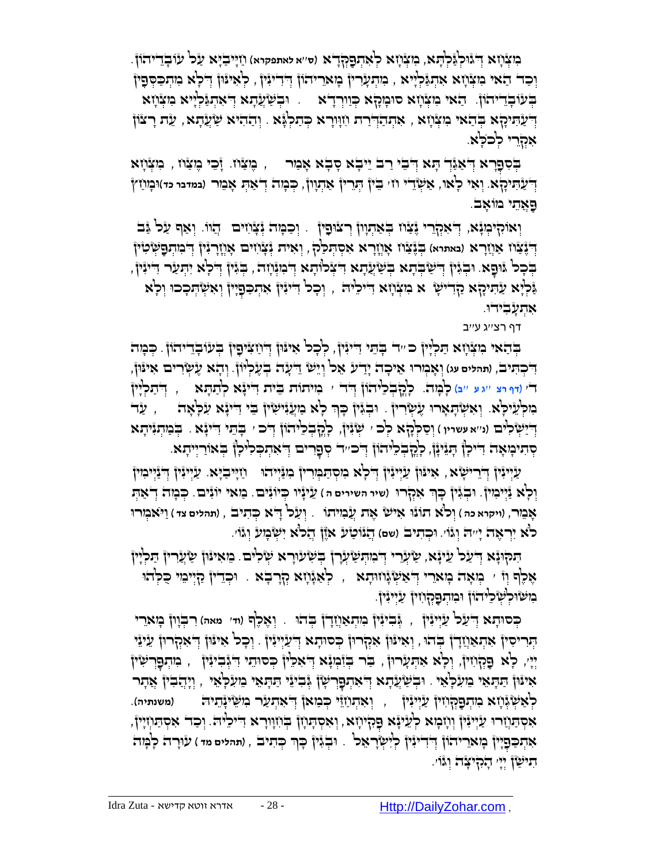בִּיצְ**ּיָׂ'א דְּג**ּוּלְגַּלְהָא, בִּוּצְוְזָא לְאִהְפָקְדָא (ס׳'א לאתפקרא) וַזַיְּיִבַיְא עַל עׂוּבְדֵיהֹוֹן. וְּכַד הַאי גִּוּגְוָא אִהְגַּלְיָּא , גִּוּדְעָרוּן בְּואֵריהוֹן דְּדִינִין , לְאִינּוּן דְלָא גִוּתְכַסְּפָין ַבְּעֹוֹבְדֵיהוֹ, הַאי ִמִצְּוָא סוּמְקָא כְּוַוְרָדְא . וּבְשַׂעֲתָא דְּאִתְגַּלְיָיא ִמִצְּוָזא דְּעַהִיקָא בְּהַאי מִצְּוָזא , אִתְהַדְּרַת וִזְוּרָא כְּתַלְגָּא . וְהַהִיא שַׂעֲדָא , עֵה רָצוֹן אִקְרֵי לְכֹלָא.

ָבְּסִפְרָא דְאַגַּדְ הָע דְּבִי רַב יֵיבְא סָבְא אָבור – , כָּוּצַוֹו. זָכֵי כֶּוצִוֹו , בִוּצְוָוא ַא ְּש ' ֵֻבין ְֻּתֵרין ַא ְּתָוון, ְֻּכ ָמה ְּד ַא ְֻּת ָא ֵמר )**במדבר כד**( ֻו ָמ ַחץ ֻד . וְּ אִ י לָאו, ֵדי ח ְּ ַע ִֻתיָקא ַֻפ ֲאֵתי מֹו ָאב.

וְאוֹקִיּמְנָא, דְּאִקְרֵי יֶּצַוּו בְּאַתְוְן רְצוּפָין . וְכַמְּה יְּצָוֹזים יְהֵווּ. וְאַף עַל יַּב דְּנָּצָֿוז אַוְזַרָא (מאתיא) בְּנֶצַוּז אָוְזָרָא אִסְתְּכַל, וְאִית גְּצָוִזִים אָוְזָרְגִּיןْ דְּבִתְּפָשְׂטִין ַבְּכָל וּוּפָא וּבְגִּין דְּשְׁבְּתָא בְּשַׂעֲתָא דִּצְלוֹתָא דְבִוּוָוֹה, בְּגִין דְלָא יִהְעַר דִיּוֹין, ָּנְלְּא עַׂיִניקָא קַדִישָׂ א נִזְצְוָזא דִייכִ<sup>ו</sup>יה , וְכָל דִיּנִין אִתְכַּפְיָין וְאִשְׂהָכְכוּ וְלְא ּאִתִעָבִידו.

דף רצ''ג ע''ב

ַבְּאי בִּוּצְוָזָא הַלְיָין כּ ״ִד בְּהֵי דִייִּין, לְכָל אִיּוּן דְוֹזַצִּיִםָין בְּעוּבְדֵיהוֹן. כְּבְוּה ֵי ש ֻד . ְּו ָהא ֶע ְּ שִרים ִאי ֻנֻון, ְּו ָא ְּמר ֻו ֵאי ָכה ָיַדע ֵאל ְּו ֵ ָעה ְּבֶע ְּליֹון ֻד , )**תהלים עג**( ִ ְּכ ִֻתיב ד' (דף רצ ''גע ''ב) לְמָּדֹ. כְלְדָבְלֵיהוֹן דְּדֹי ' בִויתוֹת ַבֵּית דִיעָּׂא לְתַתְּא <sub>,</sub> דְדִת ְלְיוֹן ַבִּוּכְ<sup>וָ</sup>יָנִיכְ<sup>וֹ</sup>א. וְאִשְׂהָאָרוּ עֶיִטְרִיןْ . וּבְגִּיןْ כְּךָ כְ<sup>וָ</sup>א בִוְעֲנִישִׂין ְ בֵּי דִינְגָא עִכְאָה ซา , עַד יִדְיַשְׂלִים (ני׳א עַשריו ) וְסַקְלָּא לְכ<sup>ּ ,</sup> שְׂוָּיןْ, לְקֶבְלִיהוֹן דְּב ּ בְּתֵל דִינְּאָ . בְּבַוְתְגִיתָא ְּפְרִים הַאִתְּכְלִיהָ הַּנֵּיְנָן, לְקִבְלִיתוֹן הָכִּיה מְפָרים הַאִתְכְּלִיכָן בְּאוֹרַיִיתָא.

ַעֲיִיּנִין ְדְּרֵישָׂא, אִינּוּן עַיְיִנִּין ְדְּכָ<sup>וֹ</sup>א ִמְסְתַּמְּוִרין ְּמִנַּיְיהוּ  $j$ וְיַיִּבְיָא. עַיְיִנִין וְדִנַּיְיִמִוּן ֵעיָניו ְֻּכיֹוִנ . מַ אי יוֹ נִים. ְֻּכ ָמה ְּד ַא ְֻּת ֻו )**שיר השירים ה** ( ים ְּבִגין ָֻכךְּ וְּ לָא נַיְּימִ ין. ִאְּקר ֻו אָבֵוּר, (ויקרא כהּ ) וְכ<sup>וֹ</sup>א תَוֹנْוּ אִישׂ אֶת עֲבְוִיתוֹ . יְעַל דָ<sup>וּ</sup>א כְּתִיב , (תהלים צד ) וַיֹּאמְורוּ לֹא יִרְּ אֶ ה יָ '' ֻה ְּוגוֹ '. ֻו ְּכ ִתיב )**שם**( ֲהנֹו ַטע אֶֹזן ֲהלֹא ִי ְּש ָמע ְּוגֹו'.

ַתִּקוּנָא דְיעַל עֵינָא, שַׂעְרִי דְּבְוּתְשַׂעְרָן בְּשְׁעוּרָא שְׂלִים. בֵּזאִינּוֹן שַׂעֲרִין הַכְלְיוֹ אָכֶ<sup>ֹ</sup>ף וְוּ י הְאָה כְּאֵרִי וְ*יֹאַשְׂגָּווּתָא ,* לְּאַגָּוָא קְרָבְא . וּכְדֵין קַיְיִבְוּ כַּלְהֹוּ ָבִוּשׂוּכְשְׁבֵיהוֹן וּבְזִהְפַקְוּזִין עַיִינִין.

בְּסוּתָא דְּעַל עַיְיגִין , גְּבִיגִין בְּוִתְאַוְזַדְן בְּהוּ . וְאֶכֶ<sup>וֹ</sup>ף (ו*ד'* מאה) רִבְּוָון בְּזארֵי יְּנִרִיּסִיןٌ אִתְּאַוְזָדָןٌ בְּדוּ , וְאִינּוּןْ אִקְרוּןٌ כְּסוּתָא דְּעַיְיִּנִּיןْ . וְכָל אִינּוןْ דְּאִקְרוּןٌ עֵיּנֵי ְיְיָּי, כְּא פַּקְוָזִין, וְכְא אִהְעָרוּן, בַּר בְּוֹבְוָּנָא דְאִכֵּין בְּסוּתֵי דִגְּבִיּנִין ְ , בִּוּתְפָרְשִׂין ָאִינּוֹן הַתְּאֵי בִוּעִלְּאֵי . וּבְשַׂעֲתָא דְּאִתְפָּרְשָׂן גְּבִינֵי הַתְּאֵי בֵועִלְּאֵי , וְיָהֲבִין אֲתָר ַלְאַשְּׂذְּוָא בִזהְפָקְוִזִין עַיְיִנִין , וְאִהְוַזֵּי כְּב*ַוּ*אן דְאִהְעַר בִזשֵׂינָֽהָיה (משנתיה). ָאִסְתַּוְזַרוּ עַיְיִּגִּיןْ וְוָזְבְוּא לְעֵינָּא פָקִיוָזָא וְאִסְתָוְזָן בְוֹזָוּוָרָא דִיכִיה. וְכַד אִסְתַוְזִין, אִתְכַּפָּיָיןْ בְ*ו*ּאַרִיהֹוֹן דְּדִינִּיןْ כְוְיִשְׂרָאֵכ<sup>וֹ</sup> . וּבְגִּיןْ כְּךָ בְּתִיבׂ , (תהלים מד) עוּרָה כְ<sup>ו</sup>ַמְּה תִ י ַשן ְּיָי' הָ קִ יצָ ה וְּ גוֹ '.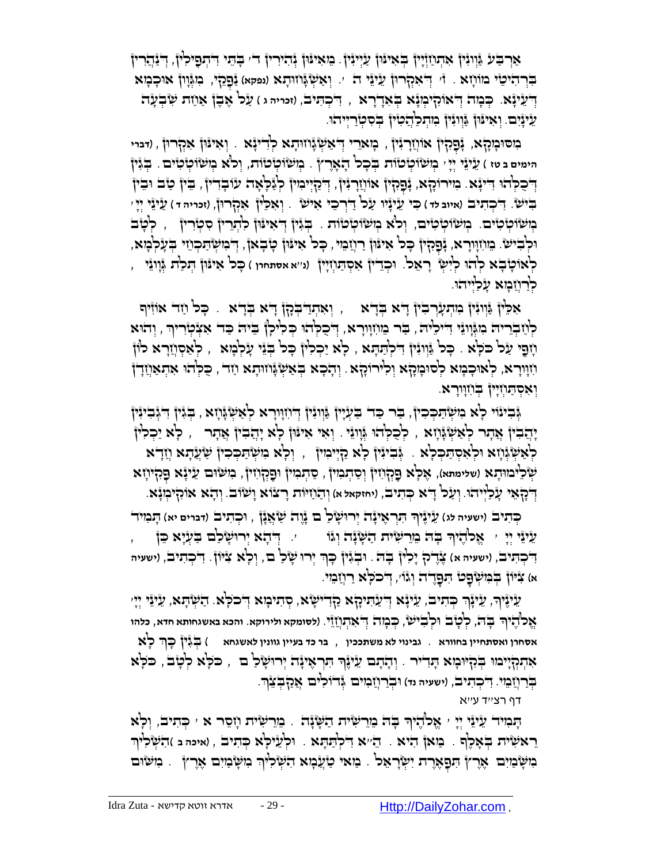אַרְבַּע גַּוְוּגִּין אִתְוַזְיָין בְּאִינּוּן עַיְיִנִּין ָ בֵזאִינּוּן גָּהִירִין ד' בָהֵי דִיתְפָילִין, דְיַנָּהַרִין בִּרְ הִיֹּמֶין מוֹ חָ א וִי יְדֹאִקְרוּן עֵיּנֵי ה '. יְאַשְׂגָּוזוּהָא (נפקא) נַּפָקי, ִכְוּגְּוָון אוּכָבְזא ַדְּעֵי יָּגָה יִדְאוֹקִיכְוּנָא בְּאִדְרָא , דִיכְתִּיבׂ, וזכייה ג ) עַל אָבֶן אַוַזת שִׂבְעָה ַעֲינָיָם. וְאִינּוּן נִּוְוּנִין בְּותְכַיְּדָמִין בְסִסְיַרַיְיהו.

**ְּמְסוּכְוָקָא, יְּפָקִין אוֹוְזַרְנִין , בְּוא**ֵרי דְּ'אַשְׂנְּוֹזוּתָא לְדִינְּא . וְאִינּוֹן אִקְרוּן , (דברי הימים ב טז ) עֵי<sub>ּ</sub>יֵּי יְיָ <sub>'</sub> בְּוּשׂוֹכְוֹּכוֹת בְּבָר הָאֶרֶץ . בְוּשׂוֹכְוֹת, וְרֹא בְוּשׂוֹכְוֹכוֹים . בְּגִּיןْ ְדְּבָכְּהוּ דִייָּנָא. מִירוֹקָא, נְּפָקִין אוֹוְזַרְגִּין, דְּכַזְיִימִין לְנַכְאָה עִוּבְדִין, בִּין טַב וּבִין بَيْن بِنَا بِسَالِمَاتِ (אַיוּב *יִּד) כִּי עֲי*נְיוּ עַל דַּיְרְבֵי אִישׁ ). וְאָכֵ<sup>נ</sup>וֹ אִקְרוּןْ, (זכויה ד בְּוּשׂוֹמְיֹּם. בְּוּשׂוֹמְיֹם, וְּכֹֹא בְוּשׂוֹמְיֹּסוֹת . בְּגִּין דְּאִינּוּן לִתְרֵין סִמְיָרִין , לְטָבֹ ּוּכְבִישׂ. מֵוֹזְוָרָא, נָכָּקִין כָּל אִינּוּן רַוְזַמֵי , כָּל אִינּוּן טָבְאן, דְבִזשְׂתַכְוֹזי בְעָלְמָא, ָלְאוֹטָׂבָא לְהֹוּ לְיִשְׂ רָאֵל. וּכְדֵיןْ אִסְתַּוְזִיןْ (נ׳׳א אסתחרו ) כָּל אִינּוּןْ הְנ<sup>ַ</sup>דת גְּוָוְגִי , ּלְרַוְיָּבְוָא עָלְיִיהוּ.

אָכֵּין ְּגְּוְוָּיןْ בִיתְעָרְבִיןْ דָיֹא בְּדָא , וְאִתְדַבְּכָן) דָיא בְּדָא . כָּכ*ן וַזָּר א*וֹזִּיף ַלְּוֹזַבְרִיה ִבְּגְּוְוֹٓ וָדִיכִיה , בַּר בִּווֹזְוָרָא, דְּכָכְהוּ כְּכִיּלָן בֵּיה כַּד אִצְטְרִיךְ , וְהוּא ָּוֹוָנִי שָׁלְמָא . כָּל גַּוְוִנִּין דִילְתַּתָּא , לְּא יַכְלִין כְּל בְּנֵי עָלְמְא , לְּאַסְוְזַרָא לוֹן וֹזָוּרָא, לְאוּכָנְזא לְסוּנִזְקָא וְלִירוֹהָא . וְהָכָא בְּאַשְׂגָּוזוּהָא וַזד , כַּלְהוּ אִהְאַוְזַדְ† וְאִסְתַּוְזְיָין בְּוֹזְוִרָא.

ְגְּבִינוֹי כְא ִבִיעֲהַכְּכִין, בַר כַד בַעְיָין גַּוְוּנִין דְוֹזְוִרָא כְאַשְׂגָּוְזָא , בְגִין דִיגְבִינִין יָהֲבִיןْ אֲתָר לְאַשְׂגָּוָא , לְכָלְהוּ גְּוְוּגֵי . וְאִי אִינּוּןْ לְא יָהֲבִיןْ אֲתָר  $\,$  , לְא יַכְלִין ַלְּאַשְּׂגְּוָא וּלְאִסְתַּכְלָא . גְּבִיּגִיןْ כְא קַיְיִּמִיןْ , וְכָא ִמִשְּׁתַּכְכִיןْ שַׂעֲדָא וְזַדָּא **ְשְׂלֵיכוּוּהָא (שלימתא), אֶלְא פַקְוֹזִיןْ** וְסַהְבִיןْ , סַהְבִזיןْ וּפַקְוֹזִיןْ, בִזשׂוּם עֵינְׂא פָקִיוְזא **ְדְ**ֹכָן אֵי עָלְלְיּהוּ. וְעַל דָא כְּתִיב, (יחזקאל א) וְהַוֹזיּוֹת רָצוֹא וָשׂוֹב. וְהָא אוֹקִיכְוּבָּא.

جְּתִיבֹ (ישעי<del>ה לג) עֵ</del>ינֶיֹךְ הִּרְאֶינָה יְרוּשָׂלַ ם גָּוֶה שַׂאֲנָן , וּכְתִיבׂ (דברים יא) הָבִזיה ָָעֵי יֵי יִ אֲלֹהָיֹךְ בְּה ִמֵרִשְיֹת הַשְּׁנָה וְּגוֹ , , יְדִהָא יְרוּשְׂלַם בַּעְיָא כֵּן , , ּדִּ'כְהַי<sub>ָּ</sub>בֹ, (ישעיה א) צֶדֶלה יָכְלוּן בְּה: וּבְגִּין כְּךָ יְרוּ שָׁלַ ם, וְכָא צִיּוֹן. דִיכְהִיב, (ישעיה א) צִיּוֹן בְּמִשְׂפָט הִפָּדֶה וְגוֹי, דְ**כ**כְ<sup>וָ</sup>א רַוְזִמִי.

ַעֵּינֶּיךָ, עֵינֶֽךָ כְּתִיבׂ, עֵיּנֶא דְיֹעַתִּיכֶלָא כַּדְרִישְׂא, סְתִיבְוּא דְּכֹכְא. הַשְּׁתָּא, עֵיּנֵי יְיָ ְּ ָֻב ֻה ֱאאלֹ ֶהיך , ְּל ָטב ֻו ְּל ִבי ש, ְֻּכ ָמה ְּ ֻד ִא ְּתֲחזֵי. )**לסומקא ולירוקא**. **והכא באשגחותא חדא**, **כלהו**  ָ ְֻּבִגין ָֻכךְּ **אסחרן ואסתחיין בחוורא** . **גבינוי לא משתככין** , **בר כד בעיין גוונין לאשגחא** ( ָלא אִתְקְיָימוּ בְּקִיּוּמָא תְּדִיר . וְהָתָם עֵ*יִ*יֶּךְ תִּרְאִייָּהֹ יְרוּשָׂכַ<sup>וֹ</sup> ם , כֹּכְאׁ לְטָבֹ , כֹּכְא בְּרַוְזַבְּוִי. דִיכְהִיב, (ישעיה נד) וּבְרַוְזִבְוּים אֲדוֹכִיּם אֲקַבְּצֶךְּ.

דף רצ''ד ע''א

הָבְוּיֹד עֵיێי יְיָ י אֱכֹהֶיךָ בְּה ּבְוֵר הַשְׁיָּנָה . בֵּוֵרִשְׂיּת וְזָסֵר א ׳ כְּתִיב, וְכָא ָ ֵרא ִשית ְֻּב ָא ֶלף . מַ אן הִ יא . הֵ ''א ִ ֻד ְּל ַֻת ָֻתא . ֻו ְּל ֵעי ָֻלא ְֻּכ ִתיב , )**איכה ב** ( ִה ְּש ִליךְּ הִשְּׂבּוִיִּם אֶרֶץ הִפָּאֶרֶת יִשְּׂרָאֵל . בַּוּאי טַוְעַבְוּא הִשְׂכִיּךְ בִּוּשָׂבוִיִם אֶרֶץ . בִּוּשֹּוּם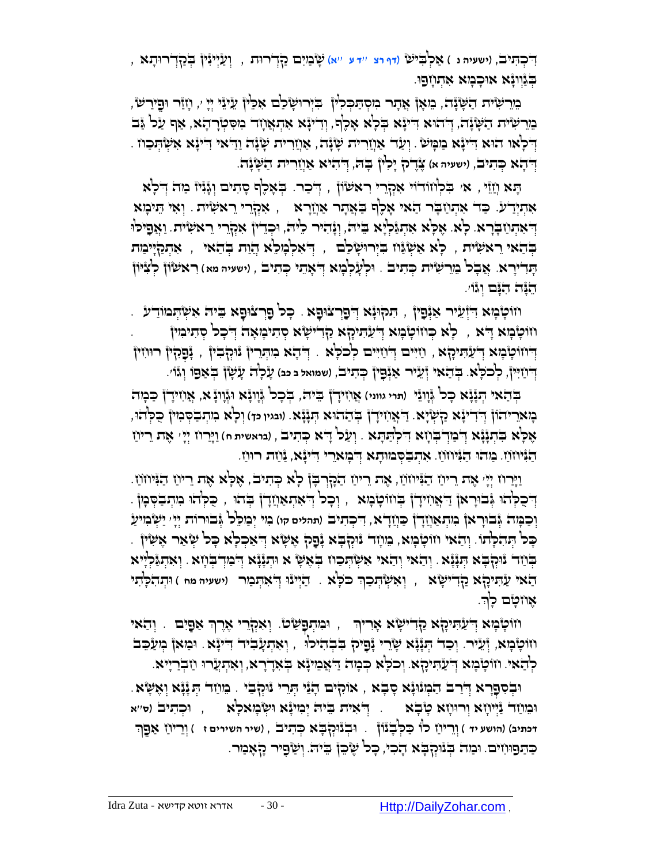ַא ְּל ִֻב )**דף רצ** ''**ד ע** ''**א**( ָש ַמִים ַקְּדר ֻות , ְּו ַעְּייִנין ְֻּבַקְּדר ֻו ָתא , ֻד , )**ישעיה נ** ( י ש ִ ְּכ ִֻתיב ַּבְּנֵוְוְנָא אִוּכְבְּוּא אִתְוְזְפַוּ.

ָּמֵר הִשְׁנָה, ִמִאָן אֲתָר ִמִסְתַּכְלִין ִ בִּיְרוּשָׂכִם אִכֵּין עֵיּנֵי יְיָ ׳, וְזַוָּר וּפֵירַשׂ ָמֵרִ הִשְׁנָה, יְּדהִוּא דִינְגָא בְלְא אָכֶף, וְדִינָּא אִהְאֲוָד מִסִטְרָדָא, אַף עַל נַּב ָדְּלְאוּ הִוּא דִייִּנָּא בַוּבְּוּשׂ . וְעַד אַוְוַרית שָׂנָה וְיָדָאי יִייִיִּא אִשְׂהְכַוּו بَيْك ضَنرج ` ( , ) **، الله عليه الله عليه الله إن الله إن** بِهَا إِله بِجَمْسٍ إِلهَمْ يَسْتَمَدُّونَ بِمَجْر

הָא וְזֵיֵּ , אִ׳ בִּלְוּזִדֹוִי אִקְרֵי רִאשׂוֹן , דְּכַר. בְּאָלֶף סָתִים וְגָּנִיז ּמַה דְלִא אִהְיָרַע. כַּד אִתְּוַזַבְר הַאי אָכֶף בַּאֲתָר אַוְזַרָא , אִקְרֵי רֵאִשְׂיִת. וְאִי הֵיכְוּא ַוְ*ֿי*אִתְוַיַבְרָא. כְאַ. אֶכְּא אִתְּנֵּלְיָא בִיה, וְנָּהִיר כִיה, וּכְדֵין אִמְרָרי ֵראשִׂית. וַאֲפָיכ<sup>ן,</sup> ַּבְּדַאי ִרָאשִׂית , לְּא אַשְׂנֵּוּז בִּיְרוּשָׂיּכַם , דְּאִלְבָוּלֵא הֲזַת בְּדַאי , אִתְכַזְיִיכַוּת ָֻתִדיָרא. ֲא ָבל ֵמֵר ִשית ְֻּכ ִתיב . ֻו ְּל ָע ְּל ָמא ְּ ֻד ָאֵתי ְֻּכ ִתיב , )**ישעיה מא** ( ִרא שֹון ְּל ִצ ֻיֹון ֵהָֻנה ִהָֻנם ְּוגֹו'.

ָיוֹטְבְּוּא דְּיְיָעֵיר אַיְפָין , הִקוּנָא דְפָרְצוּפָא . כְּל פַּרְצוּפָא בִּיה אִשְׂהְמוֹדַע . חֹוֹטָבְוּא דָא , ۖ לְא כְּחֹוֹטָבְוּא דְיֹעַתִּיכָןא קַדִישְׂא סְתִיבְוּאָה דְּבְכ<sup>ן</sup> סְתִיבִוּיןْ ַדְּיוֹוֹטְבָּבְין , יְּבָכְלְּין רוּוֹזין , יִזְיִּים לְכֹלָא . דְּבְא ִמִתְּרֵין נִוּקְבִין , יְּבָכְלְין רוּוֹזין **ְדְ**ּיָוַיִּיןْ, כְלִבְלָּא. בְּדֵאִי זְּעֵיר אַנְּפָיןْ כְּהִיבׂ, (שמואל ב כב) עָלְה עָשָׁן בְּאַפוֹ וְגוֹ׳.

 $\frac{1}{2}$ בְּלֵא הְּנָוְנָא הְאֲווֹדָן בַּמְה $\frac{1}{2}$  בֵּית ְּתֵנְוֹנָא וּגְֿווְנָּא, אֲוִזידָן בַּכְּוּה ָכָּוּא*ַריה*ׂוֹן דְּדִייִּגָּא קַשְּׂיָא. דַיִּאֲוִזיְדָן בְהַהוּא הְגָּנָּא. (ובגיו כד) וְכָ<sup>וֹ</sup>א בִזְתְבַסְּבִזין כֻּכְּהֹוּ, ֶא ָֻלא ִֻב ְּתָנָנא ֻד . ְּו ַעל ָ ֻדא ְֻּכ ִתיב , )**בראשית ח**( ַוָֻיַרח ְּיָי' אֶ ת רֵ יחַ ְּ ַמְּד ְֻּב ָחא ֻד ִ ְּל ַֻת ָֻתא ַהַנִּיחֹוֹ ַמְהוּ הַנִּיחֹוֹ ִאִתְבַסְמוּתָא דְּבְוּאֵרִי דִינְנָא, נַחת רוּוַז.

ַוְיָּרוֹז יְיָי אֶת רִיוֹז הַנִּיּוֹזוֹז, אֶת רִיוֹז הַקְּרְבְּן לְא כְּתִיבׂ, אֶלְּא אֶת רִיוֹז הַנִּיוֹזוֹז. וֹבְּכְלְהִוּ אֶבוּרָאוָ דַּאָוֹזִידָן בְּוזוֹטָבְוּא , וְכָכן דְּאִהְאַוֹזַדָן בְּהוּ , כַּלְהוּ מִתְבַסְּמוָ וְּכַבְּוּה גְּבוּרָאן בְּוִתְאַוְזָדָן כַּוְזַדָא, דִיכְתִיב (תהלים קו) בִוּי יְבַוּכָ<sup>י</sup>ל גְּבוּרוֹת יְיָי יַשְׂבִוּיעַ ָבְּל הְּהִלְּתוֹ. וְהַאי וֹזוֹטְבְּוּא, בִוּוָה נִוּקְבְּא נְּפָק אֶשָּׂא דְּאַכְלְא כְּל שְׂאַר אֶשִׁין . הָוֹגָא יִהְנָּנָא יִתְּנָנָא . יְהָאי יִחֲאי אִשְׂהְכוז בְּאֶשָׂ א וּתְנָנָא דְּכוּדְבְוָא . וְאִתְנַלְיְיא ָהַאִי עַׂתִיכָּןא קַדְרִישָׂא , וְאִשְׂהְכַךְ כ<sup>ַכְ</sup>א . הַיְּינוּ דְ<sup>י</sup>אִהְבַור (ישעיה מח ) וּתְהִכְ<sup>ּוֹ</sup>תִי ְּ אָוזטָם כְךָ.

וֹוֹטְבְּא דְּעַהִיהָא הַדִּישָׂא אָרִיךְ , וּבִזהְפָשַׂטֿ. וְאִהְרֵי אֶרֶךְ אַפָּיִם . וְהַאי ְּ ּחֹוֹטְבְּוּא, זְּעֵיׁר. וְכַד הְנְיָּנָא שָׂרֵי יָבְבְהִיכוּ , וְאִהְעָבִיד דִייָּא. וּמַאן בְּוַעַּבֵּב לְהַאי. וזוֹטְבְּרָא דְּעַתִּיכָןּא. וְכֹכְא בְּבְוּה דַיִּאֲמִינָּא בְּאִדְרָא, וְאִתְעֲרוּ וַזִּבְרַיִיא.

אֹוִקים ָהֵני ְֻּתֵרי נֻו . ֵמ ַחד ְֻּת ָנָנא ְּו ֶא ֻ ָשא. ְּק ֻו , ֵבי ְּב ִס ְּפָרא ֻד ְּ ַרב ַה ְּמנֻוָנא ָס ָבא ֻו )**ס**''**א** ְּכ ִת ֻד , יב ְּ ִאית ֵֻבי ֻה ְּי ִמיָנא ֻו ש ְּ ֻו ֵמ ַחד ַנְּיי ָחא ְּור ֻו ָחא ָט ָבא . ָמא ָלא ְּוֵרי ַח ַא ֵֻפךְּ **דכתיב**( )**הושע יד** ( ְּוֵרי ַח לֹו ַֻכ ְֻּל ָבנֹון . ֻו ְּבנֻוְּק ָֻבא ְֻּכ ִתיב , )**שיר השירים ז** ( ַכְּתַּפוּוֹזִים. וּבַזה בְּנוּקְבָא הָכִי, כָּל שֶׂכֵּן בִיה. וְשַׂפָּיר קָאָבִור.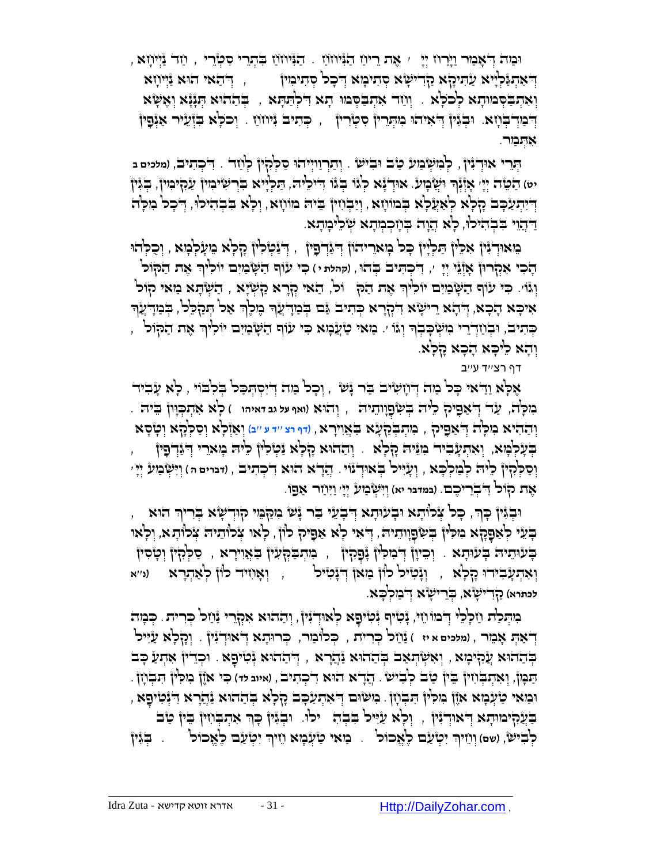וּבַּוּהֹ דְּיֹאָבַּוּר וַיְּרַחֹ יְיָ ִי אֶת רֵיוֹוַ הַגְּנִּחֹוֹוַ בִּתְרֵי סִטְרֵי , וַזָּר נַיְיִחָא , ַדְּ'אִתְגַּלְיָיא עַׂתִיקָא קַדִישְׂא סְתִיכִוּא דְּ'כָל סְתִיכִוּין , דְּ'הַאי הוּא נַֿיְיוֹזָא יְאִהְבַּסְמוּתָא לְכֹלָא <sub>·</sub> וְוַזֵר אִתְבַסְמוּ תָא דִּלְתַּתָּא , בְּהַתוּא הְגָנָא וְאָשָׂא ַדְּבִּזְדָ בְּדָא, וּבְגָּין דְּאִיהוּ מִהְרֵין סְטְרִין , כְּתִיב יָּיוֹוֹוַ . וְכֹלָא בִּזְּעֵיר אַיְּפָין אִהְּבַּוּר.

بِ*ּוָרִי אוִדְ*ּיָּוֹ*ּ, לְּמִשְׂבַּוּע בַו*ֹב וּבִישׂ . וְתַרְוַיִיהוּ סַלְּקִיןْ לְוַזֵד . דִיכְתִיב, (מלמים ב ָיט) הַטֵּה יְיָי אָוְֿיִ<sup>ּנְ</sup>ךְ וּשֲׂבְוּע. אוּדְיָגָא לְגֹו בְּגוֹ דִיכִיה, הַכְיָיא בִּרְשִׂיבִוּין עַקִיבִוין, בְגִין יִדְיִּתְעַבָּב הָלְא לְּאַעֲלָא בְּבוּוֹיָזא, וְיַבְוֹזין בֵיה מוֹוֹזָא, וְלָא בִּבְהִיכוּ, דְּבָל מִלְה דַּהֲוִי בִּבְהִיכוּ, כְא הֲוָה בְּוָזְכְמְתָא שְׂכִימְתָא.

הַמֹּאוּדְגָּיןْ אִכֵּיןْ הַלְיָיןْ כָּל בְּוא*ַריהוֹן דְּ*גַּדְבָין , דְּגַּטְלִיןْ קָלָא בִועָלְבְזּא , וְכִלְהוּ **ְדָבִי אִקְרוּן אָוְּ**זֵי יְיָ יִ, דִיכְתִּיב בְּהוּ, (קהמת ּי) כִּי עוֹף הַשְּׁבוִים יוֹכִ<sup>וּ</sup>וּךְ אֶת הַקוֹל וְּגּוֹי. כִּי עוֹף הַשָּׂבִוִים יוֹלִיךְ אֶת הַלִּךְ וֹל, הַאי קְרָא קַשְׂיָא , הַשְׂהָא בַּוּאי קוֹל אִיכָּא הָכָא, דִּהָא רִישָׂא דִקְרָא כִּתִיב גֶּם בִּמְדָעֵׂךְ בֶּוְלֶךְ אַל הַמַקִּלֵל, בִּמְדִעֵ*֫ךְ* ָּכְּתִיבׂ, וּבְוַזְדְרֵי ִמְשְּׂכָּבְךְ וְגוֹ ׳. מַאי טַזְעָקִא כִּי עוֹף הַשָּׂבְוִים יוֹלִיךְ אֶת הַקוֹל<sup>'</sup> , ְּ וְהָא כִ<sup>וּ</sup>כְּא הָכְא קָלְא.

דף רצ''ד ע''ב

ָאֶלְא וַדַּאי כָּל מַה דְּוְזִשְׂיב בַּר יָּשׁ , וִכָל מַה דִיִסְתִּכַל בִלְבוֹי , לָא עָבִיד מִ לָֻה, ַעד ְּ ֻד ַא ִֻפיק ֵלי ֻה ְֻּב ִ ש ְּפָוו ֵתי ֻה , ְּוהֻוא )**ואף על גב דאיהו** ( ָלא ִא ְּת ְֻּכָֻוון ֵֻבי ֻה . ְּו ַה ִהיא ִמ ָֻלה ֻד , מִ תְּ בְֻּ קַ עָ א בַֻ אֲ וִ ירָ א , )**דף רצ** ''**ד ע** ''**ב**( וְּ אַ זְּלָא וְּ סַ לְֻּ קָ א וְּ טָ סָ א ְּ ַא ֻפ ִ יק בְּעָלְּבְוּא, וְאִהְעָבִיד ִכְּוֵּיה כְלְא . וְהַהוּא הָלְא וַּטְלִין כִּיה בְּואֵרי דְּיֵיְדְפָין ֲהָדא הֻו , )**דברים ה** ( ְּוִ ֻי ְּש ַמע ְּיָי' ְּו ָעִ ֻייל ְֻּבאֻו . א ִד ְּכ ִתיב ְּו ַס ְֻּלִקין ֵלי ֻה ְּל ַמ ְּל ָֻכא , ְּדנֹוי ֶאת קֹול ֻד . )**במדבר יא**( ְּוִ ֻי ְּש ַמע ְּיָי' ַוִ ֻי ַחר ַא ֻפֹו. ִ ְּבֵרי ֶכם

וּבְגִּיןْ כְּךָ, כָּכ<sup>ו</sup> אֲכווֹתָא וּבְעוּתְא דְּבְעֵי בִּר גָּשׁ מִקַּמֵּי קוּדְשָׂא בְּרִיךְ הוּא ּבְּעֵי לְאַפָּקָא ִמִכְּין בְּשִׂפָוָותֵיה, דְּאִי לָא אַפָּיק לוֹן , לְאו צְכוֹתֵיה צְרוֹתָא, וְלְאו ְּבְּעִוּיָרָא , יְכֵיוָן דְּבִיכִין נָפְהָין , כִּוּתְבַּקְעָין בַּאֲוִירָא , סַלְּהָין וְטָסִין וְ**ּיִאְהְעָ**ּבִידוּ כְּלְאַ , וְּנָּטִיּל לוֹן מַאן דְּנָּטִיל , וְאָוִזיד לוֹן לְאַהְרָא (ני׳א לכתרא) <u>קודישא, בְּר</u>ישָׂא דְבִנִקְבָא.

ָנִהְכַּת וַזְכְלֵי הְיִמוֹ וֵזִי, נָּטִיק נְּטִיפָא לְאוּדְנִין, וְהַהוּא אִקְרֵי נַּוַזל כְּרִית. כְּבְוּה יְדֹאַתְ אָבֵור , (מלכים א יז ) נֵּוֹזַל כְּרִית , כְּלוֹבַוּר, כְּרוּתָא דְּאוּדְגָּין <sub>.</sub> וְנָזְלְא עַיִּיל ָבְּהַהֹּא עֲקִיּכְוּא , וְאִשְׂהְאַב בְּהַהוּא נַּהֲרָא , דְּהַהוּא יְּכִייֹםָא . וּכְדִין אִהְעַ כְּב ֲהָדא הֻו , )**איוב לד**( ִֻכי אֶֹזן ִמ ִֻלין ִֻת ְּב ָחן . ְּו ִא ְּת ְֻּב ִחין ֻב . א ִד ְּכ ִתיב ַֻת ָֻמן, ֵ ין ַטב ְּל ִבי ש ּוּמַאי טַעְּמָא אָוֶן ִמִּלִין הִבְוְיָן . מִשְׂוּם דְּאִהְעַבְּב קָלְא בְּהַהֹוּא נַּהֲרָא דִינְטִיפָא הַעֲקִימוּתָא דְּאוּדְגִּין , וְכְא עַיִּיכו בִּבְהָ , יִכְוּ. וּבְגִּין כָּךְ אִתְבְּוִין בֵּין טַב לִבְּיֹּש*ׂ, (שׁם) וְוְיִיּךְ יְּטְעַם לֶאֱכוֹל ְּ.* בְּ*וֹאִי טַעָּבְוּא וְיִיךְ יִטְעַם לֶאֱכוֹל ְּ. בְּגִּין* ְּ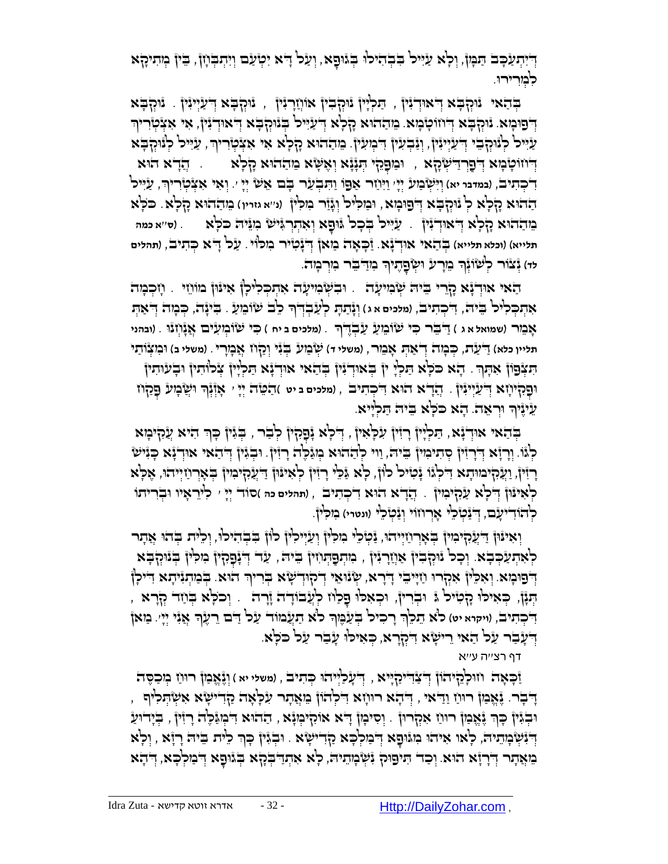ְדְיִתְעַבְּב הַבְּוֹ, וְלָא עַיִּיל בִּבְהִילוּ בְּגוּסָא, וְעַל דָא יִטְעַם וְיִהְבְּחָוֹ, בֵּין בְוִהִיקָא לִמְרִירוּ.

בְֻּ הַ אי נֻוְּק ָֻבא ְּ ֻדאֻוְּדִנין , ַֻת ְּלָיין נֻוְּק ִבין אֹוֲחָרִנין , נֻוְּק ָֻבא ְּ ֻד ַעְּייִנין . נֻוְּק ָֻבא ְדְּפוּכְוּא. נּוּהְבָּא דְּוזוֹטְבְוּא. בִּוְהַהוּא הָלְא דְיֹעַיִּיל בְּנוּהְבָּא דְיאוּדְנִין, אִי אִצְטְרִיךְ ַעֲיִּיל לְּנוּהָםֵי דְיַעֲיְיִנִּין, וְנַבְעִין דִיבְוִעִין. מֵהֲהוּא הָלְא אִי אִצְטְרִיךְ, עַיִּיל לְנוּהְבָּא ַדְּוּוֹטְּבְּוּא דְּ'פַרְדַיִשְׂהָא , וּבִוּפָהָי הְנְנָא וְאָשָׂא מִהַחֹוּא הָלְא  $\,$  , הֲדָא חֹוא **ְדִ**ׂכְּתִיּבׂ, (במדבר יא) וְיִּשְׂבִוע יְיָ וַיִּוֹוַר אַפוֹ וַתִּבְעַר בָּם אֵשׂ יְיָ ּ. וְאִי אִצְ֫מְרִיךְ, עַיִּיל ַההֻוא ָק ָלא ְּל נֻוְּק ָֻבא ְּ ֻדפ ֻו ָמא, ֻו ַמ ִֻליל ְּוָגַזר ִמ ִֻלין )**נ**''**א גזרין**( ֵמ ַההֻוא ָק ָלא. ֻכֹ ָֻלא ָפ ֵמ ַההֻוא ָק ָלא ֻד . א ְּו ִא ְּתְּר ִֻגי ש ִמֵֻני ֻה ֻכֹ ָֻלא ְּ אֻוְּדִנין ַעִ ֻייל ְֻּב ָכל ֻג . )**ס**''**א כמה** ֻו תלייא) (וכלא תלייא) בְּדַאל אוּדְבָّא. זַכְּאָה כַּוּאן דְ<sup>יָ</sup>נָטִיר כִוכ<sup>ּוֹ</sup>וּ . עַנ*ל דָיא כְּ*תִיב', (תהלים <del>יו</del>ּ) נְّצْוֹר לְשִׁוֹּנְֽךָ בֵּוָרע וִשְׂפָרֶנִיךְ בִו<u>ּדְ</u>ּבֵּר בִּוְרְבָ*ו*ּהֹ. ָ

ָהאי אוּדְנָא קָרֵי בִּיּה שְׂבִוּעָה . וּבִשְׂבִוּעָה אִתְכְלִיכְן אִינּוּן מוֹווֵי . וְזִכְבְּוּה ָאָתִכְּכ<sup>ְגְ</sup>ל בֵּיה, דִיכְתִיב, ומלמים א ג) וְגָּתַתְּ לְעַבְדִיךָ כְ<sup>בָ</sup> שִׂוּבֵוְעַ . בִּיְגָה, כִּבְוְה דִּאַתִ ָ אָ מֵ ר )**שמואל א ג** ( ַ ֻד ֵֻבר ִֻכי שֹו ֵמ ַע ַע ְּבֶֻדך . )**מלכים ב יח** ( ִֻכי שֹו ְּמ ִעים ֲאָנ ְּחנֻו . )**ובהני**  תליין כלא) דַ־עַרת, כְּבְוּה דְ־אַתְּ אָבֵור , (משלי דּ) שְׂבִוע בְגִי יְרַדְוֹז אֲבְוָרִי . (משלי ב) וּבִזצְוֹתַי יִּתְּבְּלְיָין ְאָתָךָ . הָא כֹּלְא הַלְיָ יִן בְּאוּדְגָין בְּהַאי אוּדְגָֿא הַלְיָין אֲלוּתין וּבְעוּתין וּפָקִיוְזָא דְיֹעֲיְיִנִּין . דְ**ַדְיֹא הוּא דִיכְתִיב , (מלכים ב יט** )הַטֵּה יְיָ י אָוְ֫נְֽךָ ו<sup>ִ</sup>שְׁבְוּע פָקַוז ֻוְּר ֵאה ֵעיֶניך . ָהא ֻכֹ ָֻלא ֵֻבי ֻה ַֻת ְּלָייא. ָ

הַאי אוּדְיָּא, הַכְלְיוֹ רְזִין עִלְאִיןْ , דְלִא וָּפָלִין לְבַר , בְּגִּין כְּךָ הִיא עֲקִיכְּא לְּגْוֹ. וְרָזָֿא דְיָרְזִיןْ סְתִיכִויןْ בֵיה, וַוי לְהַהוּא כְּוַגْכֶה ָרְזִין. וּבְגִיןْ דְּהַאי אוּדְגָּא כְּגִישׂ רְזִּין, וַעֲקִימוּתָא דִּלְגֹּו גָּמִיל לוֹן, לְא גַּלֵי רָזִין לְאִינּוּן דַיִעֲקִימִין בְּאָרְוַזְיְיהוּ, אֶלְא ַרְאִינּוּןْ דְיֹכְא עַ*ׂרְ*זְיִם : דְּנֻדֹא הוּא דִיכְתִיב , (תהלים כה )סוֹד יְיָ *י* כְ<sup>וֹ</sup>יֵראָיו וּבְריתוֹ לְ**יְ** הוֹדִי *יָעָ֫*ם, דְּיֹ נַּטְיֹּלִי אָרְוזוֹי וְנַּטְיֹלֵי (ונטרי) בִזכִיןْ.

וְּאִינּוּןْ דִּיעֲקִיכִוּןْ בְּאָרְוַזְיִיהוּ, נַּטְלֵלֵי כִוּכִ<sup>וּ</sup>ןْ וְעַיִּיִכְוּןْ כֹוֹן בִבְהִיכוּ, וְכֵית בְּהוּ אֲתָר ַלְּאִתְעַבְּבָא. וְכָל נִּוּקְבִין אַוְזַרְגִּין , מִתְפַתְּוֹין בֵּיה , עַד דְגָּפָקִין מִלִין בְּנוּקְבָּא ְדְּ'פִוּכְוּא. וְאִכְיוֹ אִקְרוּ וַזְיִּיבֵי דְרָא, שְׂנוּאֵי דְיקוּדְשָׂא בְּרִיךְ הוּא. בְּבִוְתְנִיתָא דִיכְן ֻו . וְּ כֹלָֻא בְֻּ חַ ד קְּ רָ א , ְּכ ִא ֻל ֻו ָֻפ ַלח ְּלֲעבֹו ֻו , ָדה ָזָרה ְֻּכ ִאי ֻל ְּבִרין ֻו ְֻּתָנן, ָק ִטיל ֻג יִדְּבְתִיבׂ, (ויקיא יט) כ<sup>וֹ</sup>א הֵכֵ<sup>וֹ</sup>ךְ רָכִיכ<sup>וֹ</sup> בְּעַבְּוֶךְ כ<sup>וֹ</sup>א תַעֲמוֹד עַל דַּם רֵעֶׂךְ אֲנִי יְיָ׳. מַאן ְּ ְדְּעָבָר עַל הַאי רִישְׂא דִקְרָא, כְּאִילוּ עָבָר עַל כּלְא.

דף רצ''ה ע''א

ַז ָֻכ ָאה ח ֻו ָלֵקיהֹון ְּ ֻד ַצִ ֻדיַקָֻייא , ְּ ֻד ָע ַלְּייהֻו ְֻּכ ִתיב , )**משלי יא** ( ְּוֶנֱאא ַמן ר ֻו ַח ְּמ ַכ ֶֻסה , יֶדֶבְר. יֶּאֱבַון רוּוַז וַדַאי , דְּדָא רוּוָזא דִלְהוֹן בִּזְאֲתָר עִלְּאָה קַדִישְׂא אִשְׂהְלִיף וּבְגִּין כְּךְ גֶּאֱמַן רוּוַז אִקְרוּן . וְסִימְן דָּא אוֹהְיִמְנְּא, הַחוֹא דִימְגַּכְה רְזִין, בְיָדוּעַ ָדְּיָּשְׁבְוְהֵיה, כְ<sup>וָ</sup>או אִיהוּ מִגּוּםָא דְּבוִלְכָא קַדְישָׂא . וּבְגִּין כְּךְ כֵיה בִיה רָזָא , וְכָא ָּבוּאֲתָר וְדְרָזָא הוּא. וְכַד הִיפוּק נִשְׁבְוִתִיה, כְ<sup>וָ</sup>א אִתְדַּבְּרָא בְּגוּפָא דְּבוּלְכָּא, דְּהָא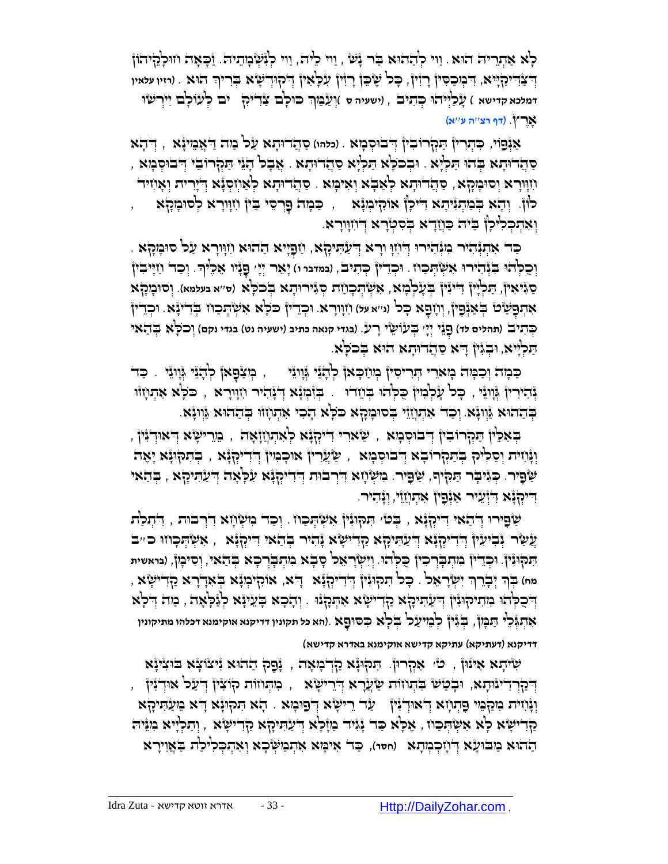ָלְּא אַתְרִיה הוּא. וַוי לְהַהוּא בַּר יָּשׁ , וַוי כִיה, וַוי לְיִשְׂבְוִתִיה. וַּבְאָה וווּלְהֵיהוֹן דְדְּבָּוְ־יֹקַדְּיֵא, דִּבְוּכַסִּיןْ רְזִיןْ, כָּכ<sup>ן</sup> שֶׁיֵּבֶןْ רְזִיןْ עִלְאִיןْ דְּקוּדְיֹשָׂא בְּרִיךְ הוּא . (וזיו עלאיו יול וְיִיש<sup>ָן</sup> ( ישעיה ס )וְעַבְוְּךָ כּוּכְב צַדִייִקְ יִם לְעוֹכְם יִירְשׂוּ אָ רֶ ץ. )**דף רצ**''**ה ע**''**א**(

ַאַּנְּפֵוֹי, כִּתְרִין *ְּתַ*קְרוּבִין דְּבוּסְבָזא . (כלהו) סַחֲדוּתָא עַל מַה דַאֲמִינָּא , דְּתָא ַסְּהָדוּתָא בְּהוּ תַּכְיָּא . וּבְכֹכְא תַּלְיָא סַהֲדוּתָא . אֲבָל הָיָּרֶוּבִי וְיִבוּסְכָּוּא , ַוֹזָוּרָא וְסוּבְּוּקָא, סַהֲדוּתָא לְּאַבְּא וְאִיבְּוּא ִ סַהֲדוּתָא לְּאַוְזִסְגָּא דְיִירית וְאָווִיד לוֹן. וְהָא בְּבַוְתְגִיתָא דִייִכְן אוֹקִיכְוּנָא , כַּבְוּה כָּרֵסי בֵּין וִזְוָרָא לְסוּבְוָקָא וְאִתְכְּלִיכָן ְ בִּיה כַּוְיָדָא בְסִטְרָא דְיוִוְוּרָא.

ָּכָּד אִתְּנְהִיֹּר בִּוְּנְהִירוּ דְּוֹזוָ וַרָא דְּעַׂהִיקָא, וַזַּםְיִּיא הַהוּא וִזְוָּרָא עַל סוּבְוָקְא וְּכָק<del>ּ'הוּ בִּנְּהִירוּ אִשְּׂהְכ</del>וּז . וּכְדִין בְּהִיבֹ, וממדמ ו) יָּאֵר יְיָ שָׁנָּיו אֵכֶ<sup>נ</sup>יךָ. וְכַד וַזְיִיבִין סַ גִ יאִ ין, ַֻת ְּלָיין ִ ֻדיִנין ְֻּב ָע ְּל ָמא, ִא ְּש ְֻּת ָכ ַחת ְּסִגיר ֻו ָתא ְֻּבכֹ ָֻלא )**ס**''**א בעלמא**(. ְּוס ֻו ָמָקא אִתְפָּשָׂט בְּאַנְֿפָין, וְוָזפָא כָּל וויא ע*ו) וִזְוּרָא. וּכְדֵין* כֹּלְא אִשְׂהְכַוז בְּדִינְׂא. וּכְדֵין ְֻּכ ִתיב )**תהלים לד**( ֵני ְּיָי ְֻּבעֹו ֵ שי ָר . )**בגדי קנאה כתיב** )**ישעיה נט**( **בגדי נקם**( וְּ כֹלָֻא בְֻּ הַ אי ֻפ ' ע ְּ הַכְלְיא, וּבְגִּין דָּא סַהֲדוּתָא הוא בְככְא

כַּבְּוֹה וְכַבְּוּה בְואֵרִי הְּו־יִסִיןٌ בְּוּוַכְּאן לְדָגֵי וְּוְוְגֵי ( , בְּוצַבָּאן לְדָגֵי וְיְוְגֵי , כַד ַּנְּהִיּרִיןْ גְּנְוּגֵי , כָּכ<sup>וֹ</sup> עָלְבְּוּןْ כֻּלְהוּ בְּוֹוָרוּ . בְּזִ֫כְוּנָא דְּגָהִיר וִזְוּוָרָא , כֹּלְא אִתְוָזוּוּ ָבְּחֵזיא גַּוְוְיָּא. וְכַד אִתְוְזֵוּ בְּסוּמְהָא כֹּלְא הָכִי אִתְוְזוּ בְהַחֹוּא גַּוְוְיָּא

ָדְאָכֵּין ְיִּבְרוֹבִין ְדְּבוּסְבָזא , שַׂאוִרי דִייִכְוְֽנָּא לְאִתְוְזַוָּאָה , בֵּוֵרִישָׂא דְּאוּדְנִין ַ וְּנָּוֹיִת וְסַלִּיּק בְּתַקְרוּבָא דְּבוּסְמָא , שַׂעֲרִין אוּכְמִין דְּדִייִקְנָּא , בְּתִקוּנָּא יָאֶה ְשָׁפִיר. כְּגִּיבְר תַּקִיף, שַׂפִיר. נִזִשְׂוָא דִירְבוּת דְּדִייִקְגָּא עִלְאָה דְעַתִּיִקְא , בְּהַאי ָדִיקְּנָא דִּיְזְעֵיר אַנְפָין אִתְוְזַיֵּי, וְנָהִיר.

ַשְׂפָירוּ דְּתֹאי דִיקְגָּא , בְּסוֹ הַקוּגִין אִשְׂהְכַוז . וְכַד בִזשְׂוָזא דִרְבוּת , דִּתְכַת ָעֲשָׂר יְּבִיעִין דְּדִיקְוָּ֫א דְיעַתִּיקָא קַדִישְׂא וְּהִיר בְּהַאי דִיקְוָּ֫א , אִשְׂתְכְוזוּ כ"ב' יִתְּקוּגָּיןْ. וּכְדֵייןْ בִוְתְבְרְכִיןْ כֻּכְ<sup>ּ</sup>הוּ. וְיִשְׂרָאֵל סָבָא בִּוְתְבָרְכָא בְּהַאי, וְסִיבְוֹ, (בראשית  $\,$  מח) בְּךְ יְּבְרֵךְ יִשְׂרָאֵל . כְּבוֹ הִקוּגִין דְּדִייְהָנָּא  $\,$  דְּא, אוֹהָיכְוּנָא בְּאִדְרָא קַדִישָׂא דְּבָכְּנְאִ מִתִיקוּגִּין דְּעֲהִיהָא קַדִּישָׂא אִהְקָנִוּ . וְהָכָא בְּעֵינָּא לְגַּכְאָה , מַה דְלִא ָאָתְגְּ֫כֵ<sup>וּ</sup> תַּבְּוֹן, בְּגִין כְמֵיעַל בְלָא כִסוּםָא .(הא כל תקונין דדיקנא אוקימנא דכלהו מתיקונין **ָאינען דדיקנא** )**דעתיקא**( **עתיקא קדישא אוקימנא באדרא קדישא**(

ַנְפָּה הַהֹוּא יִיצוֹצָא בוּצִינָּא ָלְבוּא ְמִקְוּנָא הַדְּבְזָאָה , עֲפָק הַחוּא יִיצוֹצָא בוּצִינָּא יִּיֹּקַרְדִייּנּוּתָא, וּבְטַיֹּשׂ בִּתְוזוּת שַׂעֲרָא דְּיֵרִישָׂא , מִתְּוזוּת קוֹצִין דְּעַל אוּדְנִין , וְּנָּוֹוִית ִכְוַקְּמִּי פָּתְוָזָא דְּ'אוּדְנִין | עַר רֵישָׂא דְפוּכְוּא | הָא תִקְוּנָא דָא מֵעַתִּיקָא ַקַּדִישְׂא כְא אִשְׂהְכַוז , אֶכְא כַד נָּגִּיד בַווָּכְא דְיעַהִיקָא הַדִישְׂא , וְהַכְיָיא ִמִנֵּיה בָההָא כַּוּבוּעָא דְּוָיִרְא (חסר), כַּד אִיכָּוא אִתְכַוּשְּׂכָא וְאִתְכְּלִיכַ<sup>וֹ</sup>ת בַּאֲוִירָא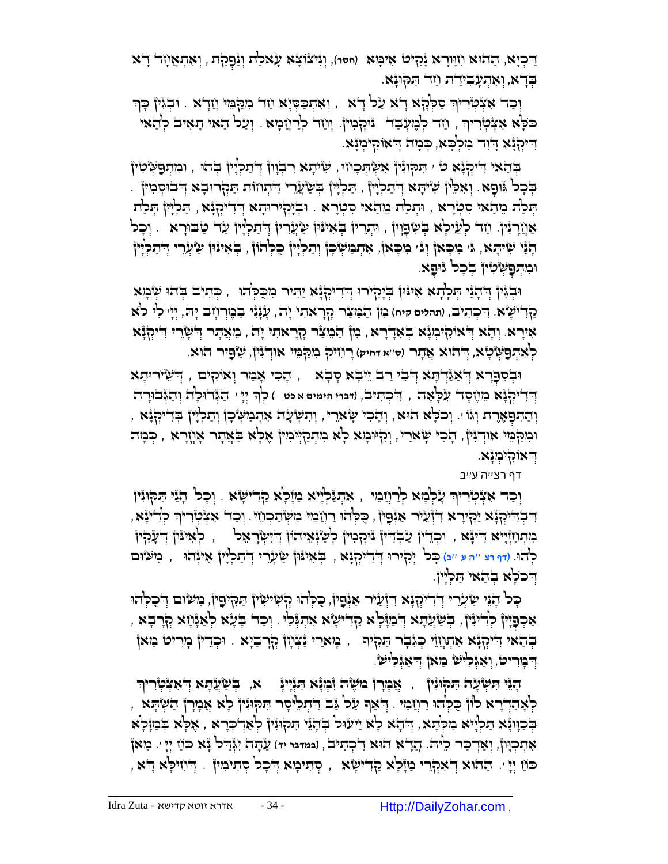דִּיכְיָא, הַחֹהוּא וְזִוְּוָרָא גָּקִיט' אִיכְּוּא (חסר), וְגִּיצֹוֹצָא עָאכַת וְנַּפְקַת , וְאִתְאֲוָזד דָ<sup>ו</sup>א בְּדָא, וְּאִתְעָבִידַת וַזה תִּקְוּנָא.

ַןְּכַד אִצְֿטְרִיךְ סַקְהָא דָא עַל דָא , וְאִתְכַסְיָא וַזד מִקַּמֵּי וְזַדָא . וּבְגִּין כְּךְ ְּ ְּ כֹּכְא אִצְֿטְרִיךְ , וַזָּד לְבֶזעְבַד . נוּקְבִזין. וְוַזֵד לְרַוְזַבְזא . וְעַל הַאי הָאִיב לְהַאי יִדִּיקְּנָא דְיִד בַּוֹלְבָא, כְּבְזה דְאוֹקִינְזְנָא.

ַתְּמְיָּנָלְוּ , הַעִּתְפָּשְׂטִין ְ $\sim$ אִשְׂהְכְווּ , שִׂיתָא רִבְוְון דְּתַלְיָין בְּהוּ , וּמִתְפָּשְׂטִין ָּבְּל גִּוּפָא ִ וְאִלֵּין שִׂיהָא דְּתקִיָּן , תַּלְיָין בְּשַׂעֲרִי דִיתְוזת תַּקְרוּבָא דְבוּסְמִין ְ הַלְּת הֵוּבֹאי סִמְרָא , וּהְלַת מֵהַאי סִמְרָא . וּבְיָקִירוּתָא דְּדִייִקְגָּא , הַלְיָין הְלַת אַוְֿוָרְגִּין. וַחד לְעֵיכְא ּבְשִׂפְוְון , וּתְרִין בְּאִינּוּן שַׂעֲרִין דְּתַלְיְין עַד טַבוּרָא . וְכָל ְּהָגֵּי שִׁיתָא, ג' ִמְכָּאן וְג' ִמִכְאן, אִתְנוּשְׂכְן וְתַלְיָין כֻּלְהֹוֹן , בְּאִינּוּן שַׂעְרִי דְדִתְלְיוּ ּוּבְּוּהְפָשְׂטִין בְּכָל גוּפֶא.

וּבְׂיֶּוְ וְדִּתְבָּ הֲכְתָא אִינּוּן בְיָקִירוּ דְדִיקְלְנָא יַתִּיר ִכְוּכָקְהוּ , כְּתוּב בְהוּ שְׂבְוּא ַקִדי ָשא. ִ ֻד ְּכ ִתיב, )**תהלים קיח**( ִמן ַה ֵֻמ ַצר ָקָרא ִתי ָי ֻה, ָעָנִני ַב ֶמְּר ָחב ָי ֻה, יְּיָ ' לִ י לֹא אִ ירָ א. ְּו ָהא ְּ ֻדאֹוִקי ְּמָנא ְֻּב ִאָדָרא, ִמן ַה ֵֻמ ַצר ָקָרא ִתי ָי ֻה , ֵמֲאָתר ְּ ֻד ָשֵרי ִ ֻדיְּקָנא ָרְאִתְפָּשְׂטָא, דְּ'הוּא אֲתָר (ס׳׳א דּחיק) רָוֹזִיק בִזַקְבֵּזי אוּדְגִין, שַׂפְיר הוּא.

וּבְסִפָּרָא וְדֹאַנוְדְתָּא וְדֹבִי רַב יֵיבָא סָבָא  $\,$  , יִהְכִי אָבַור וְאוֹקִים  $\,$  וְדֹּשֵׂירוּתָא דְּדִיקְ<sub>ּ</sub>בָּ֫א מֵוֹיֶסֶד עִלְאָה , דִיכְתִיבׂ, ודוי הימים א כט ) כְ<sup>וָדְ</sup> יְיָ ִי הַגְּדוּכְה וְהַגְּבוּרָה יְהַתִּפְאֶרֶת וְּגֹּוּ׳. וְכִכְּא הוּא, וְהָכִי שָׂארֵי, וְהִשְׂעָה אִתְּמַשְׂכְן וְתַכְיָין בְּדִיקְנָּא , וּכִוּקַבְּוּי אוּדְיִּיןْ, הָכִי שָׂארִי, וְהָיּוּבְוּא לְא בִוּתְקַיְּיבִוּןْ אָלָא בַּאֲתָר אָוְזָרָא , כְּבִה ֻד . ְּ אֹוִקי ְּמָנא

דף רצ''ה ע''ב

וְּכַד אִצְֿטְרִיךְ עָלְבְּוּא לְרַוְזַבֵּוּ , אִתְגַּלְיִא בַּוֶּלְא הַדְּישָׂא . וְכָל הָגֵֿוּ הִקוּגִין , יִּרְדִּיקְנָּא יַקִירָא דִוְ֫עֵיר אַנְפָין, כִּכְהוּ רַוְזַבִּוּ בִוּשְׂתַּכְוֹזי. וְכַד אִצְטְרִיךְ לְדִינָּא ְּ בּוַתְּוַזְּיָיא דִינְא , וּכְדֵין ְעַבְדִין נוּהְכִוּן לְשַׂנְּאֵיהוֹן דְיִישְׂרָאֵל , , לְּאִינּוּן דְיִעֲהָין כְּ<sup>וָ</sup>הוֹ. (דף רצ ייה ע ייב) כָּכ<sup>ן</sup> יְּכְזִירוּ דְּיִדִייִכְֽנְּֽאָ , בְּאִינּוּן שַׂיָּעָרי דְיִתַכְיָין אִינְהוּ , בוּשׂוּם דְרכִלְא בְהָאי הַלְיִין.

ָכָּל הָיֵּנֵי שַׂעְרֵי דְּדִיקְלָּא דִוְעֵיר אַנְּפָין, כִּקְהוּ קְשִׂישִׂין תַּקִיפָין, ִכִּוּשׁוּם דְּ'כֻלְהו ָאַכְפָּיָין לְדִינִּין, בְּשַׂעֲהָא דְּבוּזָלְא קַדִישְׂא אִהְגְּלֵי . וְכַד בְעָא לְאַגְֿוָזא קְרָבְא ַבְּבֹאי דִיקְנָּא אִתְוְזֵוִי כְּגִּבְר הַמִּץוּ , בְּזאֵרי נַעֲוְזן קְרָבֹיָא . וּכְדֵין בְוִריט בַזאן דְּבְוָריִט, וְאַגְּלִיּשׂ בַּזְאוֹ דְאַגְּלִיּשׂ

ָהָנֵּי הִשְׁעָה הַקוּנִין , אֲכְוָרן מֹשֶׂה וִֿמְנָא הִנְיָינָ , א, בְּשַׁעֲהָא דְ<sup>ּ</sup>אִצְכְוִרִיךְ , יְּאָהַדְרָא כְוֹן כִּכְהוּ רַוְזַבֵוּ . דְּאַף עַל גַּב דִּתְלִיסְר תִּקוּגִין לְא אֲכְוָרן הַשְׂתָא ַדְּבְוְיָּא הַלְיָּיא ִכִּוּלְהָא וְדִהָא לְא יֵיעוּל בְּהְגָּי הַנִּקְוּגָין לְאַדְבְרָא , אָכְא בְּבַוְּלְא ָאָתְבְּוֶן, וְאַדְכַר כֵ<sup>ג</sup>ּה. הֲדָא הוּא דִכְתִיב , (נמדני יד) עַתָּה יִגְּדַל גָּא כוֹז יְיָּ ׳. מַאן הָוֹן הָר הַדְּהֹא הָאָקְרֵי בַּזְיָּכְא קַדִּישָׂא , סְתִיבְוּא דְבָכן סְתִיבִוּין . דְּיוִזיכְא דָא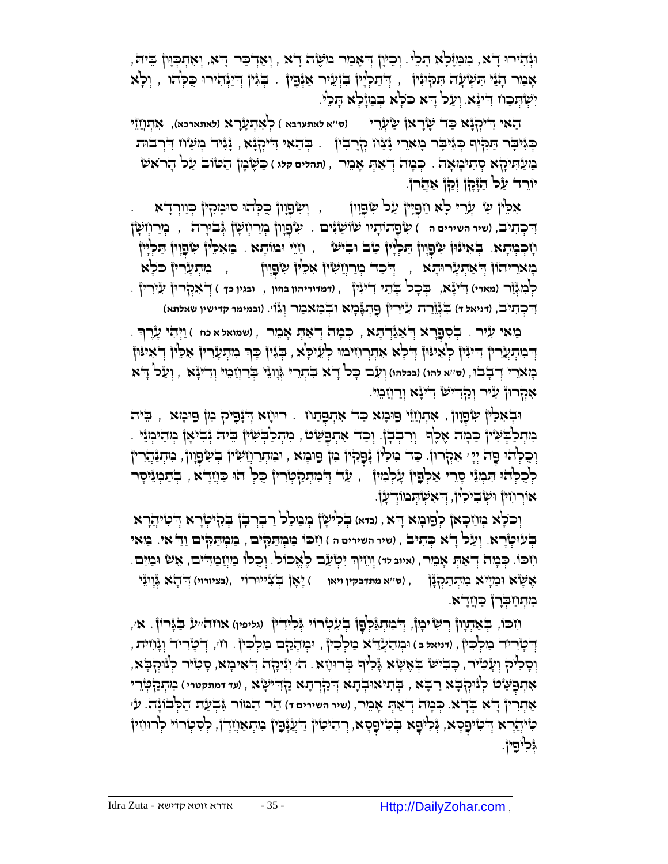וּגְּהוֹירוּ דָּא, מִמְּוָּכְוֹא הָנִיוֹּ יִכְיוָן דְּאָבִוּר מוֹשֶׂה דָא , וְאַדְבַר דָּא, וְאִתְכְוָון בֵיה אָמַר דָגָֿי הִשְּׂעָה הִקְוּגִין , דְּתַלְיָין בִּוְּעֵיר אַגְֿפָין . בְּגִין דְיַיָּנְהִירוּ כִּלְהוּ , וְלָא יִשְׂיִּנְכַוז דִייִּזָֿא. וְעַל דָ א כּכְא בְּנַזְלְא הָכִ<sup>נ</sup>י.

ַהאי ֻד )**ס**''**א לאתערבא** ( לְּ אִ תְּ עָ רָ א )**לאתארכא**(, אִ תְּ חֲ זֵי ִ יְּקָנא ַֻכד ָשָראן ַ ש ְּעֵרי ַכְּגִּיבְר הַמָּיְף כְּגִּיבָר כְּו**ֹא**ֵרִי יָּצְדָבִין . בְּהַאי דִיקְזָּא , יָּגִיד כְוִשָּׁוֹז דִּיְרבוּת ֵמ ַע ִֻתיָקא ְּס ִתי ָמ ָאה . ְֻּכ ָמה ְּד ַא ְֻּת ָא ֵמר , )**תהלים קלג** ( ַֻכ ֻ ֶש ֶמן ַה ֻטֹוב ַעל ָהרֹא ש יֹוֵרד ַעל ַהָֻזָקן ְּזַקן ַאֲהרֹן.

, יְשְׂפָוָון כִּלְהוּ סוּבְוּקִין קָיוַוְרָדְא P אִכְּין שְׁי הַווְרָדְא דִּפְתִּיבׂ, (שיר השירים ה*ּ ) שָׂ*פָתוֹתָיו שׂוֹשַׂגִּים . שְׂפָוְון בְּוַרוְזְשָׂן גְּבוּרָה , בְּוַרוְזִשָּׂן חָ כְּ מְּ תָ א. ְֻּב ִאי ֻנֻון ִ ש ְּפָוון ַֻת ְּלָיין ַטב ֻו ִבי ש , ַחֵֻיי ֻומֹו ָתא . מֵ אִ לֵֻ ין ִ ש ְּפָוון ַֻת ְּלָיין ָּבְוֹאֵרִיהֹוֹן דְּאַתְעָרוּתָא , דְּכִד בְּוַרְוְזַשִׂין אִכֵּין שִׂפְוָון , , בִּוּתְעָרִין כֹּכְא לְּ מִ גְּ זַר )**מארי**( ִ ֻדיָנא, ְֻּב ָכל ָֻב ֵֻתי ִ ֻדיִנין , )**דמדוריהון בהון** , **ובגין כך** ( ְּ ֻד ִאְּקר ֻון ִעיִרין . דִ<del>ּ כְ</del>הִיבֹ, (דניא*ל ד*) בִּגְ<u>ּוָ</u>ּרַת עִיּרִין פָהְגָּבְוּא וּבְמֵאמַר וְגֿוֹ׳. (ונמימר קדישין שאלתא) ִ

ָָ בַּוֹאי עִיר . בְּסִפָּרָא דְּאַגַּדְתָּא , כְּבָוֹה דְאַתְּ אָבֵוּר , (שמואל א כח ) וַיְּהִי עָרֶךְ . הְּבְּנִת ְּלֲרִין הִיְּנִין כְאִינּוּן דְיִכְא אִתְרְוזיכווּ כְ<sup>ו</sup>ַעֲיכָא , בְּגִּין כְּךָ כִוּתְעָרִין אִכֵין הְאִינּוּן ָכְּוּאֵרִי דְּבְבֹוּ, (ס׳׳א להו) (בכלהו) וְעָ**ֹם כְּכ**וֹ דָ<sup>ּ</sup>א ִבִּתְרִי גְּוְוְגֵי בְּרַוְזַכֵּוּי וְדִינְ**ּצְא** , וְעַל דָּיא ּאִקְרוּן עִיר וְקַדִישׁ דִינְא וְרַוְזַבִּוּי

וּבְאִכִּין שְׂפָוְון , אִתְוְזֵוּ פוּכְוּא כַּד אִתְפָתוּז . רוּוְזִא דְיָנְפִיק מִן פוּכְוּא , בֵּיה ָּמְתְּכַבְּשִׁין כַּבְוָה אָכֶף וְרִבְבָן. וְכַה אִתְפָשָׂט , מִתְכַבְשְׁין בֵיה וְּבִיאָן כְוִהִיכְוּיִי . וְּפִקְיֹן ּפֶה יְיָ אִקְרוּן. כַּד' גִּוּכְין ּנְפָקִין מִן פּוּבְוּא , וּמִתְרַוְזִשְׂין בְּשְׂפָוְון, מִתְנַהֲרוּ ַלְּכָלְהוּ הִנְוּיֵ סָרֵי אַלְפָיןْ עָלְנִזיןْ , עַד דְּנִתְנַקְטְּדִיןْ כֻּלְּ הוּ כַּוְזַדָא , בְּתַנְוּיִסְר אוֹר יִחִין וּשְ בִיכִין, דְּ'אִשְׂהְמוֹד עָן.

ְֻּב ִלי ָשן ְּמ ַמ ֵֻלל ַר ְּבְּר ָבן ְֻּבִקי ְּטָרא ֻד ְּוכֹ ָֻלא ְּמ ַח ָֻכאן ְּלפ ֻו ָמא ָ ֻדא , )**בדא**( ְּ ִטיֲהָרא ַבְּעْוִטְרָא. וְעַל דָ<sup>ּו</sup>א כְּתִיב , (שיר השירים ה ) וִזְכּוֹ בַּוּכְוְתַקְיֹם , בַּוּכְוְתַקְיֹם וַדֵּ אִי. בַּוּאִי וֹזכּוֹ. כְּבְזה דְ<sup>יָ</sup>אַתְּ אָבֵּוּר, (איוב *לד)* וְוֹזִיךְ יִטְ*יַעֵּׁם כֶ<sup>ו</sup>ּאֱכּוֹל. וְ*כֻכ<sup>ּן,</sup> בַּוְיָבַוְדִיּם, אֵשׁ וּבַזִיִּם. ֶא ֻ ָשא ֻו ַמָייא ִמ ְּת ַֻתְּקָנן , )**ס**''**א מתדבקין ויאן** ( ָי ָאן ְֻּב ִצ ֻיי ֻורֹוי ,)**בציורוי**( ְּ ֻד ָהא ְֻּגָווֵני ַמִּתְּתַבְרן כַּוְזַדָא.

ע ַֻבָֻגרֹו . א', ֻד )**גליפין**( אחה'' ן ְּ ִמ ְּתַֻג ְֻּל ָפ ִח ֻכֹו, ְֻּב ַא ְּתָוון ְּר ִשימָ ן, ן ְֻּב ִע ְּטרֹוי ְֻּג ִליִדין ֻד , ְּ ָטִריד ְּוָנ ִח ֻו . ח', ית ְּמ ָהֵקם ַמ ְּל ִֻכ ֻו , ין ְּמ ַה ְּעֵֻדא ַמ ְּל ִֻכ ֻד , )**דניאל ב** ( ין ְּ ָטִריד ַמ ְּל ִֻכין וְּ הָלִי הְּיָעֲלִיר, כְּבִישׂ בְּאֶשָׂא גָּלִיף בְּרוּוָזָא. ה' יְגִיכְה דְאִיכְזא, סְטִיר לְנוּהְבָא, ָאִתְפָּשָׂט לְוָּקִבְא רַבְּא , בְּתוּאוּבְתָא דְ*יֹקַרְתָּא קַדִּישְׂיָא* , ועד דמתקטרי ) בְּוִתְקַטְּיָר י ַא ְּתִרין ָ ֻדא ְֻּבָדא. ְֻּכ ָמה ְּד ַא ְֻּת ָא ֵמר, )**שיר השירים ד**( ַהר ַה ֻמֹור ִֻג ְּב ַעת ַה ְֻּלבֹוָנה. ע' ְּטִיּהֲרָא דְּטִיּפָסָא, גְּלִיפָא בְּטִיפָסָא, רְהִיטִין דַעֲנָפָין ִמִתְאַוְזַדְן, לְסִטְרוּי לְרוּוִזין ְיֶּכְיֹתֲיןֹ.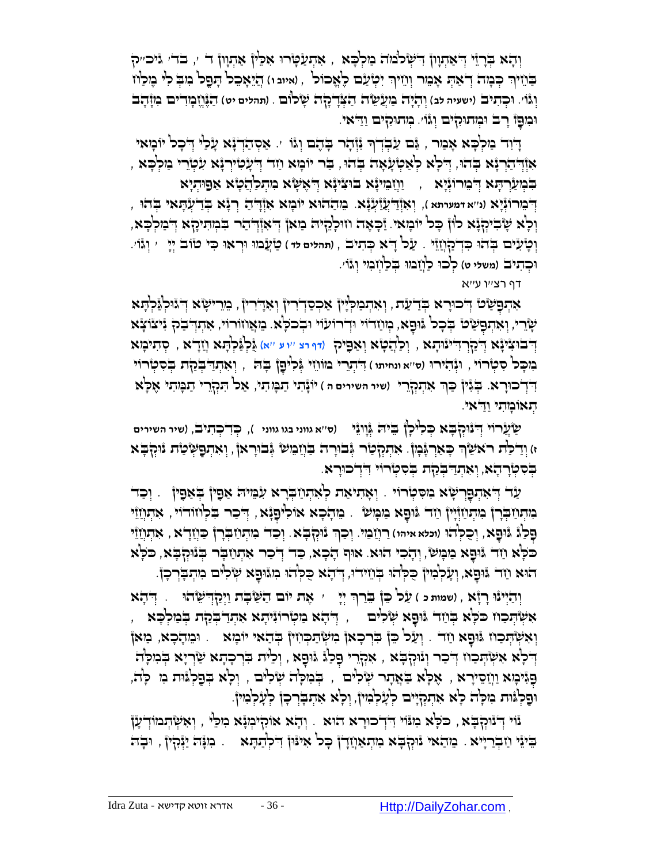ַּוְהָא בְּרָזֵי דְּאַתְוְוֹ דִּיעְלֹּלֹמֹה ְמַלְּכָּא , אִתְעַטְרוּ אִכֵּין אַתְוְוֹ דֹ ׳, בֹדֹי ְיִיכִייַק ְּבֹּוֹד כְּבָּוּה דְּא<sub>ָ</sub>הְ אָבִוּר וְוֹזִיךְ יִטְ*ּיַעָׁם כֶ<sup>וּ</sup>אֶכוֹל , ואיוב ו*) הָזֵיאָכֵל הָפָל כִּוּבְ לִי כֶּוּכַ<sup>וֹ</sup>ז וְגּוֹ׳. וּכְתִיב' (ישעיה לב) וְהָיָה בִוְעָ*ישֶׁ*ה הַצְּדָקָה שָׂלוּם . (תהלים יט) הַגָּ֫וְיֶבְוּדִים בִוְזָהָב וּמִםָּן רָב וּמְתוּקִיּם וְגּוֹ׳. מְתוּקִיּם וַדַּאי.

ָדִוִּד מַלְּכָא אָמַר , גַּם עַבְדְרְ גְוְהָר בְּהֶם וְגוֹ ׳. אַסְהַדְגָ֫א עָלַי דְכָל יוֹמָאי ָ , אִוְּדְ הַרְבָּא בְּהוּ, דְּלְא לְאַטְעָאָה בְּהוּ, בַר יוֹכְוּא וַזִר דְּעָטִיִּרְנָּא עִטְּרֵי כַוִלְכָּא ַבְּמְעַרְהָא דְּבֵוּרוּגְֿיָא , יַוְיָבִוּיָּא בּוּצִיּיָא דְּאֶשָּׂא מִתְכַהֲטָא אַפוּתְיָא ֵמ ַההֻוא יֹו ָמא ִאְּז ְּרָנא ְֻּבַד ְּע ָֻתאי ְֻּבהֻו , ֻד ְּו ִאְּזַ ֻדֲעַז ְּע . ָ ַה ֻד )**נ**''**א דמערתא** (, ָנא ְּ ֵמרֹוְּנָיא וְלָא שָׂבִיקְיָּא כוְן כָּל יוֹבְוּאי. וַּבְאָה וווּלְהָיה בִואן דְּאוֹדְהָר בִּבְוְהִיכָא דְבולְכָא, ַעל ֻד , )**תהלים לד** ( ַטֲעמֻו ֻוְּראֻו ִֻכי טֹוב ְּיָי ' וְּ גוֹ '. ְּו ָט ִעים ְֻּבהֻו . ָ א ְֻּכ ִתיב ִֻכְּדַקֲחֵזי וּכְהִיּבׂ (משלי ט) כְּכוּ כַוְיָבוּוּ בְּכַוְזְבִזי וְגוֹ׳.

דף רצ''ו ע''א

ָאִהְפָּשָׂטֿ דְּכוּרָא בְּדַעַת, וְאִהְבִּוּלְיָן אַכְסַדְרִין וְאִדְרִין, בִּוֵרִישָׂא דְּょוֹלְגַּלְהָא ְּשֶׂרִי, וְאִתְפָּשָׂם בְּכָל גִּוּפָא, כְּווַדוֹי וּדְרוֹעוֹי וּבְכֹלָא. מֵאֲוזוּרוֹי, אִתְדְבַק גִּיצוֹצָא א ֻד , ְּו ַל ֲה ָטא ְּו ַא ִֻפיק )**דף רצ** ''**ו ע** ''**א**( ֺֻג ְּלַֻג ְּל ָֻתא ֲחָדא , סְּ תִ ימָ א ְּ ַקְּר ֻד ִ ֻד ינֻו ָתא ְּ בֻו ִציָנ ָבוּכָל סִמְּרוֹי , וּיְּהִירוּ (סייא ונחיתו ) הִדְתָרי בוּוֹוֹזֵי יְּכִיםָן בְּה , וְאִתְדַבְּבְלָת בְּסִמְרוֹי **ְדִּדְ־כוּרָא. בְּגִּיןْ כַּךְ אִתְקְרֵי** (שיר השירים ה ) יֹוֹגָּתִי תַכְּוֹתִי, אַל תִּקְרֵי תַבְּוִתִי אֶלְא הָאוּבְּוֹתִי וַדִּאי.

ַ שֲערֹוי ֻד )**ס**''**א גווני בגו גווני** (, ְֻּכִד ְּכ ִתיב, )**שיר השירים** ְּ נֻוְּק ָֻבא ְֻּכ ִלי ָלן ֵֻבי ֻה ְֻּגָווֵני ּז) וְדַלַת רֹאֹשֵׂךְ כְּאַרְגָּ֫נְןֹּ. אִתְקְלֵי גְּבוֹרָה בַּוְיָבֵוּשׁ גְּבוּרָאןֹ, וְאִתְפָּשְׂטַת נוּקְבָּא ְּ בְֻּ סִ טְּ רָ הָ א, ְּו ִא ְּתַ ֻד ְֻּבַקת ְֻּב ִס ְּטרֹוי ִ ֻדְּדכ ֻוָרא.

ַּעָר דְּאתְפָרְשָׂא מִסִּטְרוֹי . וְאָתִיאַת לְאִתְוַזְבְרָא עִבְּיה אַפָּין בְּאפָין . וְכַד ָמִתְּתַ ּבְּת ְיִתְּתַזְיָין ְתַה גּוּפָא בִּוּבְוֹשׁ . בִּוְהָכָא אוֹלִיפָגָֿא, דְּכַר בִלְוזוּדוֹי , אִתְוַזֵוּי ַפְּלַגٌ גָּוּפָא, וְכִקְ**ֹהוּ (וכּמאמיהו) רַוְזַבְוּי. וְכַךְ** נִּוּקְבָּא ִ וְכַד ִמִתְּוַזַבְּרָן כַּוְזַדָא , אִתְוְזַיִּי ְּ ָכֹּלְא וַזָּר ְּנִּוּכָא ִמִכְּוּשׁ, וְהָכִי הוּא. אוּף הָכָא, כַּר דְּכַר אִתְוַזַּבְר בְּנוּקִבְּא, כֹּכְא ָהוּא וַזָּר גּוּפָא, וְעָלְמִין כִּלְהוּ בְּוֵזִירוּ, דְּהָא כִלְהוּ מִגּוּפָא שְׂלִים מִתְבְרִכְן.

יְהַיְּינْוּ רְיָّא , (שמות כ ) עַל כֵןْ בֵׂרַךְ יְיָ**ׁ \_ , אֶת יֹוֹם הַשָּׁבְּה וַיְּכַדְּ שֵׂה**וּ \_ . דְּהָא , יִּשְׂהָכַוז כֹּלְא בְּוַד וּוּפָא שְׂלִים , דְּהָא נִטְרוּוָיִתָא אִתְדַבְלָת בְּנִזְכְא וְאִשְׂהְכַוז וּוּפָא וַזד . וְעַל כֵּן בִּרְכָאן מִשְׂהַכְוזין בְּהַאי יוֹמָא \_. וּמֵהָכָא, מַאן יִדְלָא אִשְׂהָכוּז דְּכִר וְּנִּוְּקְבָא , אִקְרֵי פָּלַגְ יִּוּפָא , וְלֵית בִּרְכְתָא שַׂרְיָא בְּמִלְה ָפְּגִּיכְּוָא וַוְזַסֵירָא , אֶלְא בַּאֲתָר שְׂלִים , בְּנִזְלָה שְׁלִים , וְלָא בְפַלְגּוּת נִז לְה ּוּפַלְּוּּת מִכְּה לָא אִתְקְיָים לְעָלְמִין, וְלָא אִתְבְּרְכָן לְעָלְמִין.

נֿוי דְּנוּקְבָּא , כֹּכְא מִנּוֹי דִּדְכוּרָא הוּא . וְהָא אוֹקִימְנָֽנָא מִכֵּי , וְאִשְׂהְמוֹדְעָןْ בִּינֵי וַזַּבְרַיְיא . ִמְהָאי נִוּקְבָּא ִמְתְּאַוְזָדְן כְּל אִינּון דִילְתַתְּא . ִמְנָּה יַיְּנְקִין , וּבְה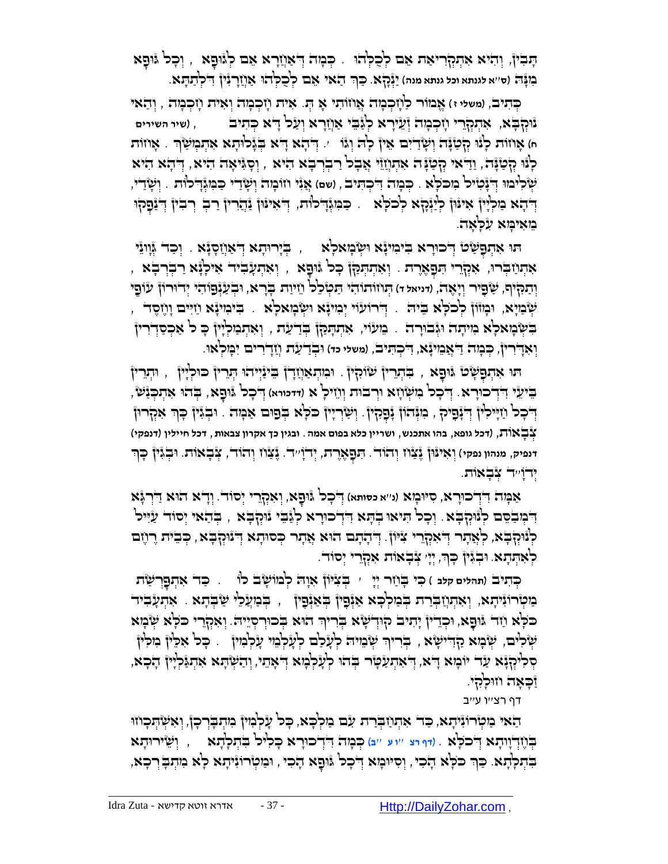ָתָּבְין, וְהִיא אִתְקְרִיאַת אֵם לְכָלְהוּ . כְּמְה דְּאַוְזַרָא אֵם לְגוּפָא , וְכָל גּוּפָא ַּבְּוּ ה' אי ה' אי אינתא וכל גנתא מנה) יַנְּכְלָא. כַּךְ הַאֵי אֵם לְכֻלְּהוּ אַוְיָרְנִין הִלְתַתְּא. ְּ

כְּתִיב, (משלי ז) אֱבּוֹר כַ<sup>ו</sup>ְזָכְבְּה אֲוֹוֹתִי אָ הְּ. אִית וְזָכְבְּה וְאִית וְזָכְבְּה , וְהַאי נ*ִּיּהְבָּא, אִתְּהְרִי וְזִכְבָּזה וְּעֵירָא לְ*ּנֵּבֵי ּאַוְזָרָא וְעַל דָ<sup>ּ</sup>א כְּתִיב , (שיר השירים ח) אָוזוֹת לְּנוּ קְטַנְּה וְשָׂדַיִם אֵין לְה וְגֹו י. דְּתָא דָא בְגָלוּתָא אִתְמְשַׂךְ . אָוזוֹת ָלְּנוּ קְטַנָּה, וַדַּאי קְטַנָּה אִתְוְזֵוֵּי אֲבָל רַבְרְבָא הִיא , וְסָגִּיאָה הִיא, דְּהָא הִיא ְּש ִלימֻו ֻד . ְֻּכ ָמה ִ ֻד ְּכ ִֻתיב, )**שם**( ֲאִני חֹו ָמה ְּו ָשַדי ַֻכ ִֻמְּגָ ֻדלֹות . ְּו ָשַדי, ְּ ָנ ִטיל ִמ ֻכֹ ָֻלא דְּבֹא מַלְיָּן אִינּוּן לְיַנְּבָץ לְכֹלְא . כַּמִגְּדִלוּת, דְּאִינּוּן זַּדְרֵין רַבְ רְבִין וְ*ּ*יַּנַפְקוּ ֵמ ִאי ָֻמא ִע ָֻל ָאה.

ָתוּ אִתְּפָּשַׂט דְּרוּרָא בִּינִוּנְא וִשְׂבְזאַלְא  $\,$  , בְּיָרוּתָא דְּאַוְזַסְנָּא , וְכַד  $\,$ וְוְנֵי , אִתְּוֹדְּוֹ אִקְרֵי הִפָּאֶרֶת . וְאִתְּתַּה| כָּל גּוּפָא , וְאִתְעָבִיד אִילְגָּא רַבְרְבָא וְתַקִּיֹף, שַׂפָּיר וְיָאָה, ווייאל הּ הְנוֹותוֹהי הַטְבְל וֵזִיוַת בְּרָא, וּבְעַׂנְפְוֹהִי יְדוּרוֹן עִוֹפֶי ְשְׁבִייָא, וּבְוּוֹוֹ לְכֹכְא ִבֵּיה ִ דְּירוֹעוֹי יְבִוִינָא וִשְׂבְוּאכְא ָ. בִיבוּינָא וַזִיִּים וָוֶזֶסֶד בִשְּׂבְּוֹלָא בִיּיִתָה וּגְּבוּרָה . בֵוּעוֹי, אִתְתְּמַן בְּדַעַת , וְאִתְבִּוּלְיָין כָּ ל אַכְסַדְרִין וְאִדְרִיןٌ, כְּבְוּה דַ<sup>י</sup>אֲבֵוִינָּא, דִיכְהִיבׂ, (משלי כד) וּבְדַעַּת וְזַדְרִים יִבְּוִלְאוּ.

ָתוּ אִתְפָּשָׂט ווּתְרִין שִׁוּקִין . וּמִתְאַוְזָדְן בִינַיְיהוּ הְנֵרין כוּלְיָין , וּתְרֵרין ָבִּיעֵלִּי דִּדְֽבוּרָא. דְ**ּכְל בִזִשְׂוָזָא וִרְבוּת וְו**ֵזִילָ א (דומויא) דְבְל גּוּפָא, בְּהוּ אִתְבְּנַש יְדִּכְּל וַזְיָּילִין דְּבְּבָיה , בִּוּגְּהוֹן בְּבָלוֹ , וְשַׂרְיָין כִּלְא בְפוּם אַמְּה . וּבְגִּין כָּךְ אִקְרוּן צְּ בָ אוֹ ת, )**דכל גופא**, **בהו אתכנש**, **ושריין כלא בפום אמה**. **ובגין כך אקרון צבאות**, **דכל חיילין** )**דנפקי**( ינפיק, מנהון נפקי) וְאִינْוּןْ גֶּצָׂון וְהוֹד'. הִפָאֶרֶת, יְדוָיִיד'. גֶּצַׂון וְהוֹד', צְּבָאוֹת. וּבְגִּיןْ כָּף יְּדוָֹ ''ד צְּ בָ אוֹ ת.

אַמְה דִידְכוּרָא, סִיּנְאָא (ני׳א כסותא) דְּכָל גּוּפָא, וְאִקְרֵי יְסוֹד. וְדָ**ֹא הֹוּא דַ**יְרְגָּ֫א דְּבְוּבְסֵם לְוָּוָלְּבָא ִ וְכָל הִיאוּ בְהָא הִדְבוּרָא לְגַּבֵי וַוּקְבָּא , בְּהַאי יְסוד עַיִּיל כְּנִּוּלְבָא, כְאָתָר דְּאִקְרֵי צִיּוֹן. דְּתָתָם הוּא אֲתָר כְּסוּתָא דְּנוּקְבָּא , כְּבִית רָוֶזם ַלְּאִתְּתָא. וּבְגִּיןْ כְּךָ, יְיָ צְבָאוֹת אִקְרֵי יְסוֹד.

ַּכְּתִיבׂ (תהלים קלב ) כִּי בְּוַזַר יְיָ י בְֽצִ<sup>ְ</sup>ּיּוֹן אָוָה לְמוֹשָׂב לוֹ ) . כַּד אִתְפָּרְשַׂת מַטְּרוֹ נִיתָא, וְאִתְוַבְּרַת בְּמַלְּכָא אַיְּפָין בְּאַיְּפָין , בְּמַעֲלֵי שַׂבְתָא . אִתְעָבִיד ָכֹּכְא וַזָּר גֿוּפָא, וּכְדֵיןْ יָתִיב קוּדְשָׂא בְּרִיךְ הוּא בְּכוּרְסְיֵיה ִ וְאִקְרֵי כֹּכְא שְׂבְּא שְׂלִים, שְׂמָא קַדִּישָׂא , בְּרִיךְ שְׂמֵיה לְעָלָם לְעָלְמֵי עָלְמִין . כָּל אִלֵין מִלְין ְּ ּקָלִיּהְיָּ֫א עַד יוֹבְוּא דָיא, דְּאִתְעַּטְר בְּהוּ לְעָלְבְוּא דְּאָתֵי, וְהַשְׁתָּא אִתְגַּלְיָין הָכָא, ַזַּכְאָה וווּכְקִי.

דף רצ''ו ע''ב

הַאי מַטְּרוֹ נִיתָא, כַּד' אִתְוַזַבְרַת עִם מַלְּכָּא, כָּל עָלְּמִיןْ מִתְבְּרְכָןْ, וְאִשְׂהָכְוזוּ ְּו ֵשיר ֻו ְֻּכ ָמה ֻד , ָתא ִ ְּדכ ֻו ְֻּבֶחְּדָוו ָתא ֻד . )**דף רצ** ''**ו ע** ''**ב**( ָרא ָֻכ ִליל ִֻב ְּת ָל ָתא ְּ כֹ ָֻלא ְָּבְתְּכְֽהָא. כַּךְ כֹּלָא הָכִי, וְסִיּנְא דְּבְל גוּפָא הָכִי , וּמַטְרוֹגִיהָא לָא מִתְבְּ רְכָא,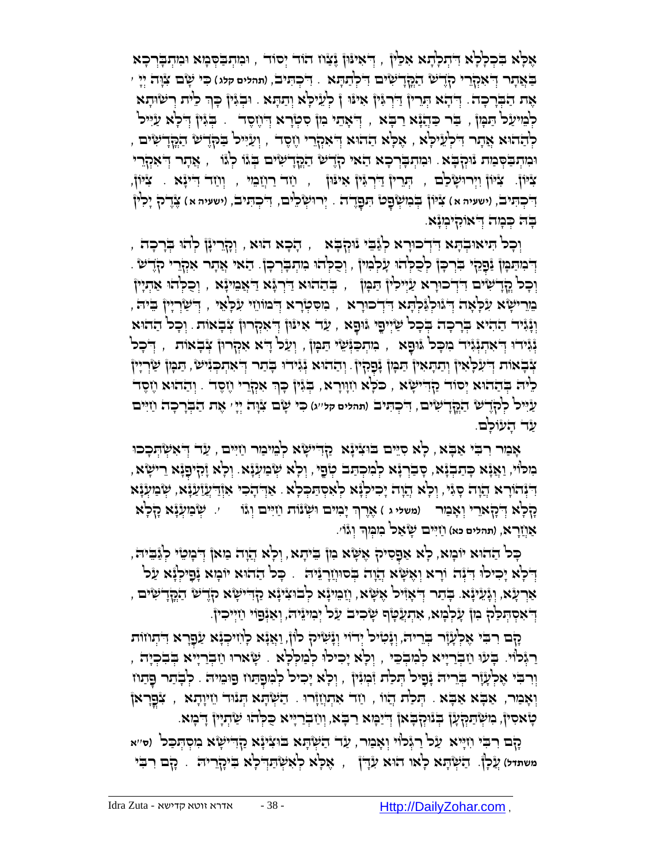ָאָלְּא בִלְלְא דִוְתְלְזָא אִכֵּין , דְּאִינּון יֶצָּוֹז הֹוד יְסוד , וּמִתְבַקְּכְּוּא וּמִתְבְרְכָא בְּאֲתָר דְּ**'אִקְרֵי ק**ְדֶישֿ הַמֱדְיֹשִׂים דִלְתַתָּא . דִלְהִנִּיבׂ, (תהלים קלג) כִּי שָׂם צִוָּה יְיָ ׳ ׳ ּאֶת הַבְּרָכָה. דְּיהָא הְּרֵיןْ דַּרְגְּיןْ אִינּוּ ןْ לְעֵיכְא וְהַתָּא . וּבְגִיןْ כָּךְ כֵית וְישׂוּתָא לְּבִּוּעַל הַבְּוֹן , בַּר כַּהֲנָא רַבְּא , דְּ'אָתי ִמְן סִטְרָא דְוֹזֶסֶד . בְּגִּין דְלָא עַיִּיל , יְעַיִּיל בָּקְדִישׂ הַקְּדִישִׂים , יְצִיּיל בְּל ְדָישׁ הַקְּדִישִׂים וּמִתְבַּׂסְּבַוּת נִּוּקְבָּא . וּמִתְבְּרְכָא הַאי קָדֶשׁ הַקְּדְשִׂים בְּגוּ לְגוֹ , אֲתר דְּאִקְרֵי ַצִּיּוֹן וַיְרוּשָׂכֹם , הְרֵין דַּיְרְגִּין אִינוּן , וַזֶר רַוְזַבִּוּי , וְוַזר דִיינָּא . צִיּין, بَـٰבְהִיבׂ, (ישעיה א) צִׂיּוֹן בְּבִוּשְׂפָט הִפָּדֶדֹה . יְרוּשְׂכֵ<sup>נ</sup>ִים, הִבְּהִיבׂ, (ישעיה א) צֶדֶלה יָכִ<sup>נ</sup>וֹ ַבְּה כְּמָה דְּאוּקִיבְּעָא.

ָה ָכא הֻו , ְּוָקֵריָנן ְּלהֻו ְֻּבָר ָכה , ְּו ָכל ִֻתיאֻו , א ְּב ָֻתא ֻד ִ ְּדכ ֻוָרא ְּלַג ֵֻבי נֻוְּק ָֻבא بْرَ فِي اللَّهِ جَلْدَ فِي الْحَالِيّةِ لِمَا إِلاَّ إِلَيْهِ إِلَيْهِ إِلَيْهِ إِلَيْهِ إِلَيْهِ إِلَيْهِ إِ וְכָל קֵדְיִשִּׂים דִּדְֽכוּרָא עַיִילִין הַמְּוֹ , בְּהַהוּא דַּרְגָּא דַּאֲמִיגָּא , וְכֻלְּהוּ אַתְיִין ָמֵרִישָׂא עִלְאָה דְּגוֹקְנֵּקְהָא דִּדְכוּרָא , מִסִטְרָא דְבוּווֵזי עִלְאֵי , דְישַׂרְיָין בִיה, וֹּנְּיָּנִד הַהִיא בְּרָכָה בְּכָל שַׂיְיִפֵי וּוּפָא , עַד אִיוּוֹ דְּאִקְרוּן צְבְאוֹת לְכל הַהוּא יָּנְיּדוּ דְּאִתְוָּ֫גִּיד ִמִכְּל גּוּםָא , מִתְכַוְּשִׁי תַּמְן , וְעַל דָּא אִקְרוּן צְבְאוֹת , דְבְל ְאָבְאוֹת דְּעִלְּאִין וְתַתְּאִין תַּבְּוֹ בְּפָקִין. וְהַהוּא נְּגִירוּ בְתר דְאִתְכְּגִישׂ, תַּבְּוֹ שַׂרְיִין ָלִיה בְּבֹהוּא יְסוֹד קַדִּ יִשְׁא , כֹּכְא וִזְוָרָא, בְּגִּין כְּךָ אִקְרֵי וֶזֶסֶד . וְהַהֹּוּא וֶזֶסֶד ַעִ ֻייל ְּלקֶֹד ש ַה ֳֻקָד ִשים, ִ ֻד ְּכ ִֻתיב )**תהלים קל**''**ג**( ִֻכי ָשם ִצָֻוה ְּיָי' ֶאת ַה ְֻּבָר ָכה ַחִ ֻיים עַר הָעוֹכְם.

אָבִיר רִבִּי אַבְא , לְא סִיֵּים בֹּוּצִינָּא ַקָדִישְׂא לְבִוּיבוּר וַזִיִּים , עַד דְּאִשְׂהְכְכוּ ָרִי וְּאֲנְא כְּתַבְֽנָא, סְבַרְנָא לְמִכְתַּב טְפֶי, וְלָא שְׂבִזעְנָא. וְלָא זָקִיפָנָא רֵישָׂא, ַדְּיְּהָדָו ָא<sub>ָ</sub>וֹדְעֲזַעֲ, יִשְׂבִיעְֽנָא יִצְד ְיִהָר ְּא<sub>ֶ</sub>ּוֹדְעֲזַעֲ, יִשְׂבִיעְנָא **ַקְּלְא** דְיֹהָאִרֵי וְאָבִוּר (משלי ג ) אֶרֶךְ יָבְזִים וּשְׂנוֹת וַזִיִּים וְגוֹ *יִ* שְׂבַזִעְנָּ֫א הָלְאֹ ָאַוְיָרָא, (תהלים כא) ווַיִּים שְׂאַל בִזמְךָ וְג<u>ּוֹ</u>י.

ָּכְּל הַהוּא יֹוּבְוּא, כְּא אַפָּסִיק אֶשֶּׂא ִמִן ּבִיהָא, וְכְא הֲוָה בִּוּאן הְבְוָּטִי לְגַּבִיה, יִדְלָא יָכִילוּ דִּיְּה וֹרָא וְאָשָׂא הֲוָה בְּסוּוְזַרְנֵיה ִ . כְּל הַהוּא יוֹמְא יָנָילְנָא עַל אַרְעָׂא, וְגָּעֵינָ֫א. בְּתַר דְּאָזִיל אֶשָּׂא, וְזַבִּוּינָ֫א לְבוּצִינָ֫א קַדִּישְׂא קָדֶשׁ הַבְּדְיַשִׂים יְדֹאִסְהְּכַּק ִּמְן עָׂכְ<sup>וֹ</sup>בְא, אִהְעֲטָׂף שָׂכִיב עַל יְּכִוּ יֵוּ יָאַנְּפוֹי וַזַיְיִכְיןֹ.

ָקָם רִבִּי אֶלְעָׂוֶר בְּרֵיה, וְיָנִייֹל יְדֹוִי וְיָּשִׂיּהָ לוֹן, וַאֲיָּא לְוִזיכְוָא עַפָּרָא דִיתְוזוּת ָרְגְּכוֹי. בָעוּ וַזִבְרַיְיא לְמִבְכֵי , וְלָא יָכִילוּ לְמַלְלָא . שָׂארוּ וַזִבְרַיְיא בְבִכְיָה , וֹנִבּוּ אָלְעָׂוֶר בְּרוּה נָּפָוּל הַכְת וַּבְוּזָן , וְלָא יָכִוּל לְבִוּפָתוּ פוּבוּיה . לְבְתַר פָּתוּז וְאָמַר, אַבְּא אַבְא , הְכַוֹּת הֲוֹו , וַחֹד אִתְוְזָרוּ . הַשְׁתָּא תְּנוּד וֵזִיוָתָא , צִפְּרָאן טָ אסִ ין, ִמ ְּש ַֻתְּ ֻק ָען ְֻּבנֻוְּק ָֻבאן ְּ ֻדַי ָֻמא ַר ָֻבא, ְּו ַח ְּבַרָֻייא ֺֻכ ְֻּלהֻו ַש ְּתָיין ָ ֻד ָמא.

ָקם ִר ִֻבי ִחָֻייא עַ ל רַ גְּ לוֹ י וְּ אָ מַ ר, ַעד ַה ְּש ָֻתא ֻבֻו ִציָנא ַקִ ֻדי ָשא ִמ ְּס ְֻּת ַֻכל )**ס**''**א**  משתד*ל) עֲכְ*ן. הַשְּׂהָא כְאו הוּא עִדְן , אֶכְא כְאִשְׂהַדְ כְא בִיהָרִיה . הָם רִבִּי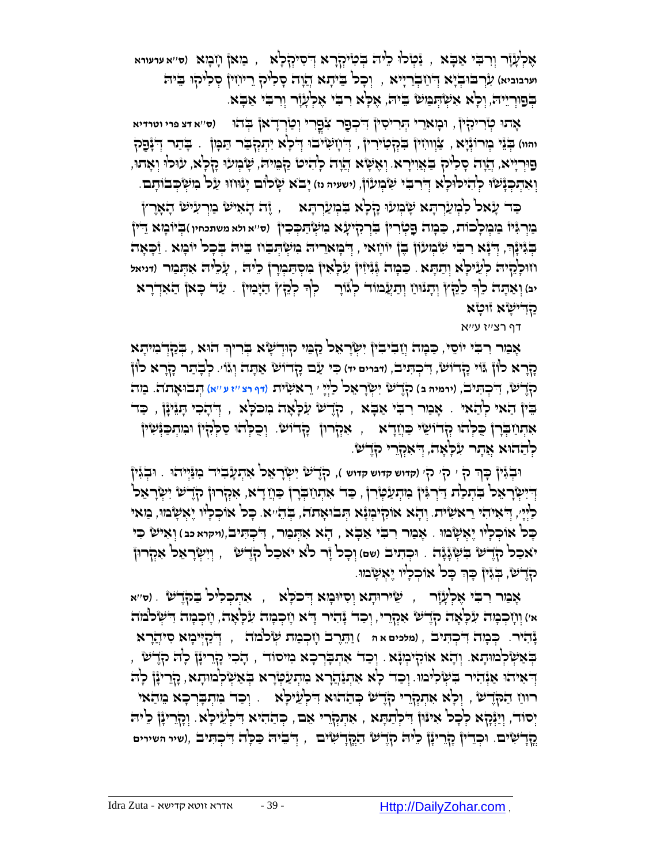אֶ לְּ עָ זָר וְּ רִ בִֻ י אַ בָֻ א , ַנ ְּטל ֻו ֵלי ֻה ְֻּב ִטיְּקָרא ְּ ֻד ִסיְּק ָלא , מַ אן חָ מָ א )**ס**''**א ערעורא** וערבוביא) *(גְּ*רְבּוּבְיָא דְּוֹזַבְרַיִּיא , וְכָל בִּיתָא הֲזָה סָלִיק רֵיוֹזִין סְלִיקוּ בֵיה ַּבְפוּרְיֵיה, וְּכְא אִשְׂהְמַשׁ בֵּיה, אֶכְא רִבִּי אֶלְעָזָר וְרִבִי אַבְא.

ֻו ָמאֵרי ְֻּתִרי ִסין ֻד )**ס**''**א דצ פרי וטרדיא** ִ ְּכ ַפר ִצ ֻפ ָאת ֻו , ֳִרי ְּו ַטְּרָדאן ְֻּבהֻו ְּטִריִקין ּוּהּוּ) בְּיֵּנֵּי כְוֹרוֹגְּיָא , צַוְּווֹזִיןْ בִּקְטִיּרִיןْ , דְּוֹזָשִׂיּבוּ דְּלָא יִתְקְבֹּר תַּבְּוֹן . בָתר דְגָּפָק פּוּרְיָיא, יְהַנָה סָלִיק בַּאֲוִירָא. וְאֶשָּׂא הֲזָה לְהִיט ֿקַבִּוּיה, שָׂבְוּעוּ קָלְא, עוֹלוּ וְאָתוּ, **וְאִתְבְּנָּשׁוּ לְהִיכוּלְא דְיִרבִּי שִׂ**בְוּעْוֹן, (ישעיה נז) יָבֹא שָׂלוּם יְנוּוזוּ עַל בִוּשְׂבְבוֹתָם.

ַכָּד עָאל לִמְעַרְהָא שְׂמְעוּ הָלְא בִּמְעַרְהָא , , זֶה הָאִיש בִּוְרַעִיש הָאָרֶץ ַמְּר ִֻגיז ַמ ְּמ ָלכֹות, ְּטִרין ִֻבְּרִקי ָעא ִמ ְּש ַֻת ְֻּכ ִכין ְֻּביֹו ָמא ֻד ַֻכ ָמה ֻפ )**ס**''**א ולא משתכחין** ( ֵ ין ִ הְּנִיּנְרָ, דְּיָּא רִבִּי שִּׂמְעֹוֹן בֶן יוֹוְזָאי , דְּכְוּאֵריה ִמִשְׂהְבַוּז בִּיה בְּכָל יוֹכְוּא . זַכְאָה וֹזוּלְהָיה לְעֵיׁקָא וְתַתְּא . כַּבְוּה גְּנִיּוִיןْ עִלְּאִיןْ בִוּסְתַּבְוָרןْ כִ<sup>וּ</sup>יה , עָנְלִיה אִתְּבַור (דניאל ְּיבּ) וְאַתְּה לֵ<sup>נְ</sup> כַ<sup>לְּ</sup>דֶץْ וְתָגْוּוַ וְתַעֲמוֹד כְ<sup>וָ</sup>ּוֹרָ - כְ<sup>וָ</sup> כְלָּדֶץ תַיָּמִיןْ . עַד כָּאן הַאִדְרָא קדישָׂא זוּטָא

דף רצ''ז ע''א

אָמַר רִבִּי יוֹסֵי, כַּמְהֹ וְזַבִיבִיןْ יִשְׂרָאֵל קַמִּי קוּדְשָׂא בְּרִיךְ הוּא , בְּקַדְבִוּיהָא ָקָרא לֹון ֻגֹוי ָקדֹו ש, ִ ֻד ְּכ ִֻתיב, )**דברים יד**( ִֻכי ַעם ָקדֹו ש ַא ָֻתה ְּוגֹו'. לְּ בָ תַ ר קָ רָ א לוֹ ן קֶֹד ש, ִ ֻד ְּכ ִֻתיב, )**ירמיה ב** ( קֶֹד ש ִי ְּ שָר ֵאל ַלְּיָי ' ֵרא ִשית )**דף רצ** ''**ז ע** ''**א**( ְֻּתבֻו ָא ֹתה. מַ ה בֵּין הַאי לְהַאי . אָמַר רִבִי אַבְא , קְדָשׁ עִלְאָה מִכֹּלְא , דְּהָכִי הָנֵינָן , כַד אַתְּוַ בְּלְהִוּ קְדוּשִׂי כַּוְיָדָא , אִקְרוּן קָדוּשׂ. וְכָלְהוּ סַלְּלְוּן וּלְוִתְכַּוְּשִׁוּן לְדַהוּא אֲתָר עִלְאָה, דְּאִקְרֵי קֶדֶשׁ.

וּבְגִּין כְּךָ ק ִי ק*י קי וחדוש חדוש ח, הָדֶיש* יִשְׂרָאֵכ<sup>וֹ</sup> אִתְעָבִיד בִוַּיְיִהוּ . וּבְגִּין דְיִשְׂרָאֵל בִּתְלַת דַּרְגְּיןْ מִתְעַטְּרָן , כַד אִתְוַבְרָן כַּוְיָדָא, אִקְרוּן קָדֶשׂ יִשְׂרָאֵל ַלַּיְיָי, דְּאִיהִי רֵאשִׂית. וְהָא אוֹהְיִכְּוָּ֫א הְבֹוּאָתה, בְּהֵיּא. כָּל אוֹכְלִיו יֶאְשָׂבוו, בַּוּאי כָּכ<sup>ן</sup> אוֹכְכְ<sup>וֹ</sup>ו יֶאְשָׂבוּוּ . אָבַור רִבִּי אַבָּא , דָא אִתְּבַור , דִּכְתִּיבׂ (ויקוא כּנ) וְאִישׂ כִּי יֹאכַל קֶדֶשׁ בִּשְׂגָּגָה . וּכְתִיב (שם) וְכָל זָר לֹא יאכַל ק) שׁ , וְיִשְׂרָאֵל אִקְרוּז ּקֹדֶשׁ, בְּגִּין כְּךָ כְּל אוֹכְלְיו יֶאִשְׂמוּ. ְּ

אָמַר רִבִּי אֶלְעָיָ֫ר , ְ שֵׂירוּדָא וְסִיּוּמָא דְּבֹלְּא , אִהְכְלִיל בַק) שׁ . (ס׳'א א') וְיָזְכְבְּוּה עִלְאָה קָדֶשׂ אִקְרֵי, וְכַד נָהִיר דָא וְזְכְמָה עִלְאָה, וָזְכְמָה דִשְׂלֹמוֹה נָהִ יר. ְֻּכ ָמה ִ ֻד ְּכ ִֻתיב , )**מלכים א ה** ( ַו ֵֻתֶרב ָח ְּכ ַמת ְּשלֹמֹה , ְּ ֻדַקְּ ֻיי ָמא ִסיֲהָרא בְּאַשְׂלְמוּתָא. וְהָא אוֹהְיִמְּנָא . וְכַד אִתְבְרְכָא מִיסוֹד , הָכִי נָדְרִייָּן לְה הְדֶש הְּאֹ $\epsilon$ וּתְא ְהָבִינָן כְּיִינָן כְּה יִתְּעֲדָרא ִבְּעִשְׁלְמוּתָא, כְּזֶריִנָן כְוְת רוּנו הַקְּדָשׁ , וְכָא אִתְּקְרֵי קָדֶשׁ בְּהַהוּא דִלְעֵיכְא . וְכַד מִתְבְרְכָא מֵהַאי יְּסוֹד, וְיַיְּנָקָא לְּכָל אִי ּוֹן דִּלְתַתְּא , אִתְקְרֵי אֵם, כְּהַהִיא דִלְעֵילְא ִ וְכָדֵרִייָן לֵיה ֳקָד ִשים. ֻו ְּכֵדין ָקֵריָנן ֵלי ֻה קֶֹד ש ַה ֳֻקָד ִשים , ְּ ֻד ֵבי ֻה ַֻכ ָֻלה ִ ֻד ְּכ ִֻתיב ,)**שיר השירים**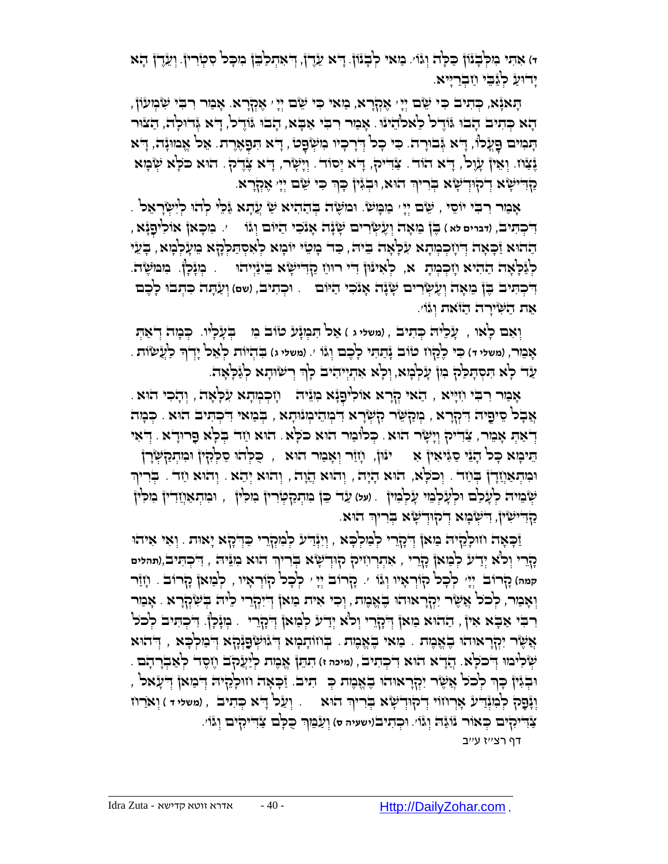**ד**( ִא ִֻתי ִמ ְֻּל ָבנֹון ַֻכ ָֻלה ְּוגֹו'. מַ אי לְּ בָ נוֹ ן. ָ ֻדא ֵעֶדן, ְּ ֻד ִא ְּת ַל ֵֻבן ִמ ָֻכל ִס ְּטִרין. וְּ עֵ דֶ ן הָ א ַיִּדוּעַ כְגַּבֵי וַזְבְרַיִּיא.

ָהָאַנָּא, כְּתִיב כִּי יֵשֶׂם יְיָי אֶקְרָא, מַאי כִּי שֵׂם יְיָ אֶקְרָא. אָמַר רִבִּי שִׂמְעֹוֹן, הָא כְּתִיב הָבוּ .it הָבֹו הַאֲלֹל לְאַלֹהֵינוּ . אָמַר רִבִּי אַבָּא, הָבוּ ווֹדֶל, הָא גְּדוּלְה, הַצוּר ָתְּמִים פָּעֲלוֹ, דָא גְּבוּרָה. כִּי כְל דְרָכְיו מִשְׂפָט , דָא תִּפָאֶרֶת. אֵל אֱמוּנָה, דָא נֶצַֿוֹז. וְאֵיןْ עָוֶכ<sup>ן</sup>, דְּא הֹוד. צַדִּיק, דְּא יְסוֹד. וְיָשָׂר, דְּא צָדֶק. הֹוּא כֹּכְא שְׂבָּוּא ַקְדִּישָׂא דְקוּדְשָׂא בְּרִיךְ הוּא, וּבְגִּין ּכְּךְּ כִּי שֵׂם יְיָ אֶקְרָא.

אָמַר רִבִּי יוֹסֵי , שֵׂם יְיָ ׳ מַמְּשׂ. וּמוֹשֶׂה בְּהַהִיא שַׁ עֲתָא גַּכֵּי לְהוּ לְיִשְׂרָאֵל . **ְדִ**ׂכְהִיבׂ, (דּברים לֹא ) בֶּןْ בִזאָה וְעָלְיָרִים שְׂנָה אָנֹכִי הַיּוֹם וְגוֹ \_\_ ,. בִזכְּאןْ אוֹלִיפָנְֿא הַהוּא וַֿכְאָה דְּיוָכְמְתָא עִלְּאָה בֵּיה, כַּד מְטֵי יוֹמְא לְאִסְתַּלְּהָא ִמְעָלְמָא, בְּעֵי לְּ לְּ לְּ לְאָ הֹ הַהִיֹּא וְזִכְמְהָ א, ۖ לְאִינּוּן דִיי רוּוֹז קַדִיישָׂא בִינַּיְיהוּ . בְוּנָלְן. ۚ בִוּמוֹשֶׂה. יִדְּבְתִּיב בֶּן מֵאָה וְעֶשְׂרִים שָׂנָה אָנֹכִי הַיּוֹם <sub>·</sub> וּבְתִיב, (שם) וְעַתָּה כִּתְבוּ לְכֶם אֶת הַשְּׁיָרָה הַזֹּאת וְּגֹוֹ

וְ**ּאִם לְאו , עָנְלֵיה כְּתִיב , (משליג ) אַל הַבְּנְגָע טׂוב בִּו – בְּעָלְיו. כְּבְוּה דְאַהְ** ָּאָבֵור, (משל*י ד*) כִּיּ כֶלְוֹז טֹוֹב נְּתַתִּי כְכֶם וְגוֹ ׳. (משלי ג) בִּתְיוֹת כְאֵל יָדְךָ כַעֲשׂוֹת . ַעָר כְא הִסְתָּכַּק בִּוֹ עָלְבְּוּא, וְכָא אִתְיִיהִיב כְךְ רְשׂוּתָא כְגַּכְאָה. ְּ

ָּאֲכַוֶר רִבְּי וְזִיְּיָא , הַאי קְרָא אוֹלִיפָנְּא מִנִּיה | וְזִכְרְא עִלְאָה , וְהָכִי הוּא ָאֲבָל סֵיפֶיה דִּמְרָא , גְּמַאֶ*י דִּ*מְהָי דִּמְהֵימְוֹתָא , בְּמַאי דִיכְהִיב הוּא . כְּמָה ָדְאַהְ אָמֵר, צַׂדִיק וְיָשָׂר הוּא. כְּלוֹמַר הוּא כֹּלְא. הוּא וַזד בְלָא פָרוּדְא. דְאִי ִ הֵיכְוּא כְּל הָוָנוֹ שַגְּיאִיןْ אִ – ינּוּן, וְזַוֹּר וְאָמַר הוּא , כֻּלְהוּ סַלְּהָיןْ וּמִתְקַשְׂרָןْ וּבְּוּתְאַוְיָּךָןْ בְּוַיָּהֹ , וְכֹכְא, הוּא הָיָה , וְהוּא הֲוָה , וְהוּא יְהָא . וְהוּא וַזָּה . בְּרִיךְ **ָּשְׂבֵוּיה לְעָ**לַם וּלְעָלְבֵוּי עָלְבְוּיןْ . (על) עַד בֵן בִוּתְנַלְטְּוֹרין בִוּכְוּין , וּבִוּתְאַוְזַדִין בִוכְ<sup>נ</sup>וֹ ַקְדִישִׂין, דִישְׂבְוּא דְקוּדְשָׂא בְריך הוא.

ַזְּכְאָה וזוּלְלֵיה בַּזאן דְיָהָרי לְבַולְבָא , וְיִּיְּוֹ־ע לְבִוּקְרֵי כַדְיָהָא יָאות . וְאִי אִיהוּ **ַרְ**רֵי וְכ<sup>וֹ</sup>א יְדִיע לְבַּוּאןْ כָרֶרִי , אִתְרְוִזִיק קוּדְישָׂ'א בְּרִיךְ הוּא כִוּזֵּיה , הִבְתִּיב (תהלים **קמה**( קָ רוֹ ב יְּיָ ' לְּ כָ ל קוֹ רְּ אָ יו וְּ גוֹ '. קָ רוֹ ב יְּיָ ' לְּ כָ ל קוֹ רְּ אָ יו , לְּ מַ אן קָ רוֹ ב . חָ זַר וְאָבִוּר, לְכֹל אֲשֶׂר יִקְרָאוּהוּ בֶאֱמֶת , וְכִי אִית בַּוּאן דְיִיִּקְרֵי כִיּה בְשִׂקְרָא . אָבִוּר רִ בִֻ י אַ בָֻ א אִ ין , ַההֻוא ַמאן ְּ ֻדָקֵרי ְּולֹא ְּיַדע ְּל ַמאן ְּ ֻדָקֵרי . מְּ נָלָן. ִ ֻד ְּכ ִֻתיב ְּלכֹל אֲשֶׂר יִקְרָאוּהוּ בֶאֱמֶת . מַאי בֶאֱמֶת . בְּווֹתָמָא דְּגוּשְׂפָוְּהָא דְּמַלְכָא , דְהוּא ֲהָדא הֻו , )**מיכה ז**( ִת ֵֻתן ֱאא ֶמת ְּלַיֲעקֹב ֶחֶסד ְּל ַא ְּבָר ָהם . ְּש ִלימֻו ֻד . א ִד ְּכ ִתיב ְּ כֹ ָֻלא וּבְגִּין כְּךָ לְכֹל אֲשֶׂר יִקְרָאוּהוּ בֶאֱמֶת כְּ⊤ תִיבֹ. וַּבְאָה וּזוּלְהָיה דְיִמְאן דְיִעָּאל , וְ**ּוְּכָּק לְּמִ**ּוְּדִיע אָרְוזוֹי דְיקוּדְשָׂא בְּרִיךְ הוּא ִהְעַל דָּא כְּתִיב , (משלי ד) וְא*ֹרו*ז ַצְּדִי**ֹּקִים כְּאוֹר נ**ּוֹנֵה וְגוֹ׳. וּכְהִיב(ישעיה ס) וְעַבֵּוְךָ כֻּכְּם צַׂדִיקִים וְגוֹ׳. ְּ

דף רצ''ז ע''ב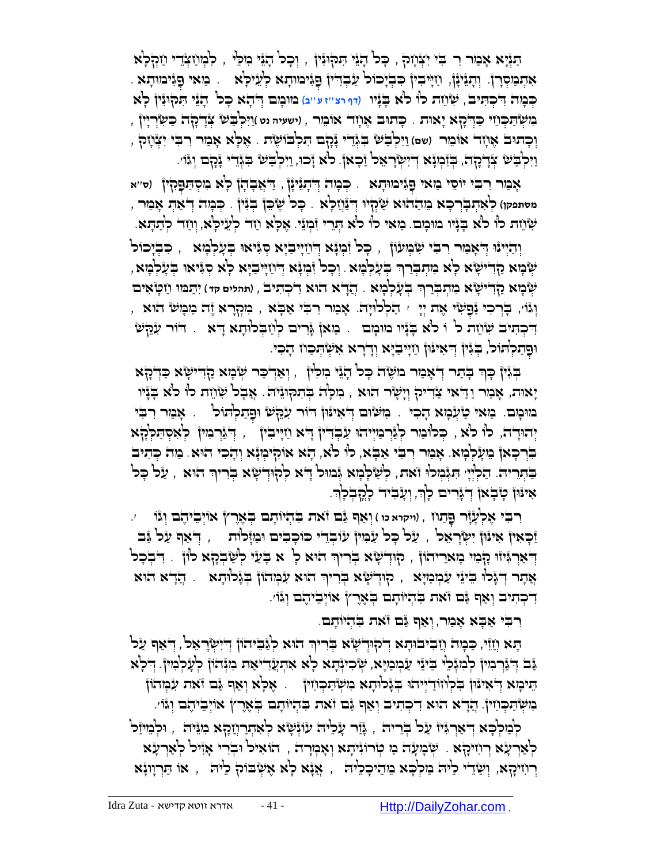ַֻתְּנָיא ָא ַמר ִר בִֻ י יִצְּ חָ ק , ָֻכל ָהֵני ִֻת ֻק ֻוִנין , וְּ כָ ל הָ נֵי מִ לֵֻי , לִ מְּ חַ צְּ דֵ י חַ קְּ לָא אִתְּכַּוּסְרָן. וְתָגֵינָן, וַזְיִיבִין ִכִּבְיָכוֹל עַבְדִיין ִםְגִּימוּתָא לְעֵיכְאׁ . ַמַּאי ִפְגִּימוּתָא כְּבְוָה דִּיכְהִינִים, שָׂ*וֹוֶ*ת כוְ כֹּ'א בְּנָיו (דף רצ''ז ע''ב) בווּבְוִם דְּ'דָא כָּכ דְּנָיָ הִנִקְוּנִיןْ כְ<sup>וָ</sup>א ָּכְוּשְׂ<sup>ה</sup>ַתְּכְּוֹי כַּדְלָלָא יָאוּת . כָּתוּב אֶוְזָד אוֹמֵר , וישעיה נט )וַיִּכְבַּשׁ צְּדָלָה כַּשְׂרְיִין יְבְתוּב אָוָזָד אוֹמֵר (שם) וַיִּלְבַּשׁ בִ<sub>ּ</sub>גְּדֵי יָּנָקָם הַלְבוֹשֶׂת . אָלָא אָמַר רִבִי יִצְּוָזָק , ַוַיִּלְבַּשׁ צְּדֶלְהָה, בְּזִּבְוּנָא דְיִשְׂרָאֵל זַּכְאן לֹא זָכוּ, וַיִּלְבַּשׁ בִּגְּדֵי נָכְם וְגֹוֹי.

ִגימֻו ָתא ָא ַמר ִר ִֻבי יֹו ֵסי ַמאי ֻפ . ְֻּכ ָמה ְּ ֻדָתֵניָנן , ִקין ֻפ ְּ ַ ֻדֲא ָב ָהן ָלא ִמ ְּס ַֻת )**ס**''**א**  ְּ מסתפקו) ק<sup>ָ</sup>אִהְבְרְכָא מֵהַהוֹא שַּׂקְיוּ דְּיַנְוַכְ<sup>וֹ</sup>א . כָּל שֶׁכֵּן בְּנִין . כְּכְוּה דְאַהְ אָמֵר , יִשְׂוֵת לו לֹא בְּנָיו מִוּמָם. מַאי לו לֹא הְרֵי וִ֫מְנֵי. אֶלְא וַזד לְעֵילְא, וְוַזד לְתַתְּא.

ַּוְיַּלְּיְּנוּ דְּאָמַר רִבִּי שִׂמְעוֹן , כָּל וְּמְנָא דְּוַזְיִּבְיָא סְגִּיאוּ בְעָלְמָא , כִּבְיָכוֹל ִיּשְׁנְא קַדִּישָׂא לְא מִתְבְּרַךְ בְעָלְמָא. וְכָל זִּמְוָּא דְוַזְיִּיבִיָּא לְא סְגִּיאוּ בְעָלְמָא , <mark>ָּשְׁבְּא קַדִּישָׂא כִותְבְּרַךְ בְּעָלְמָא . הֲדָא הוּא דִ</mark>כְתִיבׂ , (תהלים קד) יִתַּמוּ וַזִפְ**ּאִים** , וְּגֿוֹ , בְּוְרָא יֶה יִי ְי הַלְלוּיָה. אָמַר רִבִּי אַבְא , מִקְרָא יֶה מַמְשׂ הוּא ַדִּכְתִּיב שָׂוֹוֵת כ<sup>ו</sup> ו כֹּא בְּנָּיו מוּמָם .. מַאן גָּרִים לְוַזִבְלוּתָא דָא .. דוֹר עִהֶשׂ וּפֿנלִתוֹכ<sup>ּי</sup>, בְּיֶּוֹן דְּאֹיוֶּן וַזִיִּבְיָא וְדָרָא אִשְׂהְכוּז הָכִי.

ַבְּיָּין כְּךָ בְּדַר דְּאָמַר מִשָּׂה כָּל הָיֵי גִוּכְ<sup>וֹ</sup>ן , וְאַדְכַר שְׂמָא קַדְיִשְׂא כַּדְלָא ָיאֻות, אָ מַ ר וַ ַ ֻדאי ַצִ ֻדיק ְּוָי ָשר הֻוא , ִמ ָֻלה ְֻּב ִת ֻק ֻוֵני ֻה. ֲא ָבל ִש ֵחת לֹו לֹא ָֻבָניו ְּמְוּבְוָם. מַאי טַיְּנְמָא הָכִי . מִשְׂוּם דְּאִינּוֹן דוֹר עִהָשׁ וּפָתַלְהוֹל .. אָמַר רִבִּי ְיְהוּדָה, כו כֹּא , כְּכוֹּמַר לְגָּרְמַיְיהוּ עַבְדִיין דָא וַזְיִּבִין , יְדְּגָּרְמִין לְאִסְתַּלְהָא בִּרְּכָאן מֵעָלְּמָא. אָמַר רִבִּי אַבְא, לוֹ לֹא, הָא אוֹקִימְנָא וְהָכִי הוּא. מַה כְּתִיב הַבְּתְרִיה: הַלְיְיָ הִגְּבְוּלוּ וֹאת, לְשָׁכְבְוּא גְּמוּל דָא לְהְוִדְשָׂא בְּרִיךְ הוּא , עַל כְּל אינּוּן טָבְאוֹ דְיגָרים לְךָ, וְעָבִיד לְהֶבְלְךָ. ְּ

**ִרִבִּי אֶלְעָזָר פָּתַוז , (ויקוא כו ) וְאַף גַּם זֹאת בִּהְיוֹתָם בְּאֶרץ אוֹיְבֵיהֶם וְגֹּוֹ \_\_ ׳.** ַזְּכָאִיןْ אִינْוּןْ יִשְׂרָאֵל , עַנל כָל עַׂגִּוּיןْ עׂוּבְדֵיי כוֹכָבִים וּבַזוָ۫לוֹת , יְדֹאַף עַל גַּבֹ הְּאֲנְוּ הָבְוּ בְּאֲרִיהוֹן , הְוִדְשָׂא בְּרִיךְ הוּא לְ א בָּעֵי לְשָׂבְהָא לוֹן . דִּבְבָל אֲתָר דְיֹגָ*ּלוּ בִּי*ּוַי עַׂכְוִכַּוְיָא , קוּדְישָׂא בְרִיךְ הוּא עִׂכְּוְהֹוֹן בְּגָלוּתָא .. הֲדָא הוּא ִד ְּכ ִתיב ְּו ַאף ַֻגם זֹאת ִֻב ְּהיֹו ָתם ְֻּב ֶאֶרץ אֹוְּי ֵבי ֶהם ְּוגֹו'.

רִ בִֻ י אַ בָֻ א אָ מַ ר, ְּו ַאף ַֻגם זֹאת ִֻב ְּהיֹו ָתם.

הָא וְזַוֹּי, כַּכְּזה וְזַבִיבוּתָא דְיקוּדְשָׂא בְּרִיךְ הוּא לְגַּבֵיהוֹן דְּיִשְׂרָאֵל, דְּאַף עַל ַּנֵּב דְּיָּנֶרְכִוּין לְבִוּגְּלֵי בֵיێוּ עַנְּוְבִוָּא, שְׂרִינְּהָא לְא אִהְעֲדִיאַת כִוּנְּהוֹן לְעָלְבִוּין ִ דְלָא ָתִיבְּוּא דְּ'אִינּוּןْ בִלְוּוֹדַיְיִיהוּ בְנֶלוּתָא מִשְׂתַכְווִיןْ ) . אֶלְא וְאַף גַּם וֹאת עִבְּוהוֹן הִישְׂהַכְּוֹזִין. הֲדָא הוּא דִיכְתִיב וְאַף גַּם זֹאת בִּהְיוֹתָם בְּאֶרֶץ אוֹיְבִיהֶם וְגֹּוֹי.

ַלְּמַלְּכָא דְּאַךְגָּיוֹ עַל בְרֵיה , גְּוַּר עָלִיה עׂוּנְשְׂא לְאִתְרַוְזָקָא ִמְגֵּיה , וּלְמֵיוַל ְ לְאַרְעָׂא רְוִיקָא . שְׂבְוְעָה בו טְרוּוִיתָא וְאָבְוְרָה , הוֹאִיל וּבְרִי אָוִיל לְאַרְעָׂא ְרְוְזִיכָןא, וְשַׂדֵי כֵּיה בַוּלְבָא בֵוהֵיכָכֵיה , אֲנָא לָא אֶשְׂבֹוֹק כֵיה , או הַרְוְוָנָא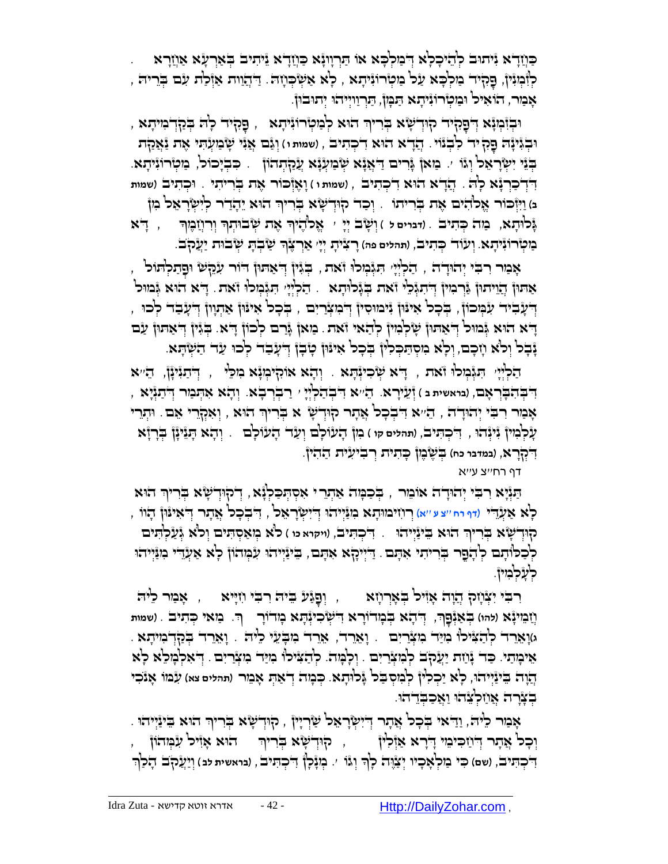ַכּוֹזַדְא יִּיתוּב לְהִיכָלְא דְּבוּלְכָּא או תַּרְווְנָא כַּוְזַדְא יֵיתיב בְאַרְעָׂא אַוְזַרָא לְיָּמְיָּין, פָקִיד בַולְּכָא עַל בַוְּטְרוֹוָיִתָא , לְא אַשְׂכְוָה. זַ דְּהֲוות אַוְּלַת עִם בְּרֵיה , אָמַר, הֹוֹאִיל וּמַטְּרוֹנִיתָא הַמְּוֹן, הַוְרְווִיְיהוּ יְתוּבוּן.

ּוּבְוָּבְא ְדְּפָנְּא ְדְּפָהָיד קוּדְשָׂא בְּריןִּ הוּא לְבַזִּטְרוּגִיתָא , פָּקִיד לְה בְּנַקְדְבִזיתָא , וּבְגִּינָּה פָק יד לִבְנוֹי. הֲדָא הוּא דִיכְתִיב , (שמות ו) וְגַּם אֲנִי שָׂבועְתִי אֶת <u>נַ</u>אֲקת ַּבְּיָכוֹל, מַטְּרוֹנִיתָא. "מַאן גְּרִים דַאֲנָא שְׂמַעְּנָא עֲקַתְהוֹן ". כִּבְיָכוֹל, מַטְּרוֹנִיתָא ֲהָדא הֻוא ִד ְּכ ִת , )**שמות ו** ( ָו ֶאְּז ֻכֹור ֶאת ְֻּבִרי ִתי . ֻוכְּ תִ יב )**שמות** ֻד . יב ִ ְּד ַכְּרָנא ָל ֻה בּ) וַיִּזְכּוֹר אֶכ<sup>וֹ</sup>הִיּם אֶת בְּרִיתוֹ . וְכַד קוּדְשְׂא בְּרִיךְ הוּא יֵהָדַר לְיִשְׂרָאֵל ִמִן **ֶּגְּלוּתָא, כַּוֹּה כְּתִיב . (דברים ל ) וְשָׂב יְיֵ** יִ אֱלֹהֶיֹךְ אֶת שְׂבֹוּתְךְ וְרִיְזָבֶוְךְ , , דְּא ָָ בִּוּטְ<del>וֹ רוֹ נְ</del>יִתָא. וְעִוֹד כְּתִיבׂ, (תהלים פה) רָצִיּתְ יְיָי אַרְצֶׂךְ שַׂבְתָ שְׂבוּת יַעֲקֹב.

, אָמַר רִבִּי יְהוּדָה , הַלְיְיָ הִגְּבְזִלוּ זֹאת , בְּגִּין דְּאַתוּן דור עִקְשׁ וּפָתַלְתּוֹל אַתון הַוֵּיתון בְּרְבִיין דְּיִתִגְּבִי וֹאת בְּגָלוּתָא . הַלְיְיָי הִגְּבְולוּ וֹאת. דִיא הוּא גְּבוול יְדִעָּבִיד עִנְּמְכוּן , בְּכָל אִינּוּן יִּימוּסִין דְּמִצְרַיִם , בְּכָל אִינּוּן אַתְוון דְעָבַד לְכוּ , ָדָא הוּא גְּמוּל דְּאָתוּן שְׂלְמִין לְהַאי וֹאת. מַאן גָּרם לְכוֹן דָא. בְּגִין דְּאַתוּן עַם נָבְל וְלֹא וְזִכָם, וְלָא מִסְתַּכְלוְ בְּכָל אִינּוּן טְבָן דְּעָבָד לְכוּ עַד הַשְׂתָא.

הַלְיְיָּ ' הִגְּבְוּכוֹ זֹאת , יָדֹא שְׂכִיוְּהָא , וְהָא אוֹקִיבְוְּ בִוּכֵּי , יְדֹתַגִּינָן, הֵ''א א ֻד ' רַ בְּ רְּ בָ א. ְּו ָהא ִא ְֻּת ַמר ְּ ֻד ַתְּנָיא , ִ ְּב ַה ְּלְּי ֻד , )**בראשית ב** ( זְּעֵ ירָ א. הֵ '' ָי ִ ְֻּב ִה ָֻבְּר ָאם ָאָמַר רִבְּי יְהוּדָה , הֵיֹּא דִּבְכָל אֲתָר קוּדְשָׁ א בְּרִיךְ הוּא , וְאִקְרֵי אֵם . וּתְרֵי ְּ ָע ְּל ִמין ִניְּנהֻו , ִ ֻד ְּכ ִֻתיב, )**תהלים קו** ( מִ ן הָ עוֹ לָם וְּ עַ ד הָ עוֹ לָם . ְּו ָהא ָֻתֵניָנן ְֻּבָרָזא **ְדִּבְא, (במדבר כח) בְּשֶׂבֶון כְּהִית וְרבִיעִית הַהִין.** 

דף רח''צ ע''א

הַנְּיָא רִבִּי יְהוּדָה אוֹמֵר , בְּכַמְה אַתְרֵי אִסְתְּכַלְיָּא, דְקוּדְשָׂא בְרִיךְ הוּא ָלְא אַעָּׂדִי (דף רח ''צע ''א) רוזיבווּתָא בִוּנַּיְיהוּ דְיִשְׂרָאֵל , דִּבְכָל אֲתָר דְיאִינּוּן הָוֹו , הְוּדְשָׂא בְּרִיךְ הוּא בֵּינַיְיהוּ . דִּבְתִּיבׂ, (ויקוא מ ) כ<sup>ו</sup>ֹא בְוַאַסְתִּים וְכ<sup>וֹ</sup>א גְּעַלְתִּים לְכַכןּתָם לְהָפֶר בְּרִיתִי אִתָּם. דַיִּיְיִכָֽא אִתָּם, בִינַּיְיהוּ עִמְהוֹן לְא אַעְדֵי ִמִנַּיְיהוּ לְעָלְבְוִיןٌ.

ָרְבִּי יִצְּוָיָה הָוָה אָוִיל בְּאָרְוָזָא , וְפָגַע בִּיה רִבִּי וִזְיָּיא , אָבִוּר לִיה ֻד ְּ ָהא ְֻּב ָמדֹוָרא ֻד ְֻּב ַאְּנ , ִ ְּש ִכיְּנ ָֻתא ָמדֹוָר ָֻפךְּ חֲ מֵ ינָא )**להו**( ך. ַמאי ְֻּכ ִתיב . )**שמות**  ְּ **ג**(ָו ֵאֵרד ְּל ַה ִ ֻצילֹו ִמַֻיד ִמ ְּצַרִים . וָאֵ רֵ ד, ֵאֵרד ִמ ָֻבֵעי ֵלי ֻה . וָאֵ רֵ ד בְֻּ קַ דְּ מִ יתָ א . אֵיבָותַי. כַּד יָּוֹוֹת יַעֲלְב לְּמִצְרַיִם . וְלָבְוּה. לְהַצִּילוּ מִיַּד מִצְרַיִם . דְּאִלְמָלֵא לְא ֲהָוה ֵֻביַנְּייהֻו, לָא יַכְּ לִ ין לְּ מִ סְּ ַֻבל ָֻגל ֻו ָתא. ְֻּכ ָמה ְּד ַא ְֻּת ָא ֵמר )**תהלים צא**( ִע ֻמֹו ָאנֹ ִכי בְצָרָה אֲחַלְצִהוּ וַאֲכַבְדהו.

ָאָמַר כֵּיּה, וַדַאי ּבְּכָל אֲתָר דְיִיִשְׂרָאֵל שַׂרְיָין , הָוּדְשָׂא בְּרִיךְ הוּא בִּינַּיְיהוּ ְּו ָכל ֲאָתר ֻד , ְּ ַח ִֻכי ֵמי ָ ֻדָרא ַאְּז ִלין <sup>ק</sup> ֻו הֻוא ָאִזיל ִע ְֻּמהֹון , ְּד ָשא ְֻּבִריךְּ **ְדִיֹּכְהִיּבֹ, (שם) כִּי נַזִּכְ<sup>וָ</sup>אָכְיו יְצַ**וֶּה כְןָּר וְגוֹ י. בְזַנְכְן דִיכְהִיּבׂ, (בראשית לב) וְיַעֲקֹב הָכְן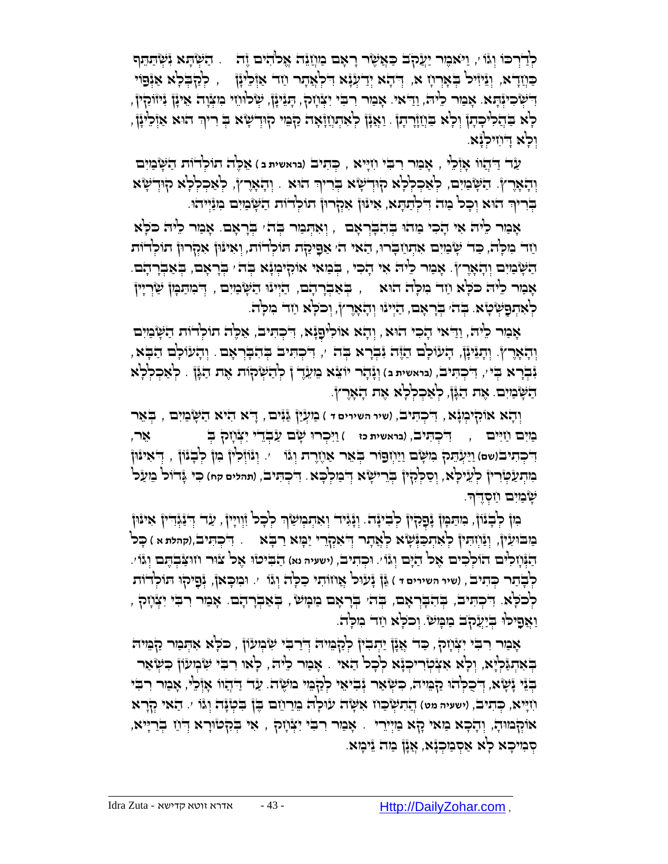לְדַּרְּכוּ וְגֹּו ֹי, וַיֹּאמֶר יַעֲקֹב כַּאֲשֶׂר רָאָם מַוְזַגָּה אֱלֹהִים וֶזה . ַהַשְׂתָּא וִּשְׂתַתֵּף כּוֹזַדָא, וְגִיּוִּיל בְּאָרְוָז א, דְּהָא יְדַעְנָּא דִּלְאֲתָר וַזה אַוְּלֵינָן  $\epsilon$  לְּקַבְּלְא אַנְּפוּי הִשְׁלְּכִיּוְּהָא. אָבַור כֵ<sup>נ</sup>ּזָה, וַדַאי. אָבַור רִבִי יִצְוָזָה, הָגֵינָן, שְׂלוּוֵזי כִּזְצְוָה אֵינָן גִיוּוֹהְין, ְְּלָא בַּהֲלִיכְהָןْ וְלָא בַּוְיָוְ֫רְהָן . וַאֲנָן לְאִהְוְזָיָאָה קַבְּוִי קוּדְשָׂא בְּ רִיךָ הוּא אַוְלִינָן וְרָא דְוְזִיּכְנָא.

ַעד ַ ֻדֲהוֹו ָאְּז ֵלי , ָא ַמר ִר ִֻבי ִחָֻייא , ְֻּכ ִתיב )**בראשית ב** ( ֵא ֶֻלה תֹו ְּלדֹות ַה ֻ ָש ַמִים וְהָאָרֶץ. הַשְּׁבְּיִם, לְּאַכְלְלָא קִוּדְשָׁא בְּרִיךְ הוּא . וְהָאָרֶץ, לְאַכְלְלָא קִוּדְשָׂא ַבְּרִיךְ הוּא וְכָל מַה דִלְתַתְּא, אִינּוֹן אִקְרוּן תוֹלְדוֹת הַשָּׂמַיִם מִנַּיְיהוּ. ְּ

ָאָמַר כִּיֹּה אִי הָכִי מַהוּ בְּהִבְּרְאָם , וְאִתְּמַר בְּה ִ בְּרָאָם. אָמַר כִיּה כֹּכְא תַּח הִקְּרוּן הוֹכְ<sup>דְ</sup>וֹת הַאתְתַח הַאי ה*' אַפִיכַרת תוֹכְדֹות, וְאִינּוּן אִקְרוּן תוכְ*דֹות ָהַשְּׁנַיִּם וְהָאָרֶץ. אָנִר כֵּיה אִי הָכִי , בְּנַאי אוֹהְיִנְיִנְא בְּה ּ בְרָאָם, בְּאַבְרָהָם. ָאָמַר כֵּיה כֹּכְא וַזד ִמִכְּה הוּא , בְּאַבְרָהָם, הַיְּינּוּ הַשְּׂמַיִם , דְּמִתַּמְן שַׂרְיִין ַלְאִתְפָשְׂטָא. בְּהִ בְּרָאָם, הַיְיִנוּ וְהָאָרֶץ, וְכֹלָא וַזֵּר בִּזִּכְה.

אָמַר כֵ<sup>נ</sup>ּהֹ, וַדַּאי הָכִי הוּא , וְהָא אוֹלִיפָנְֿא, דִיכְתִּיבׂ, אֵכֶ<sup>וֹ</sup>ה תוֹלְדוֹת הַשְּׂמַיִם וְהָאָרֶץ. וְהָנֵיּנָן, הָעוֹכְם הַזֶּה נִבְרָא בְּה /, דִיכְתִּים בְּהִבְּרְאָם . וְהָעוֹכְם הַבְּא , נִבְרָא בְּי', דִיכְהִיב, (בואשית ב) וְגָ**ּדְוּר יוֹצֵא בִוְעֵרֶ ןْ לְדַ**שְׂקוֹת אֶת הַגָּןْ . לְאַכְלְלָא ַה ֻ ָש ַמִים. ֶאת ַהָֻגן, לְּ אַ כְּ לְּ לָא אֶ ת הָ אָ רֶ ץ.

וְהָא אוֹקִיּבְוְּנָא, דִּכְהִיב, (שיר השירים ד ) בַּזְעְיַן גַּגִּים , דָא הִיא הַשְּׂבַזִים , בְּאֵר ַמִים ַחִ ֻיים , ִ ֻד ְּכ ִֻתיב, )**בראשית כז** ( ַוִ ֻי ְּכר ֻו ָשם ַע ְּבֵדי ִי ְּצ ָחק ְֻּב אֵ ר, ַוַֻי ְּע ֵֻתק ִמ ֻ ָשם ַוַי ְּח '. וְּ נוֹ זְּלִ ין מִ ן לְּ בָ נוֹ ן , ְּ ֻד ִאי ֻנֻון ֻפֹור ְֻּב ֵאר ַאֶחֶרת ְּוגֹו ֻד )**שם**( ִ ְּכ ִתיב מִתְּעַטְּ֫רִיןْ לְעֵיק<sup>ָנָ</sup>א, וְסַקְקִיןْ בְּרֵישָׂא דְּבִוִקְבָא. דִּבְתִּיב, (תהלים קח) כִּי גְּדוֹל בֵועַל ָ ְשָׂבַּוִּם וַזִּסְדֶדְ.

ְּבְּנוֹן, ִמִּתַּמְןْ גָּפָקִיןْ לְבִינָּה: וְגָּגִיר וְאִתְכְּוּשַׂךְ לְכָל וְוְיִיןֹ, עַד דְּנַגְּדִין אִינּון ְַּמַּבּוּעִיןْ, וְנַּוְזִתִּיןْ לְאִתְכַּוְּ֫שָׂא לְאֲתָר דְיֹאִקְרֵי יַמְּא רַבְּא .. דִיכְתִּיבׂ,(קהלת א ) כָּל ַהְֻּנ ָח ִלים הֹו ְּל ִכים ֶאל ַהָֻים ְּוגֹו'. ֻו ְּכ ִתיב, )**ישעיה נא**( הַ בִֻ יט ֻו ֶאל צ ֻור ח ֻו ַֻצ ְּב ֶֻתם ְּוגֹו'. לְבָתַר כְּתִיּבׂ, (שיר השירים דּ ) גַּןْ גָֿעוּל אֲוזוֹתִי כַלְּה וְגֹּוֹ י. וּבִוכְאוْ, גָּפַיֹּקוּ תּוֹלְדוֹת ָלְּכֹלָּא. דִיכְתִּיב, בְּהִבְרְאָם, בְּהֹ בְּרָאָם מַמְּשֹׂ , בְּאַבְרָהָם. אָמַר רִבִי יִצְּוָזָק , וַאֲפָיּכוּ בְּיַעֲקֹב בַּוּמְשׂ. וְכֹלְא וַזד מִלְהֹ.

אָמַר רִבִּי יִצְּוָזָק, כַּד' אֲנָן יַתְבִין לְקַבְּוּיה דְּיַרבִי שִּׂבְוּעֹוֹן , כֹּכְא אִתְּמַר קַבְּוּיה בְּאִתְגַּ֫לְיָא, וְלָא אִצְ֫טְרִיכְנָ֫א לְכָל הַאי . אָמַר כֵיה , לְאו רִבִּי שִׂמְעוֹן כִשְׂאַר ַבְּיֵּי יָּשְׁא, דְּכֻכְּהוּ קַבְּוּה, כִשְׂאַר יְּבִיאִי לְקָבִּוּי ִמִשֶּׁה. עַד דַקְיָווּ אָוְּכֵי, אָבַור רִבִי ֲה ִת ְּש ַֻכח ִא ֻ ָשה ע ֻו '. הַ אי קְּ רָ א ִחָֻייא, ְֻּכ ִתיב, )**ישעיה מט**( ָל ֻה ֵמַר ֵחם ֶֻבן ִֻב ְּטָֻנה ְּוגֹו אֹוְּקמֻו ָה, וְּ הָ כָ א מַ אי קָ א מַ יְּירֵ י . אָ מַ ר רִ בִֻ י יִצְּ חָ ק , ִאי ְֻּבִקט ֻוָרא ְּ ֻד ַח ְּבַרָֻייא, סְּ מִיכָא לָא אַסְּ מַכְּנָּא, אֲנָן מַה נִימְא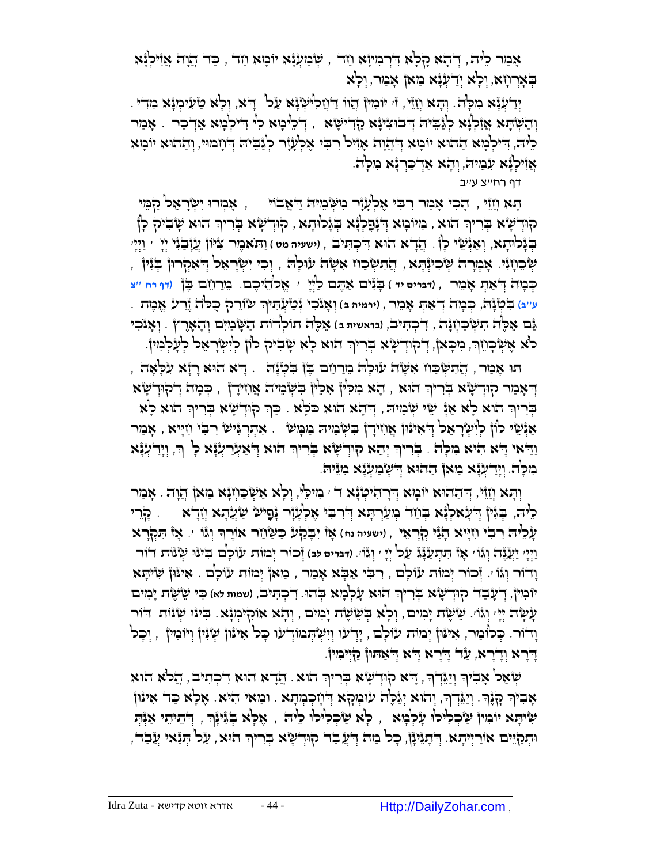ָאָמַר כִּיה, דְּדָא קָלְא דִּרְמִיזָא וַחָד , שְּׂמַעְׂיָ֫א יוֹכְוּא וַחד , כַּד דְּזָוָה אֲזִילְיָּא בְּאָרְוָזָא, וְכְאָ יְדַעְנָּא מַאן אָמַר, וְכְא

יְּדַעְּנָּא מִכְּה. וְהָא וְזַזֵּי, ז' יוֹבְוֹין הֲווֹ דַיְוָקִלִישְנָּא עַל ֶ דָּא, וְכְא טַעִיכְוָּנָא מִדִי ַוְהַשְּׂהָא אֲדְכָר ָ אָמַר יְּבֹוּצִינָּא קַדְּישָׂא , יְדֹלֵינָא לִי דִיקְבָוּא אֶדְכָר ָ אָמַר  $\rule{1.0em}{0.0em}$ ָלֵיה, דִּיקְבְּוּא הַהוּא יוֹבְוּא דְּהְיָה אָזִיל רִבִּי אֶלְעָזָר לְגַּבִיה דְּוְזְבוּי, וְהַהוּא יוֹבְוּא ְּאֲזִיקְנָּׁא עִׂבְּוִיהֹ, וְהָא אַדְכַּרְנָּ֫א בִזכְלה.

דף רח''צ ע''ב

ָהָא וְזֵי ִ, דָבִי אָכְוֹי יִשְׂרָאֵל קַמֶּי , יִאֲבֹוֹי , אֲמְרוּ יִשְׂרָאֵל קַבְּוִי ּקוּדְשָׂא בְּרִיךְ הוּא , בִּוּיֹּבְוּא דְּיָנָׁםְלְגָּא בְּגָלוּתָא , קוּדְשָׂא בְּרִיךְ הוּא שָׂבִיק לְן הָוֹן יִתְיֹן ( יִתְיֹן , יִחֲלָע יִי יִיִּי ' וַעֲדָּי לְּיָ ' יִיְיִי ' יִיְיָן בְּנִי יִי וַיְיָי , וַיְיָי ָּשְׁבְּוֹן אָבְוְרָה שְׂרִיוְּתָא , הֲתִשְּׂכַוֹז אִשְׂה עוּכְה , וְכִי יִשְׂרָאֵל דְּאִקְרוּן בְּוִּין , ְֻּכ ָמה ֻד , )**דברים יד** ( ָֻבִנים ַא ֶֻתם ַלְּיָי ' אֱאלֹהֵ יכֶ ם. מֵ רַ חֵ ם בֶֻ ן )**דף רח** ''**צ** ְּ ַא ְֻּת ָא ֵמר ע''ב) בִּטְנָה, כְּבָזה דְאַהְ אָבֵור , (ירמיה ב) וְאָנֹכִי נְטַיְעָהִיךָ שִׂוֹרֵק כֻּכֹּה וֶֿרַע אֱבֶזת ְּ ַֻגם ֵא ֶֻלה ִת ְּש ַֻכ ְּחָנה , ִ ֻד ְּכ ִֻתיב, )**בראשית ב** ( ֵא ֶֻלה תֹו ְּלדֹות ַה ֻ ָש ַמִים ְּו ָה ָאֶרץ . וְּ אָ נֹכִ י ְּ לֹא אֶשְׂבְּוֹוְרָּ, ִכִּוּכְאוֹ, דְיִקוּדְשָׂא בְּרִיוּךְ הוּא לְא שָׂבִיהָ כווֹן לְיִשְׂרָאֵל לְעָלְבִוּיןֹּ

ָּתוּ אָבִוּר , הֲתִשְּׂכַוז אִשְׂה עוּלְה ִמֵרוֵזם בֶּן בִטְנָה . ָ דָּא הוּא רְזָא עִלְאָה הָאָכּור קוּדְשָׂא בְּרִיךְ הוּא , הָא מִכְ<sup>וּ</sup>ן אִכִּין בִשְׂבֵוּיה אֲוִזידָן , כִּכְוּה דְיקוּדְשָׂא הָרִיךָּ הִוּא כְא אַוָּ שֵׂי שְּׂבְּיה, הְהָא הוּא כֹּכְא . כַּךְ הְוִדְשָׂא בְרִיךָ הוּא כְא ַאַנְּשִׂי לוֹן לְיִשְׂרָאֵל דְּאִינּוּן אֲוִזִידָן בִשְּׂבוּה מַבְּוּשׂ , אִתְרְגְּישׂ רִבְי וִזְיָּיא , אָבּור ַוַרִּא הָיא הִיא מִכְּה . בְּרִיךְ יְהֵא קוּדְשָׂא בְּרִיךְ הוּא דְּאַעֲרַעְּנָּא כְ<sup>ּי</sup> רְ, וְיָדַעְנָּא ְּ הִיכְ<sup>יָ</sup>ה. וְיָדִיעְֿנָא בַּוּאן הַהוּא דְיֹשְׂבַועְנָֽא בִוּיֵּה.

וְהָא וְזֵיֵּי, דְּדֵההוּא יוֹכְוּא דְּדְדָהִיטְנָּא דֹ י כִּוִיכֵ<sup>וּ</sup>, וְכָא אַשְׂכַוְזְנָּא כִּוּאן דְוָה . אָכַור ָלִיה, בְּגִּיןْ דְּעָאלְגָא בְּוַד גְוַעַרְהָא דְרִבִּי אֶלְעָזָר גָּפָיּשׂ שַׂעֲהָא וְזַדָא ซ ִלְרֵי ָע ֵלי ֻה ִר ִֻבי ִחָֻייא ָהֵני ְּקָר ֵאי , )**ישעיה נח** ( ְּוגֹו ָאז ִי ָֻבַקע ַֻכ ֻ ַש ַחר אֹוֶרך '. ָאז ִֻתְּקָרא ָ וַיְיָּי יַעֲגֶּה וְגוֹ אָזْ הִתְעַנְּגֹ עַל יְיָ י וְגוֹי. (דברים לב) זְכוֹר יְבוּוֹת עׂוֹכְם בִינוּ שְׂנוֹת דוֹר וְדוֹר וְּגוֹ ּ. זְּכוֹר יְּמוֹת עוֹלָם , רִבִי אַבְא אָמַר , מַאן יְמוֹת עוֹלְם . אִינּוֹ שִׂיתָא יוֹבְוִיןٌ, יְדֹעָבֻד קוּדְשָׂא בְּרִיךְ הוּא עָלְבְזָא בְהוּ. דִיכְתִּיב, (שמות *וא*) כִּי שֵׂשֶׂת יָבְוִים ַעְשָׂה יְיָי וְגוֹי. שֵׂשֶׂת יָכִוּים, וְכָא בְּשִׂשֶׂת יָכִוּים , וְהָא אוֹקִיכְוּנָא. בִינוּ שְׂנוֹת דֹור וָדוֹר. כְּכוֹבַוּר, אִינּוּןْ יְבוֹת עׂוֹכְם , יְדְעוּ וְיִשְׂהְבווּדְעוּ כָּל אִינּוּןْ שְׂיָּיִןْ וְיוֹבִוּיןْ , וְכָל ָ ֻדָרא ְּוָדָרא, ַעד ָ ֻדָרא ָ ֻדא ְּ ֻד ַא ֻת ֻון ַקְּיי ִמין.

ִּיְשְׂאַל אָבִיךְ וְיַגְּדְךָ, דְּא קִוּדְשָׂא בְרִיךְ הוּא. הֲדָא הוּא דִקְתִיב , הֲלֹא הוּא ָאָבִיךָ הָנֶּךָ. וְיַגֵּדְךָ, וְהוּא יְגַלֶּה עוּמְהָא דְיוָכְמְתָא . וּמַאי היא. אֶלְא כַּד אִינּוּן ָ ַלְּא יִיהָא יוֹבְוּין שַׂכְכְ<sup>וָ</sup>כן עָלְבְוּא , כְא שַׁכְכוֹילוּ כֵיה , אֶכְא בְּגִּינָךְ , דְיִתיתֵי אַנְּהְ וּתְקַיֵּים אוֹרַיְיֹתָא. דְּתְגִינָן, כָּל מַה דְּעֲבֶבֹד קוּדְשָׂא בְּרִיךְ הוּא, עַל הְּנַאי עֲבָד,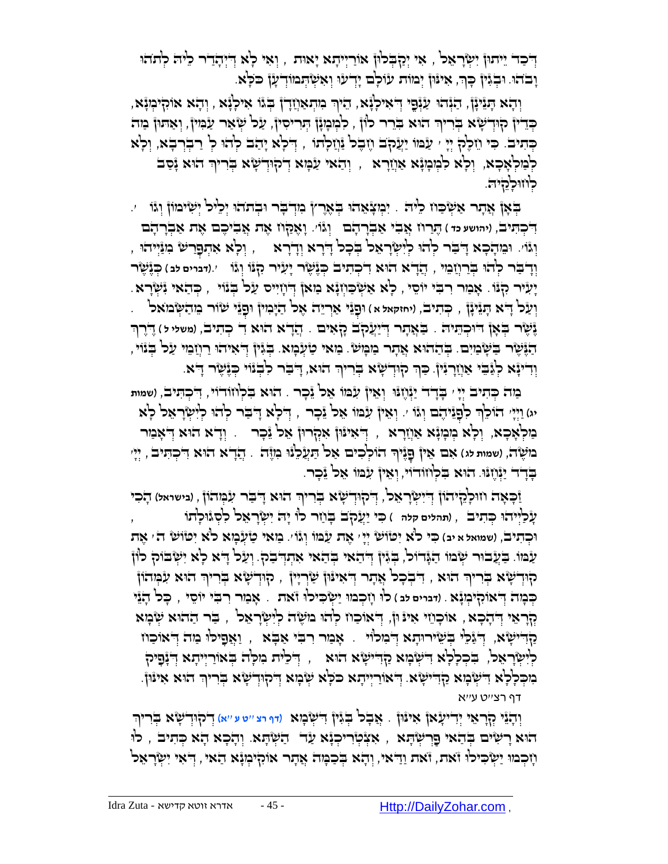ָדְּבֹד יִיתוּ) יִשְׂרָאֵל , אִי יְקַבְּלוּן אוִריִיתָא יָאוּת , וְאִי לְא דְיִתְדָר כִיּה לְתֹחִי ְוָּבֹהָוּ וִּבְגִּיןֹ כְּךָ, אִינּוּן יְכוּוֹת עׂולְם יָדְעוּ וְאִשְׂהְמוֹדְעָן כֹּלְא.

, וְהָא הַגֵּינָן, הַנְּהוּ עַנְּפֵי דְאִילְנָא, הֵיֹךְ בִּוּהְאַוְזָדְן בְּגוֹ אִילְנָא , וְהָא אוֹהָיֹבְוּנָא ְּ ּכְּדִיןْ קִוּרְשָׂא בְּרִיךְ הוּא בְרֵר כוֹןֹ , כִלְמְנָוָן הְרִיסִיןْ, עַל שְׂאַר עַבְּוּיןْ, וְאַהוּןْ מַה בְּתִיב. כִּי וַזְּכֶל יְיָ ׳ עַׂמוֹ יַעֲקֻב וֶזֶבֶל וַּוְיָלְתוֹ , דְּלְא יָהַב לְהוּ לְ רַבְרְבָא, וְלָא ַלְּמַלְאָּכָא, וְלָא לִּמְמָוָּא אַוְזַרָא , וְהַאי עַׂמְא דְקוּדְשָׂא בְּריןִּ הוּא וָּסַב לְו<del>ּוֹרְקָיה.</del>

הָאָן אֲתָר אַשְׂכַּוז כֵּיה . יִכְּוְצָאֵהוּ בְּאֶרֶץ בִּוְדְבָר וּבְתֹהוּ יְכֵיל יְשִׂימוֹן וְגֹו  $\cdot$ ֶֻתַרח ֲא ִבי ַא ְּב וְּ גוֹ '. ָו ֶאַֻקח ֶאת ֲא ִבי ֶכם ֶאת ַא ְּבָר ָהם ֻד , )**יהושע כד** ( ָר ָהם ִ ְּכ ִֻתיב וְּיָּוֹי. וּבִּוּהָבָא דְּיבַר לְהוּ לְיִשְׂרָאֵל בְּבָל דָּבְא וְדָבָא , וְלָא אִהְפָרַשׁ בִוּוַּיְיהוּ , ֲהָדא הֻו '.)**דברים לב** ( ְֻּכֶנ ֶשר ְּוָד ַֻבר ְּלהֻו , א ִד ְּכ ִתיב ְֻּכֶנ ֶשר ָי ִעיר ִק ֻנֹו ְּוגֹו ְֻּבַרֲח ֵמי ִיְעִיר קְנֹו. אָבַור רִבִי יוֹסֵי , כְא אַשְׂכַוְזְנָא בַזאן דְיִוְיִיס עַל בְּנֹוי , כְּהַאי יִּשְׂרָא. יִשָּׂל דָ<sup>וֹ</sup>א הָנֵינָן , כְּתִיב, (יחזקאל א ) וּפָנֵי אַרְיֵה אֶל הַיָּכְוּין וּפָנֵי שׂוֹר בֵּוהַשְּׂבוּאל . **ֶּנְשֶׂר בְּאָן הוּכְהֵיה . בַּאֲתְר דְיַעֲקֹב קָאִים . הֲדָא הוּא** דִ כְּתִיב, (משלי ל) דֶרֶךְ ָּהֶ הֶּנֶּשֶר בַּשְּׂבוִיִם. בְּהַהוּא אֲתָר בַוּבְוֹשׂ. בַּוֹאי טַיְעָבְוּא. בְּגִין ְדְאִיהוּ רַוְזַבִּוי עַל בְּנוֹי , ְוְדִיזָּא לְּזֵבֵי אַוְזָרְגִּיןֹ. כַּךְּ קוּדְשָׂא בְּרִיךְ הוּא, דְבַר לִבְגוֹי כְּגָּשֶׂר דָא.

ַמה ְֻּכ ִתיב ְּיָי ' ָֻבָדד ַיְּנֶח ֻנֻו ְּו ֵאין ִע ֻמֹו ֵאל ֵנ ָכר . הֻוא ִֻב ְּלחֹודֹוי, ִ ֻד ְּכ ִֻתיב, )**שמות**  יג) וַיְּיָ 'הֹוֹכֵ<sup>וֹ</sup>ֶה כִּוֹפְגֵּיהֶם וְגֹּוֹ ּ. וְאֵיןْ עִנּמוֹ אֵל גֵּבְר , דְּבְא דָּבִר לְהֹוּ לְיִשְׂרָאֵל לְא מַקְּאָכָא, וְכְ<sup>וָ</sup>א מְּנְזָרָא , יְ*יֹ*אִינֿוּן אִמְרוּן אִכ<sup>ּן</sup> זָּכְר . וְדָא הוּא דְּ'אָמַר ב*ּו*שָׂה, (שמות לג) אִם אֵין פָנֶיךָ הוֹלְכִים אֵל הַעֲלֵנוּ בִוֶּה . הֲדָא הוּא דִיכְהִיבׂ , יְיָ ּבְדָד יַיְּ֫וָעוּ. הוּא בִלְוזודוֹי, וְאִיןْ עִמּו אֵל יֵכְר.

ַזָּכְאָה וזוּכְ<sup>וָ</sup>רֶיהֹוֹן דְיִשְׂרָאֵכ<sup>ו</sup>, דְיֹקוּדְשָׂא בְּרִיךְ הוּא דְיִבַּר עִׂמְהוֹן , ונישראל) הָכִי עָ ֿכַ<sup>וְ</sup>יִיהוּ כְּתִיבׂ , (תהלים קלת ) כִּי יַעֲקֹב בְּוַזר כו יָה יִשְׂרָאֵל לִסְגْוּלְתוֹ וּכְהִיבׂ, (שמואל א יב) כִּי כ<sup>ו</sup>ֹא יִטוֹשׂ יְיָ יִ אֶה עַנְּמוֹ וְגוֹ ּ. בַּזאִי טַיְּנְבְזא כ<sup>וֹ</sup>א יִטוֹשׂ ה' אֶת ַעֲמֹו. בַּעֲבוּר שְׂמוֹ הַגְּדוֹל, בְגִין דְּהָאי בְהַאי אִהְדְבַק. וְעַל דָא לְא יִשְׂבוֹק לוֹן הִוְדְשָׂא בְּרִיךְ הוּא , דִּבְכָל אֲתָר דְּאִינּוּן שַׂרְיָין , הָוְדְשָׂא בְּרִיךְ הוּא עִמְהֹון כְּבְּוֹה דְּאוֹקִיּבְוְּנָא . וו*ּברים לב*) כווּ וְזָכְבוּוּ יַשְׂבִיכוּ וּאת . אָבּור רִבִּי יוֹסֵי , ۖבְּכֹ הָנֵי ָקְרָאֵי דְּדָבְא , אוֹכְוֹזי אִינּוּן, דְּאוֹכַוז לְהוּ מִשָּׂה לְיִשְׂרָאֵל , בַר הַהוּא שְׂבְּזִא ַקְדִּישָׂא, דְיֹגֵּכֵל בְּשִׂירוּתָא דְבִוּכוֹוּ . אָבַור רִבִּי אַבָּא , וַאֲפָיכוּ בַּוֹה דְיֹאוֹכַוּו ַלְיִשְׂרָאֵל, בִּכְלָלְא דִישְּׂכְוּא קַדִּישָׂא הוּא  $\,$  , דְּבֶּיֹה בְּאוֹרַיְיִהָא דְּיָּנְסִיק ָרִיךְ הִיאָבְאָ הַיִּיִּשְׂא. דְּאוֹרַיִיתָא כֹּכְא שְׂבְוּא דְיֹקוּדְשָׂא בְּרִיךְ הוּא אִינּוֹן.

דף רצ''ט ע''א

ֲא ָבל ְֻּבִגין ֻד )**דף רצ** ''**ט ע** ''**א**( ְּו ָהֵני ְּקָר ֵאי ְּיִדי ָעאן ִאי ֻנ . ִ ְּש ָמא ֻון ְּדק ֻוְּד ָשא ְֻּבִריךְּ ָהָוּא רִשְׂיִם בְּהֵאי פָרְשְׂהָא , אִצְּטְׂרִיכְנָא עַד הַשְׂהָא. וְהָכָא הָא כְּתִיב , לו ְּוָ֫וְּבְמִוּ יַשְּׂכִיּלוּ זֹאת, זֹאת וַדְּאי, וְהָא בְּבַמְה אֲתָר אוֹקִיבְוָּ׆א הַאיּ , דְּאִי יִשְׂרָאֵל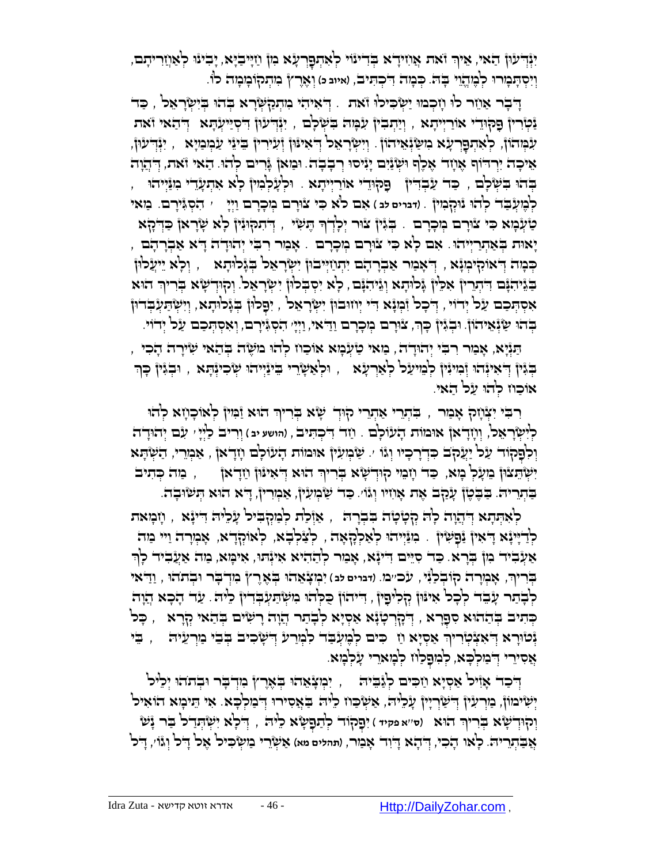יִּוְּדְעוּ) הַאי, אִיךְ וֹאת אֲוִזידָא בְּדִינוּי לְאִתְפָרְעָׂא בִון וַזִיּבֹיֶא, יָבִינוּ לְאַוְזַרִיתָם, ְּ וְיִסְתְּבְוּרוּ לְבֶּוְדֶוֵי בְּהֹּ. כְּבְוֹה דִיכְתִּיב, (איוב מ) וְאֶרֶץٌ בִוְתְּקוֹבְוּבְוֹה לוֹ.

ָדְּבֶר אַוֵזר לוּ וָזְכְמוּ יַשְּׂכִילוּ זֹאת . יְדֹאִיהִי מִתְקַשְּׂרָא בְּהוּ בְּיִשְׂרָאֵל , כַּד ַּנִּקְיָרִין פָקוּדִי אוֹרַיְיִתָא , וְיַתְבִין עִבְּוּה בִשְׂכְם , יִּנְּדְעוּן דִיסְיַיִעְתָּא ְדְּהַאי זֹאת ּעִבְּוּהוֹן, כְאִתְפָרְעָׂא בִוּשַׂוְּאֵיהוֹן . וְיִשְׂרָאֵכ דְּאִינּוּן זְּעִירִין ְּבִינֵי עַבְוְבַיָּא , יִנְּדְעוּן, אִיכָה יִרְדוּף אָוָזר אָכֶף וּשְׂנַיִם יָגִיסוּ רְבָבָה. וּכַּזאן גָּרים לְהוּ. הַאי זֹאת, דְּיְחַד ָּבְּהֹוּ בִשְׁלָם , כַּד עַבְדִרִּין , פַּקוּדֵי אוֹרַיִּיתָא . וּלְעָלְבִּוּין לְא אִתְעָדִי ִמְנַּיְיהוּ , ִ לְבֶּוְעְּבֵד לְהֹוּ נוּקְבְוּוֹ) . (דברים *כב* ) אִם לֹא כִּי צוּרָם בְוִכְרַם וַיְיָ | , הִסְגִּירָם. בַּוּאי ַטַ יְּנְכְוּא כִּי צוּרָם בְּרְכָרם . בְּגִּין צוּר יְכְרְךָ הָעִיּ , דְּתִקְוּגִין כְ<sup>וָ</sup>א שְׂרָאן כַּדְקָא יָּאוּת בְּאַתְרַיְּיהֹוּ. אִם לְא כִּי צוּרָם מְכָרָם . אָמַר רִבִּי יְהוּדָה דָא אַבְרָהָם , הַבְּוּה הַאוּטִן וְבְא , הַאָּבִוּר אַבְרָדָם יִתְּוַזְיִּיבוּן יִשְׂרָאֵל בְּגָּלוּהָא  $\rule{1.5ex}{0.5ex}$  , יִיעֲלוּן ָבֹּגֶּיהִנָּם דִּיְתְרִין אִכֵּין גָּכוֹתָא וְגֵּיהִנָּם, כְאַ יִסְבְּכוֹן יִשְׂרָאֵל. וְקוּדְשָׂא בְּרִיךְ הוּא אִסְתְּכַם עַל יְדוֹי , דְּכָל וִּבְגָּא דִי יְוזוּבוּן יִשְׂרָאֵל , יִפְלוּן בְּגָלוּתָא, וְיִשְׂתַעְבְדוּן ּבְּהֹוּ שַּׁנְּאֵיהוֹן. וּבְגִּיןْ כְּךָ, צוּרָם מְכָרָם וַדַּאי, וַיְּיָ הִסְגִּירָם, וְאִסְתְּכַם עַל יְדוֹי.

ָתַּנְיָא, אָפַור רִבִּי יְהוּדָה, פַוּאי טַיְּנְכְוּא אוֹכַוז לְהוּ מִשָּׂה בְּהַאי שִׂירָה הָכִי ַבְּגִּין דְּאִינְּדֹוּ וְּכִוּיִּנִּין כְ<sup>וָ</sup>מִרְעָׂא ְ, וּכְאֲשָׂרֵי בֵינַּיְיהוּ שְׂכִינְהָא , וּבְגִין כְּך אוכוז להו על האי.

ָרִבִּי יִצְּוָיָה אָמַר , בִּתְרֵי אַתְרֵי קוּדְ שָׂא בְרִיךְ הוּא וַּמִּין לְאוֹכָוָזא לְהוּ כְ<sup>וָ</sup>שְׂרָאֵכ<sup>ן</sup>, וְוְזָדָאןْ אוּמוֹת הָעْוֹכְם . וַזה הִכְתִּיבׂ , וַהושע יִבּ) וְרִיבֹ כַוְיְיָ , עִנִּם יְהוּדֶה וְּכִלְּדָ עַל יַעֲקֹב כִּדְרָכְיוּ וְגֹּוֹ ׳. שַּׂמְעִין אוּמוֹת הָעוֹלָם וְזָדְאןֹ , אַמְרֵי, הַשְׂהָא יִשְׂהֵצוּן מֵעָלְ מָא, כַד וָזְמֵי קוּדְשָׂא בְרִיךְ הוּא דְּאִינּוּן וַזָדְאן \_\_, , מַה כְּתִיב ָבְּתְרִיה. בַּבֶּטֶן עָקַב אֶת אָוִזִיוּ וְגוֹי. כַּד שַּׂמְעִין, אַמְרִין, דָּא הוּא הְשׂוּבָה.

ַלְאִהְתָא דְּיהֲוָה לְהִ הְטָ֫טְה בִדְרָה ְ, אַזְּכַוּת לְבִוּקְבִיל עָבְיה דִינָּא , וָזִבְוּאת ַלְדַיְיִּנְּא דְּאִיןְ נַּפְשִׂין . בִּוּיֲיִהוּ לְאַלְהָאָה , לְצַלְבָא, לְּאוֹקְדָא, אָבְוְרָה וַיי מַה אַעְבִיד כִון בְרָא. כַּד סִיֵּם דִינְא, אָמַר לְהַהִיא אִינְּתוּ, אִימְא, מַה אַעֲבִיד לְךָ ֶרץ ִמְּד ָֻבר ֻו , ַוַ ֻדאי ְּב ֹתהֻו ִי ְּמ ָצ ֵאהֻו ְֻּבִריך, אָ מְּ רָ ה קוֹ בְּ לַנִי, עכ''מ. )**דברים לב** ( ְֻּב ֶא ְּ לְבְּתַר עָבֵד לְכָל אִינִּוּן קְלִיפָין ְ דִיתוֹן כֻּלְתוּ מִשְׂתַעְבְּדִין לִיהֹ. עַד הָכָא הֲוָת ָכְּתִיב בְּהַחוּא סִפְרָא , דְּקָרְטְוָּא אַסְיָא לְבְתר הֲוָה רָשִׂים בְּהַאי קְרָא  $\downarrow$  , כָּל ַּנוֹרָא דְּאִצְֿטְרִיךְ אַסְיָא וַז ְ כִּים לְמֶעְבָד לִמְרַע דְּשְׂכִים בְּבֵי מַרְעֵ*י*הִ , , בֵּי אֲסִירִי דְּבִוּלְבָא, לְּמִפָלַוּז לְבְּוּאֵרִי עָנְלְמָא.

יְדִּבַר אָזִיל אַסְיָא וַזִּכִּים לְגַּבֵיה!, יִמְצָאֵהוּ בְּאֶרֶץ מִדְבָר וּבְתֹהוּ יְכֵיל יְשְׂיּמוֹן, מַרְעִיןْ דְישַׂרְיִיןْ עָלִיה, אַשְׂכַוז לִיה בַּאֲסִירוּ דְבוִלְכָּא. אִי הֵיכִוא הוֹאִיל יִקְוּדְיֹשָׂא בְּרִיךְ הוּא (סי׳א מִקיד) יִפְקוֹד לְתַפָּשָׂא כֵיוּה , דְּכְא יִשְׂהְדַ־כ<sup>ן</sup> בַּר גָּשׂ ֲא ַֻב ְּתֵרי ֻה. לָאו הָ כִ י, ְּ ֻד ָהא ָ ֻדִוד ָא ַמר, )**תהלים מא**( ַא ְּשֵרי ַמ ְּ ש ִֻכיל ֶאל ָ ֻדל ְּוגֹו', ָ ֻדל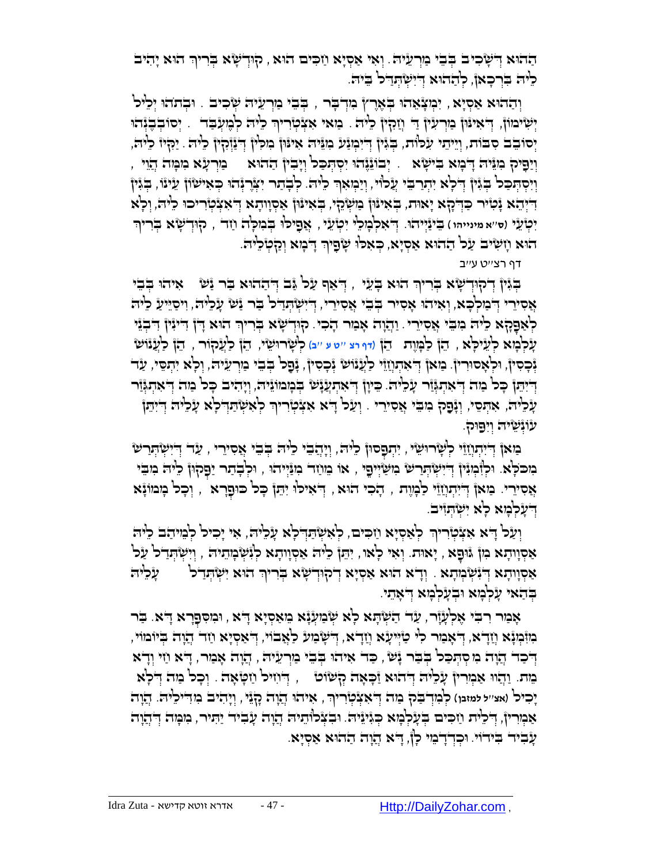הַהִא דְּשְׁבִים בְּבֵי כַּוְרַעֵּיה ִ יְאִי אַסְיָא וַזכִּים הוּא , קוּדְשָׂא בְּרִיךְ הוּא יָהִיב ָלִיה בִּרְכָאן, לְהָהוּא דִיִשְׂתָדְל בֵיה.

ַוְהַהֹוּא אַסְיָא , יִבְּעְאָהוּ בְּאֶרֶץ בִּוְדְבָר , בְּבֵי בַוְרְעֵיה שְׂכִיב . וּבְההֹוּ יְכֵיל יְשִׂימוֹן, דְּאִינּוּן מַרְעִין דַּ וְזַהְין כִיה . מַאי אִצְטְרִיךְ כִיה לְבֶזְעָבַד . יְסוּבְבֶנְהוּ ְּ יְּסוֹבֵב סִבּוֹת, וְיֵיהֵי עִלְּוֹת, בְּגִּין דְיִבְוְנַע ִבְוּגִּיה אִינּוּן בְוִכְיוֹ דְּבַוְּלִין כִיה . יַכְלִיז כִיה, וְיַפְיק ִכְּוּה דְּבְוּא בִישְׂא . יְבוֹגֶּגֶהוּ יִסְהְּכַל וְיָבִין הַהוּא · בַּוְרַעָּא ִמְכְּוּה הָיֵוִי , ְיִיסְתְּכֵּל בְּגִּין דְּלְא יִתְרַבֵּי עֲלוֹי, וְיַּמְאִךְ לֵיה. לְבְתַר יִצְרֶגְהוּ כְּאִישׂוֹן עֵינוֹ, בְגִין ְּ הִיְהָא יָּכְוֹיר כַּדְּכָא יָאוּת, בְּאִינוּן מַשְׂהֵי, בְּאִינוּן אַסְוְוּתָא דְּאִצְטְרִיכוּ כֵיּה, וְכָא יִּטְ*יֹ'אַ מינייהו*) בִּינַּיְיהוּ. דְיֹאִלְבְוָלֵי יִטְיֹעֵי , אֲפִיכ<sup>וֹ</sup>וּ בְּבִוְלָה וַזָּד , קוּדְשָׂא בְּרִיךְ הוא וְזִשְׂיב עַל הַהֹוּא אַסְיָא, כְּאִלוּ שָׂפְיךְ דְּבְזִא וְקַטְלֵיה.

דף רצ''ט ע''ב

הְּיָּוֹ דְּקוּדְשָׂא בְּרִיךְ הוּא בְּעֵי , דְּאַף עַל יֲב דְּהַהוּא בַּר נַע ) אִיהוּ בְבִי ָאֲסִירִי דְּבִוּלְבָא, וְאִיהוּ אָסִיר בְּבֵי אֲסִירִי, דְיִשְׂהְּדַר בַּבֹּר יַּשׁ עָלִיה, וִיסַיִּיעַ כִּיה לְאַפָּקָא כִיה מִבֵּי אֲסִירֵי . וַהֲוָה אָבִור הָכִי. קוּדְשָׂא בְּרִיךְ הוּא דָן דִיּוִין דִּבְוֵּי עָ לְּ מָ א לְּ עֵ ילָֻא , ֵהן ַל ָֻמֶות הֵ ן )**דף רצ** ''**ט ע** ''**ב**( ְּל ָשר ֻו ֵשי, הֵ ן לַעֲקוֹ ר , ֵהן ַלֲענֹו ש ַנְּבְסִין, וּלְאָסוּרִין. ִמַּאן דְ<sup>י</sup>אִתְוְזֵוֹי כֹלֲנֹוֹשׂ נְּבְסִין, נְּפָל בְּבִי מַוְרַעֵּיה, וְלָא יִתְסֵי, עַד ַדְיִּהֵן כְּכוֹ מִה דְּאִתְגְּזַר עָלִיה. כִּיְוָן דְאִתְעֲנָש בְּמְמוֹגַיה, וְיָהִיב כְּכוֹ מֵה דְּאתְגְּזר ָעָ*ּכְיָ*ה; אִתְסִי, וְגָּפָק בִּוּבֵי אֲסִיֵרִי . וְעַל דָיא אַצְּטְרִיךְ לְאִשְׂתַּהְ־לְא עָׂכִיּה דְיִתֵן עֿוֹּנִשִׂיה וְיִפַוּק.

ַבִּוּאן דְּיִיִּתְוְזֵוֶי לְשָרוּשֵׂי , יִתְפָסוּן לֵיה, וְיָהֲבִי לֵיה בְּבִי אֲסִירֵי , עַד דְיִישְׂתְּרַש ָמְכֹּלָּא. וּלְזָּמְוָין דְיִישְׂהְרַשׁ מִשְׂיִיםֶי , או מֵוֹזֵד מִנַּיְיהוּ , וּלְבְתַר יַפָּקוּן לִיה מִבִי אֲסִירֵי. בַּוֹאןُ דְּיִתְוָזֵוֵי לַבְעֶת , הָכִי הוּא , דְאִילוּ יִתֵּן כְּל כּוּפָרָא , וְכָל בְּוּמוֹגָא דְעָלְנָזָא לָא יְשָׂהְזִיּבֹ

ְוָעַל דָּא אִצְּטְרִיךְ לְאַסְיָא וַזִכִּים, לְאִשְׂהַדְלְא עָלִיה, אִי יָכִיל לְבֵוּהַב כֵיה ָאַסְוָוהָא כִּון גוּפָא , יָאוּת. וְאִי לְאוּ, יִהֵן לִיה אַסְוָוהָא לְגִּשְׂבְוִהַיה , וְיִשְׂהְדַל עַל אַסְווְהָא דְּיִ֫עְּבְּוְהָא . וְדָא הוּא אַסְיָא דְיקוּדְשָׂא בְּרִיךְ הוּא יִשְׂהְדַל  $\zeta$ יִל ְ ַבְּהַאי עָלְבְּוּא וּבְעָלְבָּוּא דְּאָתִי

אָמַר רִבִּי אֶלְעָוָר, עַד הַשְׂהָא לְא שְׂמַעְנָא מֵאַסִיָא דָא, וִמְסִפַּרָא דָא. בַּר ָבְוּבְוּנְא וְדָא, דְּאָמַר לִי טַיְּיעָא וְזָדָא, דְּשְׂמַע כַאֲבׂוֹי, דְּאַסְיָא וַזָּר הֲוָת בְּיוֹמוֹי יִ דְּכָד הֲוָה מִקְתְּכַל בְּבַר יָּשׁ , כַּד אִיהוּ בְּבֵי נַוְרְעֵיה , הֲוָה אָנַור, דָא וַזִי וְדָא מֵ ת. ַוֲהו ֻו ַא ְּמִרין ָע ֵלי ֻה ְּ ֻדהֻוא ַז ָֻכ ָאה ְּק שֹוט , ְּ ֻד ִחיל ַח ָֻט ָאה . ְּו ָכל ַמה ְּ ֻד ָלא יָכִיכ<sup>ן</sup> (אצ׳׳ל מאנן) קְבְּוְדְבֵּק ְּבַוּה דְּ'אִצְקְיָרִיךְ, אִיהוּ יְהָוָה כָןְגֵּי, וְיָהִיב בְּודִיק<sup>ְנ</sup>יה. הֲוָה אַמְרִין, דְּכִיּה וַזִכִּים בְּעָלְמָא כְּגִּינֵיה. וּבִצְלוּתֵיה הֲזֶה עָבִיד יַתִּיר, מִמְה דְּהֲזֶה עָבִיר בִּידוֹי. וּכִדְדָבְוּי כְן, דָא הֲוה הַהוּא אַסְיָא.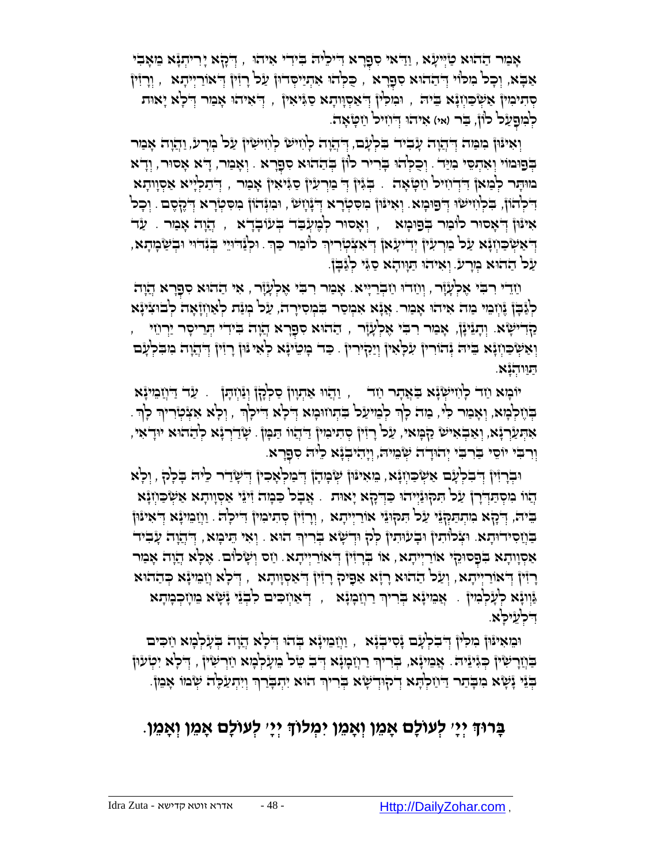אָנוּר הַהוּא טַיְּיעָׂא , וַדַּאי סִפְרָא דִיכִיה בִידִי אִיהוּ , דְבָא יָרִיהְנָּא מֵאָבִי אַבָּא, וְכָל מִלוּי דְּהַהוּא סִפְרָא , כֻּלְהוּ אִתְיַיִּסְדוּן עַל רְזִין דְּאוֹרַיְיִתָא , וְרָזִין הַדִּיכִּוּן אַשְׂכַּוְזָּא בֵּיה , וּבִזלְין דְּ'אַסְוָודָא סַגָּיאִין , דְּ'אִיהוּ אָבַזר דְּלְא יָאוּת לְבִוּפָעַל לוֹן, בַּר (אי) איהוּ דְיוִזיל וַזְטְאָה.

וְאִינּוּןْ כִּוּמַה דְּיְהֲוָה עָבִיה בִלְעָב, דְּהְחָה לְוִזיש לְוִזישִׂיןْ עַל בְּוָרע, וַהֲוָה אָמַר ַבְּפוּמוֹי וְאִתְסֵי מִיַּד . וְכֻכְּהוּ בְּרִיר לוֹן בְּהַהוּא סִפָּרָא . וְאָמַר, דָּא אָסוּר, וְדָא מּוּתָר לְמַאן דִּדְוִזיל וַזִטְאָה . בְּגִּין דְּ מִרְעִין סַגִּיאִין אָמַר , דְּתַלְיִיא אַסְווהָא יִדְּכְ<sup>וְ</sup>נְזוֹיְשְׁוּ דְּםֵוּכְוֹא ִ וְאִינּוּ) בִזִּסְיָרָא דְּנָוְשׂ , וּבִזְּנְהֹוֹן בִזסְטְרָא דְבֶלְסֶם . וְכָל אִינּוֹן דְּאָסוּר לוֹבַּוּר בְּפוּנְזּא <sub>,</sub> וְאָסוּר לְבֶועְבַד בְּעْוּבְדָא , הֲזֶה אָבַור . עַד , יִּלְּנֵּדוּיֵי בְּנִדְּיִי וּבְשַׁמְתָא, יְדִיעָׂאן דְּיִאִצְקִוְרִיךְ כ<sup>ְן</sup>ּבַוִר כַּךְּ. וּכְצַדוּיֵי בְּנִדוּי וּבְשַׁמְתָא ַעל ַההֻוא ְּמָרע. ְּו ִאיהֻו ַֻתָֻוו ָהא ַסִֻגי ְּלַג ָֻבן.

וַיְדִי רִבְּי אֶלְעָׂוָר , וְוַזִדוּ וַזַבְרַיְיא. אָמַר רִבִּי אֶלְעָׂוָר , אִי הַהוּא סִפָּרָא הֲוָה לְּ נָבְן גָּׁוְיָבֵוי כַּוֹה אִיהוּ אָבַור. אֲ ָאִ אִכְוַסַר בִּבְוִסִירָה, עַל כְוַנֵּה לְאַוְזָוָאָה לְבוּצִינָּא ַקְּדִישָׂא. וְתְגֵינָן, אָבִּוּ רִבְי אֶלְעָוָ֫ר , הַהוּא סִפָּרָא הֲוָה בִּידִי הְרֵיסְר יַרְוֹזִי וְאַשְׂכַוְזְגָא בִיה יְּהוֹרִיןْ עִלְאִיןْ וְיַהְיֹרוּן . כַד כְוִטִינְא לְאִי וּוֹן רָזִין דְּהְדָה ִמְבִלְעָם ַֻתַֻוו ְּהָנא.

יֹוּבְוָא וַזד לְוִזיּשְׂנָא בִּאֲתָר וַזד , וַהֲוּ אַתְוְוןْ סַלְּקָןْ וְנַּוְזִתְן . עַד דַּוְזַבִּוּיָנָא ְבְּוֹלְבְּוּא, וְאָבִוּר כִּיֹּ, בַּוּה כְ<sup>וָ</sup>רְ לְבֵוּיעַל בִּתְוזוּבְוּא דְיֹכְא דִיּיכְןְרָ , וְכָא אִצְׂטְוִריוִר כְןְר ְּ ְּ ָאִהְעַרְנָּא, וְאַבְאִיּשׂ קַבְּוּאי, עַל רְזִיןْ סְתִינִוּיןْ דַיְהָוו תַּבְּוֹן . שְׂדַיְרְנָא לְהַהוּא יוּדְאִי, ְוָרִבְּי יוֹסִי בַּרִבְי יְהוּדָה שְׂבִוּיה, וְיָהִיבְגָ֫א כִיה סִפָּרָא.

וּבְרְזִּיןْ דְּבִלְעָם אַשְׂכַוְזָא, מֵאִינּוֹן שְׂכְוִהָן דְּבוּלְאָכִין דְּשְׂדַר כִיּה בְלָק , וְלָא ְהוֹו ִמִסְתַּדְרָןْ עַל תִּקוּנַיְיהוּ כַּדְקָא יָאוּת . אֲבָל כַּמְה זִיּנֵי אַסְוָותָא אַשְׂכַוְזָנָא ָּבִּיה', וְיָבָא כִּוְתְהַמְּבֶּי עַל הִמְוּגֵּי אוֹרַיְיִתְא , וְרָזִין סְתִיכִוּין דִייכְה! . וַוְזַבִּוּינָא דְאִינּוּן הַוֹת יִבְּוֹה וּצְלוּתִין וּבְעוּתִין לְהָ וּדְשָׂא בְּרִיךְ הוּא . וְאִי הֵיכְוּא , דְּהֲוָה עָבִיד ּאַסְוָוהָא בְּפָסוּקִי אוֹרַיְיִהָא, אוֹ בְּרִזִּין דְּאוֹרַיְיִהָא. וַזִס וְשָׂלוֹם. אֶלְּא הֲוָה אָבּוּר ָרִזין דְּאוֹרַיִּיתָא, וְעַל הַהוּא רָזָא אַפִיק רְזִין דְּאַסְוִיתָא , דְלָא וְזַכֵּינָא כְּהַהוּא ְוּוְיָּא לְעָלְּמִין . ִאֲמִייָּא בְּרִיךְ רַוְזַמְיָּא , דְיִאַוְזִכִּים לִבְזֵי יָּשְׂא מֵוְזִכְמְתָא , דִלְעֵיּלָא.

וּמִאִינּוּןْ בִזִּלְּץْ דְּבִלְעָם נָסִיבְנָא , וַוְזַמִינָא בְּהוּ דְּלָא הֲזָה בְעָלְמָא וַזִכִּים ַבְּוַיָּרְשִׂין כְּגִּיְּיֵיה. אֲבִייִּגָֿא, בְּרִיךְ רַוְזַבְּוָּא דְּבִ טֵּל בֵּזְעָלְבְּא וַזְרְשִׂין , דְלָא יִטְעוּן ְּ ִּבְּוֹּ יָּעָּא ִמְבָּתַר דַּיְוַקְרָֽנָא דְקוּדְשָׂא בְּרִיךְ הוּא יִתְבְרַךְ וְיִתְעַלֶּה שְּׂמוֹ אָמֵן.

## **ָּב ררּו יְי יָּב** ' **לְי עוֹולָּבם מֵמ ן וְי מֵמ ן יִי מְי לוֹוּו יְי יָּב** ' **לְי עוֹולָּבם מֵמ ן וְי מֵמ ן**.